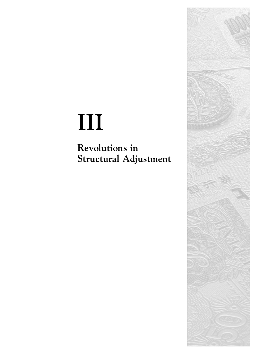# **III**

**Revolutions in Structural Adjustment**

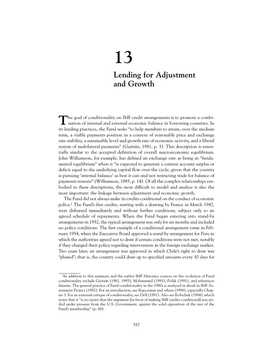## **13**

### **Lending for Adjustment and Growth**

The goal of conditionality on IMF credit arrangements is to promote a combi-<br>nation of internal and external economic balance in borrowing countries. In its lending practices, the Fund seeks "to help members to attain, over the medium term, a viable payments position in a context of reasonable price and exchange rate stability, a sustainable level and growth rate of economic activity, and a liberal system of multilateral payments" (Guitián, 1981, p. 3). This description is essentially similar to the accepted definition of overall macroeconomic equilibrium. John Williamson, for example, has defined an exchange rate as being in "fundamental equilibrium" when it "is expected to generate a current account surplus or deficit equal to the underlying capital flow over the cycle, given that the country is pursuing 'internal balance' as best it can and not restricting trade for balance of payments reasons" (Williamson, 1985, p. 14). Of all the complex relationships embodied in these descriptions, the most difficult to model and analyze is also the most important: the linkage between adjustment and economic growth.

The Fund did not always make its credits conditional on the conduct of economic policy.1 The Fund's first credits, starting with a drawing by France in March 1947, were disbursed immediately and without further conditions, subject only to an agreed schedule of repayments. When the Fund began entering into stand-by arrangements in 1952, the typical arrangement was only for six months and included no policy conditions. The first example of a conditional arrangement came in February 1954, when the Executive Board approved a stand-by arrangement for Peru in which the authorities agreed not to draw if certain conditions were not met, notably if they changed their policy regarding intervention in the foreign exchange market. Two years later, an arrangement was approved in which Chile's right to draw was "phased"; that is, the country could draw up to specified amounts every 30 days for

<sup>1</sup>In addition to this summary and the earlier IMF Histories, sources on the evolution of Fund conditionality include Guitián (1981, 1995), Mohammed (1991), Polak (1991), and references therein. The general practice of Fund conditionality in the 1980s is analyzed in detail in IMF Assessment Project (1992). For an introduction, see Rajcoomar and others (1996), especially Chapter 3. For an external critique of conditionality, see Dell (1981). Also see Robichek (1984), which notes that it "is no secret that the argument [in favor of making IMF credits conditional] was settled under pressure from the U.S. Government, against the solid opposition of the rest of the Fund's membership" (p. 68).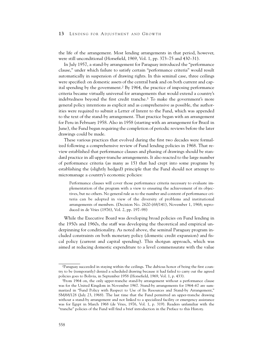the life of the arrangement. Most lending arrangements in that period, however, were still unconditional (Horsefield, 1969, Vol. 1, pp. 373–75 and 430–31).

In July 1957, a stand-by arrangement for Paraguay introduced the "performance clause," under which failure to satisfy certain "performance criteria" would result automatically in suspension of drawing rights. In this seminal case, three ceilings were specified: on domestic assets of the central bank and on both current and capital spending by the government.<sup>2</sup> By 1964, the practice of imposing performance criteria became virtually universal for arrangements that would extend a country's indebtedness beyond the first credit tranche.3 To make the government's more general policy intentions as explicit and as comprehensive as possible, the authorities were required to submit a Letter of Intent to the Fund, which was appended to the text of the stand-by arrangement. That practice began with an arrangement for Peru in February 1958. Also in 1958 (starting with an arrangement for Brazil in June), the Fund began requiring the completion of periodic reviews before the later drawings could be made.

These various practices that evolved during the first two decades were formalized following a comprehensive review of Fund lending policies in 1968. That review established that performance clauses and phasing of drawings should be standard practice in all upper-tranche arrangements. It also reacted to the large number of performance criteria (as many as 15) that had crept into some programs by establishing the (slightly hedged) principle that the Fund should not attempt to micromanage a country's economic policies:

Performance clauses will cover those performance criteria necessary to evaluate implementation of the program with a view to ensuring the achievement of its objectives, but no others. No general rule as to the number and content of performance criteria can be adopted in view of the diversity of problems and institutional arrangements of members. (Decision No. 2620-(68/141), November 1, 1968; reproduced in de Vries (1976), Vol. 2, pp. 197–98)

While the Executive Board was developing broad policies on Fund lending in the 1950s and 1960s, the staff was developing the theoretical and empirical underpinning for conditionality. As noted above, the seminal Paraguay program included constraints on both monetary policy (domestic credit expansion) and fiscal policy (current and capital spending). This shotgun approach, which was aimed at reducing domestic expenditure to a level commensurate with the value

<sup>2</sup>Paraguay succeeded in staying within the ceilings. The dubious honor of being the first country to be (temporarily) denied a scheduled drawing because it had failed to carry out the agreed policies goes to Bolivia, in September 1958 (Horsefield, 1969, Vol. 1, p. 433).

<sup>3</sup>From 1964 on, the only upper-tranche stand-by arrangement without a performance clause was for the United Kingdom in November 1967. Stand-by arrangements for 1964–67 are summarized in "Fund Policy with Respect to Use of Its Resources and Stand-by Arrangement," SM/68/128 (July 23, 1968). The last time that the Fund permitted an upper-tranche drawing without a stand-by arrangement and not linked to a specialized facility or emergency assistance was for Egypt in March 1968 (de Vries, 1976, Vol. 1, p. 319). Readers unfamiliar with the "tranche" policies of the Fund will find a brief introduction in the Preface to this History.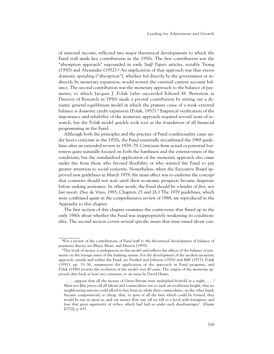of national income, reflected two major theoretical developments to which the Fund staff made key contributions in the 1950s. The first contribution was the "absorption approach" expounded in early *Staff Papers* articles, notably Tsiang (1950) and Alexander (1952).4 An implication of that approach was that excess domestic spending ("absorption"), whether fed directly by the government or indirectly by monetary expansion, would worsen the external current account balance. The second contribution was the monetary approach to the balance of payments, to which Jacques J. Polak (who succeeded Edward M. Bernstein as Director of Research in 1956) made a pivotal contribution by setting out a dynamic general equilibrium model in which the primary cause of a weak external balance is domestic credit expansion (Polak, 1957).<sup>5</sup> Empirical verification of the importance and reliability of the monetary approach required several years of research, but the Polak model quickly took root as the foundation of all financial programming in the Fund.

Although both the principles and the practice of Fund conditionality came under heavy criticism in the 1970s, the Fund essentially reconfirmed the 1968 guidelines after an extended review in 1978–79. Criticisms from actual or potential borrowers quite naturally focused on both the harshness and the extensiveness of the conditions, but the standardized application of the monetary approach also came under fire from those who favored flexibility or who wanted the Fund to pay greater attention to social concerns. Nonetheless, when the Executive Board approved new guidelines in March 1979, the main effect was to enshrine the concept that countries should not wait until their economic prospects became desperate before seeking assistance. In other words, the Fund should be a lender of *first*, not last resort. (See de Vries, 1985, Chapters 25 and 26.) The 1979 guidelines, which were confirmed again in the comprehensive review of 1988, are reproduced in the Appendix to this chapter.

The first section of this chapter examines the controversy that flared up in the early 1980s about whether the Fund was inappropriately weakening its conditionality. The second section covers several specific issues that were raised about con-

<sup>4</sup>For a review of the contributions of Fund staff to the theoretical development of balance of payments theory, see Blejer, Khan, and Masson (1995).

<sup>&</sup>lt;sup>5</sup>The stock of money is endogenous in this model and reflects the effects of the balance of payments on the foreign assets of the banking system. For the development of the modern monetary approach outside and within the Fund, see Frenkel and Johnson (1976) and IMF (1977). Polak (1991), pp. 33–36, summarizes the application of the approach in Fund programs, and Polak (1998) reviews the evolution of the model over 40 years. The origins of the monetary approach date back at least two centuries, to an essay by David Hume:

<sup>...</sup> suppose that all the money of Great Britain were multiplied fivefold in a night ...? Must not [the prices of] all labour and commodities rise to such an exorbitant height, that no neighbouring nations could afford to buy from us; while their commodities, on the other hand, became comparatively so cheap, that, in spite of all the laws which could be formed, they would be run in upon us, and our money flow out; till we fall to a level with foreigners, and lose that great superiority of riches, which had laid us under such disadvantages? (Hume [1752], p. 63)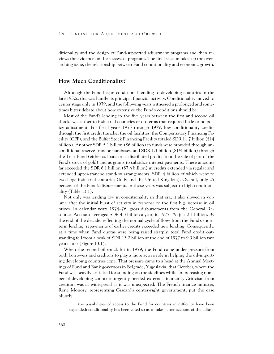ditionality and the design of Fund-supported adjustment programs and then reviews the evidence on the success of programs. The final section takes up the overarching issue, the relationship between Fund conditionality and economic growth.

#### **How Much Conditionality?**

Although the Fund began conditional lending to developing countries in the late 1950s, this was hardly its principal financial activity. Conditionality moved to center stage only in 1979, and the following years witnessed a prolonged and sometimes bitter debate about how extensive the Fund's conditions should be.

Most of the Fund's lending in the five years between the first and second oil shocks was either to industrial countries or on terms that required little or no policy adjustment. For fiscal years 1975 through 1979, low-conditionality credits through the first credit tranche, the oil facilities, the Compensatory Financing Facility (CFF), and the Buffer Stock Financing Facility totaled SDR 11.7 billion (\$14 billion). Another SDR 5.1 billion (\$6 billion) in funds were provided through unconditional reserve-tranche purchases, and SDR 1.3 billion ( $$1\frac{1}{2}$  billion) through the Trust Fund (either as loans or as distributed profits from the sale of part of the Fund's stock of gold) and as grants to subsidize interest payments. These amounts far exceeded the SDR 6.1 billion (\$7\% billion) in credits extended via regular and extended upper-tranche stand-by arrangements, SDR 4 billion of which went to two large industrial countries (Italy and the United Kingdom). Overall, only 25 percent of the Fund's disbursements in those years was subject to high conditionality (Table 13.1).

Not only was lending low in conditionality in that era; it also slowed in volume after the initial burst of activity in response to the first big increase in oil prices. In calendar years 1974–76, gross disbursements from the General Resources Account averaged SDR 4.3 billion a year; in 1977–79, just 2.1 billion. By the end of the decade, reflecting the normal cycle of flows from the Fund's shortterm lending, repayments of earlier credits exceeded new lending. Consequently, at a time when Fund quotas were being raised sharply, total Fund credit outstanding fell from a peak of SDR 13.2 billion at the end of 1977 to 9.3 billion two years later (Figure 13.1).

When the second oil shock hit in 1979, the Fund came under pressure from both borrowers and creditors to play a more active role in helping the oil-importing developing countries cope. That pressure came to a head at the Annual Meetings of Fund and Bank governors in Belgrade, Yugoslavia, that October, where the Fund was heavily criticized for standing on the sidelines while an increasing number of developing countries urgently needed external financing. Criticism from creditors was as widespread as it was unexpected. The French finance minister, René Monory, representing Giscard's center-right government, put the case bluntly:

. . . the possibilities of access to the Fund for countries in difficulty have been expanded: conditionality has been eased so as to take better account of the adjust-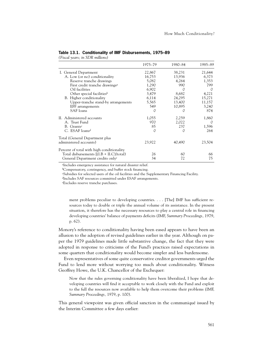|                                             | 1975-79 | 1980-84  | 1985-89 |
|---------------------------------------------|---------|----------|---------|
| I. General Department                       | 22,867  | 38,231   | 21,644  |
| A. Low (or no) conditionality               | 16,753  | 13,936   | 6,373   |
| Reserve tranche drawings                    | 5,082   | 4,264    | 1,353   |
| First credit tranche drawings <sup>a</sup>  | 1,290   | 990      | 799     |
| Oil facilities                              | 6,902   | $\Omega$ | 0       |
| Other special facilities <sup>b</sup>       | 3,479   | 8,682    | 4,221   |
| B. Higher conditionality                    | 6,114   | 24,295   | 15,271  |
| Upper-tranche stand-by arrangements         | 5,565   | 13,400   | 11,157  |
| EFF arrangements                            | 549     | 10,895   | 3,240   |
| SAF loans                                   | Ω       |          | 874     |
| II. Administered accounts                   | 1,055   | 2,259    | 1,860   |
| A. Trust Fund                               | 970     | 2,022    | O       |
| B. Grants <sup>c</sup>                      | 85      | 237      | 1,596   |
| $C.$ ESAF loans <sup>d</sup>                | 0       | $\Omega$ | 264     |
| Total (General Department plus              |         |          |         |
| administered accounts)                      | 23,922  | 40,490   | 23,504  |
| Percent of total with high conditionality   |         |          |         |
| Total disbursements $[(I.B + I.I.C)/total]$ | 26      | 60       | 66      |
| General Department credits onlye            | 34      | 72       | 75      |

#### **Table 13.1. Conditionality of IMF Disbursements, 1975–89**

*(Fiscal years; in SDR millions)*

*<sup>a</sup>*Includes emergency assistance for natural disaster relief.

*<sup>b</sup>*Compensatory, contingency, and buffer stock financing.

*<sup>c</sup>*Subsidies for selected users of the oil facilities and the Supplementary Financing Facility.

*<sup>d</sup>*Includes SAF resources committed under ESAF arrangements.

*e*Excludes reserve tranche purchases.

ment problems peculiar to developing countries. . . . [The] IMF has sufficient resources today to double or triple the annual volume of its assistance. In the present situation, it therefore has the necessary resources to play a central role in financing developing countries' balance of payments deficits (IMF, *Summary Proceedings,* 1979, p. 62).

Monory's reference to conditionality having been eased appears to have been an allusion to the adoption of revised guidelines earlier in the year. Although on paper the 1979 guidelines made little substantive change, the fact that they were adopted in response to criticisms of the Fund's practices raised expectations in some quarters that conditionality would become simpler and less burdensome.

Even representatives of some quite conservative creditor governments urged the Fund to lend more without worrying too much about conditionality. Witness Geoffrey Howe, the U.K. Chancellor of the Exchequer:

Now that the rules governing conditionality have been liberalized, I hope that developing countries will find it acceptable to work closely with the Fund and exploit to the full the resources now available to help them overcome their problems (IMF, *Summary Proceedings,* 1979, p. 100).

This general viewpoint was given official sanction in the communiqué issued by the Interim Committee a few days earlier: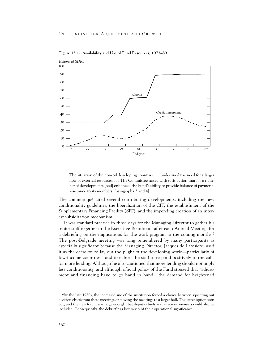

**Figure 13.1. Availability and Use of Fund Resources, 1973–89**

The situation of the non-oil developing countries . . . underlined the need for a larger flow of external resources. . . . The Committee noted with satisfaction that . . . a number of developments [had] enhanced the Fund's ability to provide balance of payments assistance to its members. [paragraphs 2 and 4]

The communiqué cited several contributing developments, including the new conditionality guidelines, the liberalization of the CFF, the establishment of the Supplementary Financing Facility (SFF), and the impending creation of an interest subsidization mechanism.

It was standard practice in those days for the Managing Director to gather his senior staff together in the Executive Boardroom after each Annual Meeting, for a debriefing on the implications for the work program in the coming months.<sup>6</sup> The post-Belgrade meeting was long remembered by many participants as especially significant because the Managing Director, Jacques de Larosière, used it as the occasion to lay out the plight of the developing world—particularly of low-income countries—and to exhort the staff to respond positively to the calls for more lending. Although he also cautioned that more lending should not imply less conditionality, and although official policy of the Fund stressed that "adjustment and financing have to go hand in hand," the demand for heightened

<sup>6</sup>By the late 1980s, the increased size of the institution forced a choice between squeezing out division chiefs from these meetings or moving the meetings to a larger hall. The latter option won out, and the new forum was large enough that deputy chiefs and senior economists could also be included. Consequently, the debriefings lost much of their operational significance.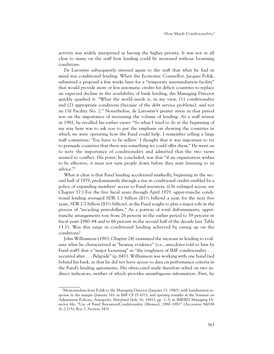activity was widely interpreted as having the higher priority. It was not at all clear to many on the staff how lending could be increased without loosening conditions.

De Larosière subsequently stressed again to the staff that what he had in mind was conditional lending. When the Economic Counsellor, Jacques Polak, submitted a proposal a few weeks later for a "temporary intermediation facility" that would provide more or less automatic credits for deficit countries to replace an expected decline in the availability of bank lending, the Managing Director quickly quashed it: "What the world needs is, in my view, (1) conditionality and (2) appropriate conditions (because of the debt service problems), and not an Oil Facility No. 2." Nonetheless, de Larosière's greater stress in that period was on the importance of increasing the volume of lending. At a staff retreat in 1981, he recalled his earlier views: "So what I tried to do at the beginning of my stay here was to ask you to put the emphasis on showing the countries in which we were operating how the Fund could help. I remember telling a large staff committee: 'You have to be sellers.' I thought that it was important to try to persuade countries that there was something we could offer them." He went on to note the importance of conditionality and admitted that the two views seemed to conflict. His point, he concluded, was that "if an organization wishes to be effective, it must not turn people down before they start listening to its advice."7

What is clear is that Fund lending accelerated markedly, beginning in the second half of 1979, predominantly through a rise in conditional credits enabled by a policy of expanding members' access to Fund resources. (On enlarged access, see Chapter 17.) For the five fiscal years through April 1979, upper-tranche conditional lending averaged SDR 1.1 billion  $(\frac{1}{4} \text{ billion})$  a year; for the next five years, SDR 2.7 billion (\$3¼ billion), as the Fund sought to play a major role in the process of "recycling petrodollars." As a portion of total disbursements, uppertranche arrangements rose from 26 percent in the earlier period to 59 percent in fiscal years 1980–84 and to 66 percent in the second half of the decade (see Table 13.1). Was this surge in conditional lending achieved by easing up on the conditions?

John Williamson (1983, Chapter 24) examined the increase in lending to evaluate what he characterized as "hearsay evidence" (i.e., anecdotes told to him by Fund staff) that a "major loosening" in "the toughness of IMF conditionality . . . occurred after . . . Belgrade" (p. 641). Williamson was working with one hand tied behind his back, in that he did not have access to data on performance criteria in the Fund's lending agreements. His often-cited study therefore relied on two indirect indicators, neither of which provides unambiguous information. First, he

<sup>7</sup>Memorandum from Polak to the Managing Director (January 15, 1980), with handwritten response in the margin (January 16); in IMF CF (S 651); and opening remarks at the Seminar on Adjustment Policies, Annapolis, Maryland (July 16, 1981), pp. 2–3; in IMF/RD Managing Director file, "Use of Fund Resources/Conditionality (Memos), 1980–1981" (Accession 84/188 A–2 (15), Box 1, Section 343).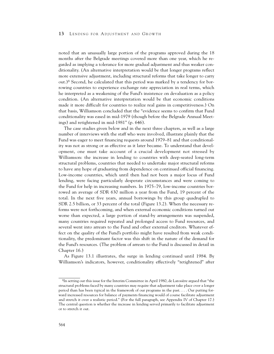noted that an unusually large portion of the programs approved during the 18 months after the Belgrade meetings covered more than one year, which he regarded as implying a tolerance for more gradual adjustment and thus weaker conditionality. (An alternative interpretation would be that longer programs reflect more extensive adjustment, including structural reforms that take longer to carry out.)8 Second, he calculated that this period was marked by a tendency for borrowing countries to experience exchange rate appreciation in real terms, which he interpreted as a weakening of the Fund's insistence on devaluation as a policy condition. (An alternative interpretation would be that economic conditions made it more difficult for countries to realize real gains in competitiveness.) On that basis, Williamson concluded that the "evidence seems to confirm that Fund conditionality was eased in mid-1979 (though before the Belgrade Annual Meetings) and retightened in mid-1981" (p. 646).

The case studies given below and in the next three chapters, as well as a large number of interviews with the staff who were involved, illustrate plainly that the Fund was eager to meet financing requests around 1979–81 and that conditionality was not as strong or as effective as it later became. To understand that development, one must take account of a crucial development not stressed by Williamson: the increase in lending to countries with deep-seated long-term structural problems, countries that needed to undertake major structural reforms to have any hope of graduating from dependence on continued official financing. Low-income countries, which until then had not been a major locus of Fund lending, were facing particularly desperate circumstances and were coming to the Fund for help in increasing numbers. In 1975–79, low-income countries borrowed an average of SDR 630 million a year from the Fund, 19 percent of the total. In the next five years, annual borrowings by this group quadrupled to SDR 2.5 billion, or 33 percent of the total (Figure 13.2). When the necessary reforms were not forthcoming, and when external economic conditions turned out worse than expected, a large portion of stand-by arrangements was suspended, many countries required repeated and prolonged access to Fund resources, and several went into arrears to the Fund and other external creditors. Whatever effect on the quality of the Fund's portfolio might have resulted from weak conditionality, the predominant factor was this shift in the nature of the demand for the Fund's resources. (The problem of arrears to the Fund is discussed in detail in Chapter 16.)

As Figure 13.1 illustrates, the surge in lending continued until 1984. By Williamson's indicators, however, conditionality effectively "retightened" after

<sup>8</sup>In setting out this issue for the Interim Committee in April 1980, de Larosière argued that "the structural problems faced by many countries may require that adjustment take place over a longer period than has been typical in the framework of our programs in the past. . . . Our putting forward increased resources for balance of payments financing would of course facilitate adjustment and stretch it over a realistic period." (For the full paragraph, see Appendix IV of Chapter 17.) The central question is whether the increase in lending served primarily to facilitate adjustment or to stretch it out.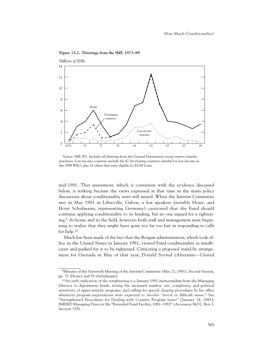

**Figure 13.2. Drawings from the IMF, 1973–89**

Source: IMF, *IFS.* Includes all drawings from the General Department except reserve tranche purchases. Low-income countries include the 47 developing countries classified as low-income in the 1989 WEO, plus 18 others that were eligible for ESAF loans.

mid-1981. That assessment, which is consistent with the evidence discussed below, is striking because the views expressed at that time in the main policy discussions about conditionality were still mixed. When the Interim Committee met in May 1981 in Libreville, Gabon, a few speakers (notably Howe, and Horst Schulmann, representing Germany) cautioned that the Fund should continue applying conditionality to its lending, but no one argued for a tightening.9 At home and in the field, however, both staff and management were beginning to realize that they might have gone too far too fast in responding to calls for help.10

Much has been made of the fact that the Reagan administration, which took office in the United States in January 1981, viewed Fund conditionality as insufficient and pushed for it to be tightened. Criticizing a proposed stand-by arrangement for Grenada in May of that year, Donald Syvrud (Alternate—United

<sup>9</sup>Minutes of the Sixteenth Meeting of the Interim Committee (May 21, 1981), Second Session, pp. 37 (Howe) and 55 (Schulmann).

<sup>10</sup>An early indication of the retightening is a January 1981 memorandum from the Managing Director to department heads, noting the increased number, size, complexity, and political sensitivity of upper-tranche programs; and calling for special clearing procedures by his office whenever program negotiations were expected to involve "novel or difficult issues." See "Strengthened Procedures for Dealing with Country Program Issues" (January 14, 1981); IMF/RD Managing Director file "Extended Fund Facility, 1981–1983" (Accession 86/32, Box 3, Section 379).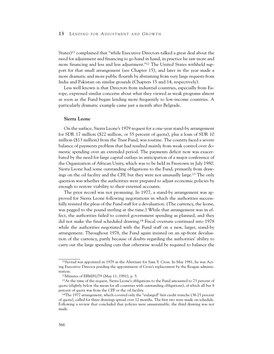States)11 complained that "while Executive Directors talked a great deal about the need for adjustment and financing to go hand in hand, in practice he saw more and more financing and less and less adjustment."12 The United States withheld support for that small arrangement (see Chapter 15), and later in the year made a more dramatic and more public flourish by abstaining from very large requests from India and Pakistan on similar grounds (Chapters 15 and 14, respectively).

Less well known is that Directors from industrial countries, especially from Europe, expressed similar concerns about what they viewed as weak programs almost as soon as the Fund began lending more frequently to low-income countries. A particularly dramatic example came just a month after Belgrade.

#### **Sierra Leone**

On the surface, Sierra Leone's 1979 request for a one-year stand-by arrangement for SDR 17 million (\$22 million, or 55 percent of quota), plus a loan of SDR 10 million (\$13 million) from the Trust Fund, was routine. The country faced a severe balance of payments problem that had resulted mainly from weak control over domestic spending over an extended period. The payments deficit now was exacerbated by the need for large capital outlays in anticipation of a major conference of the Organization of African Unity, which was to be held in Freetown in July 1980. Sierra Leone had some outstanding obligations to the Fund, primarily from drawings on the oil facility and the CFF, but they were not unusually large.13 The only question was whether the authorities were prepared to adjust economic policies by enough to restore viability to their external accounts.

The prior record was not promising. In 1977, a stand-by arrangement was approved for Sierra Leone following negotiations in which the authorities successfully resisted the pleas of the Fund staff for a devaluation. (The currency, the leone, was pegged to the pound sterling at the time.) While that arrangement was in effect, the authorities failed to control government spending as planned, and they did not make the final scheduled drawing.14 Fiscal overruns continued into 1978 while the authorities negotiated with the Fund staff on a new, larger, stand-by arrangement. Throughout 1978, the Fund again insisted on an up-front devaluation of the currency, partly because of doubts regarding the authorities' ability to carry out the large spending cuts that otherwise would be required to balance the

<sup>11</sup>Syvrud was appointed in 1979 as the Alternate for Sam Y. Cross. In May 1981, he was Acting Executive Director pending the appointment of Cross's replacement by the Reagan administration.

<sup>12</sup>Minutes of EBM/81/79 (May 11, 1981), p. 5.

<sup>13</sup>At the time of the request, Sierra Leone's obligations to the Fund amounted to 73 percent of quota (slightly below the mean for all countries with outstanding obligations), of which all but 8 percent of quota was from the CFF or the oil facility.

<sup>14</sup>The 1977 arrangement, which covered only the "enlarged" first credit tranche (36.25 percent of quota), called for three drawings spread over 12 months. The first two were made on schedule. Following a review that concluded that policies were unsustainable, the third drawing was not made.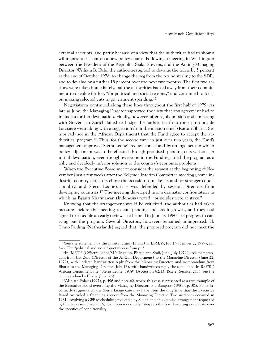external accounts, and partly because of a view that the authorities had to show a willingness to set out on a new policy course. Following a meeting in Washington between the President of the Republic, Siaka Stevens, and the Acting Managing Director, William B. Dale, the authorities agreed to devalue the leone by 5 percent at the end of October 1978, to change the peg from the pound sterling to the SDR, and to devalue by a further 15 percent over the next two months. The first two actions were taken immediately, but the authorities backed away from their commitment to devalue further, "for political and social reasons," and continued to focus on making selected cuts in government spending.15

Negotiations continued along these lines throughout the first half of 1979. As late as June, the Managing Director supported the view that any agreement had to include a further devaluation. Finally, however, after a July mission and a meeting with Stevens in Zurich failed to budge the authorities from their position, de Larosière went along with a suggestion from the mission chief (Rattan Bhatia, Senior Advisor in the African Department) that the Fund agree to accept the authorities' program.16 Thus, for the second time in just over two years, the Fund's management approved Sierra Leone's request for a stand-by arrangement in which policy adjustment was to be effected through promised spending cuts without an initial devaluation, even though everyone in the Fund regarded the program as a risky and decidedly inferior solution to the country's economic problems.

When the Executive Board met to consider the request at the beginning of November (just a few weeks after the Belgrade Interim Committee meeting), some industrial country Directors chose the occasion to make a stand for stronger conditionality, and Sierra Leone's case was defended by several Directors from developing countries.17 The meeting developed into a dramatic confrontation in which, as Byanti Kharmawan (Indonesia) noted, "principles were at stake."

Knowing that the arrangement would be criticized, the authorities had taken measures before the meeting to cut spending and credit growth, and they had agreed to schedule an early review—to be held in January 1980—of progress in carrying out the program. Several Directors, however, remained unimpressed. H. Onno Ruding (Netherlands) argued that "the proposed program did not meet the

<sup>15</sup>See the statement by the mission chief (Bhatia) at EBM/79/168 (November 2, 1979), pp. 3–6. The "political and social" quotation is from p. 3.

<sup>16</sup>In IMF/CF (C/Sierra Leone/810 "Mission, Bhatia and Staff, June–July 1979"), see memorandum from J.B. Zulu (Director of the African Department) to the Managing Director (June 22, 1979), with undated handwritten reply from the Managing Director; and memorandum from Bhatia to the Managing Director (July 12), with handwritten reply the same date. In IMF/RD African Department file "Sierra Leone, 1979" (Accession 82/13, Box 2, Section 211), see file memorandum by Bhatia (June 26).

<sup>17</sup>Also see Polak (1997), p. 496 and note 60, where this case is presented as a rare example of the Executive Board overruling the Managing Director; and Sampson (1981), p. 305. Polak incorrectly suggests that the Sierra Leone case may have been the only time that the Executive Board overruled a financing request from the Managing Director. Two instances occurred in 1981, involving a CFF rescheduling requested by Sudan and an extended arrangement requested by Grenada (see Chapter 15). Sampson incorrectly interprets the Board meeting as a debate over the specifics of conditionality.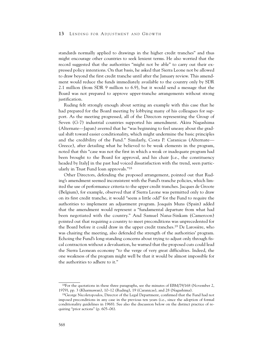standards normally applied to drawings in the higher credit tranches" and thus might encourage other countries to seek lenient terms. He also worried that the record suggested that the authorities "might not be able" to carry out their expressed policy intentions. On that basis, he asked that Sierra Leone not be allowed to draw beyond the first credit tranche until after the January review. This amendment would reduce the funds immediately available to the country only by SDR 2.1 million (from SDR 9 million to 6.9), but it would send a message that the Board was not prepared to approve upper-tranche arrangements without strong justification.

Ruding felt strongly enough about setting an example with this case that he had prepared for the Board meeting by lobbying many of his colleagues for support. As the meeting progressed, all of the Directors representing the Group of Seven (G-7) industrial countries supported his amendment. Akira Nagashima (Alternate—Japan) averred that he "was beginning to feel uneasy about the gradual shift toward easier conditionality, which might undermine the basic principles and the credibility of the Fund." Similarly, Costa P. Caranicas (Alternate— Greece), after detailing what he believed to be weak elements in the program, noted that this "case was not the first in which a weak or inadequate program had been brought to the Board for approval, and his chair [i.e., the constituency headed by Italy] in the past had voiced dissatisfaction with the trend, seen particularly in Trust Fund loan approvals."18

Other Directors, defending the proposed arrangement, pointed out that Ruding's amendment seemed inconsistent with the Fund's tranche policies, which limited the use of performance criteria to the upper credit tranches. Jacques de Groote (Belgium), for example, observed that if Sierra Leone was permitted only to draw on its first credit tranche, it would "seem a little odd" for the Fund to require the authorities to implement an adjustment program. Joaquín Muns (Spain) added that the amendment would represent a "fundamental departure from what had been negotiated with the country." And Samuel Nana-Sinkam (Cameroon) pointed out that requiring a country to meet preconditions was unprecedented for the Board before it could draw in the upper credit tranches.19 De Larosière, who was chairing the meeting, also defended the strength of the authorities' program. Echoing the Fund's long-standing concerns about trying to adjust only through fiscal contraction without a devaluation, he warned that the proposed cuts could lead the Sierra Leonean economy "to the verge of very great difficulties. Indeed, the one weakness of the program might well be that it would be almost impossible for the authorities to adhere to it."

<sup>18</sup>For the quotations in these three paragraphs, see the minutes of EBM/79/168 (November 2, 1979), pp. 3 (Kharmawan), 10–12 (Ruding), 19 (Caranicas), and 28 (Nagashima).

<sup>19</sup>George Nicoletopoulos, Director of the Legal Department, confirmed that the Fund had not imposed preconditions in any case in the previous ten years (i.e., since the adoption of formal conditionality guidelines in 1968). See also the discussion below on the distinct practice of requiring "prior actions" (p. 605–06).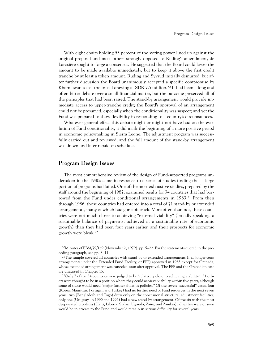With eight chairs holding 53 percent of the voting power lined up against the original proposal and most others strongly opposed to Ruding's amendment, de Larosière sought to forge a consensus. He suggested that the Board could lower the amount to be made available immediately, but to keep it above the first credit tranche by at least a token amount. Ruding and Syvrud initially demurred, but after further discussion the Board unanimously accepted a specific compromise by Kharmawan to set the initial drawing at SDR 7.5 million.<sup>20</sup> It had been a long and often bitter debate over a small financial matter, but the outcome preserved all of the principles that had been raised. The stand-by arrangement would provide immediate access to upper-tranche credit; the Board's approval of an arrangement could not be presumed, especially when the conditionality was suspect; and yet the Fund was prepared to show flexibility in responding to a country's circumstances.

Whatever general effect this debate might or might not have had on the evolution of Fund conditionality, it did mark the beginning of a more positive period in economic policymaking in Sierra Leone. The adjustment program was successfully carried out and reviewed, and the full amount of the stand-by arrangement was drawn and later repaid on schedule.

#### **Program Design Issues**

The most comprehensive review of the design of Fund-supported programs undertaken in the 1980s came in response to a series of studies finding that a large portion of programs had failed. One of the most exhaustive studies, prepared by the staff around the beginning of 1987, examined results for 34 countries that had borrowed from the Fund under conditional arrangements in 1983.21 From then through 1986, those countries had entered into a total of 71 stand-by or extended arrangements, many of which had gone off track. More often than not, these countries were not much closer to achieving "external viability" (broadly speaking, a sustainable balance of payments, achieved at a sustainable rate of economic growth) than they had been four years earlier, and their prospects for economic growth were bleak.22

<sup>20</sup>Minutes of EBM/79/169 (November 2, 1979), pp. 5–22. For the statements quoted in the preceding paragraph, see pp. 8–11.

<sup>21</sup>The sample covered all countries with stand-by or extended arrangements (i.e., longer-term arrangements under the Extended Fund Facility, or EFF) approved in 1983 except for Grenada, whose extended arrangement was canceled soon after approval. The EFF and the Grenadian case are discussed in Chapter 15.

<sup>22</sup>Only 7 of the 34 countries were judged to be "relatively close to achieving viability"; 21 others were thought to be in a position where they could achieve viability within five years, although some of those would need "major further shifts in policies." Of the seven "successful" cases, four (Korea, Mauritius, Portugal, and Turkey) had no further need of Fund resources in the next seven years; two (Bangladesh and Togo) drew only on the concessional structural adjustment facilities; only one (Uruguay, in 1990 and 1992) had a new stand-by arrangement. Of the six with the most deep-seated problems (Haiti, Liberia, Sudan, Uganda, Zaïre, and Zambia), all either were or soon would be in arrears to the Fund and would remain in serious difficulty for several years.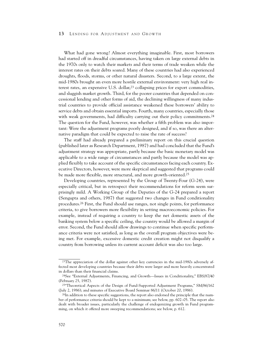What had gone wrong? Almost everything imaginable. First, most borrowers had started off in dreadful circumstances, having taken on large external debts in the 1970s only to watch their markets and their terms of trade weaken while the interest rates on their debts soared. Many of these countries had also experienced droughts, floods, storms, or other natural disasters. Second, to a large extent, the mid-1980s brought an even more hostile external environment: very high real interest rates, an expensive U.S. dollar, $2<sup>3</sup>$  collapsing prices for export commodities, and sluggish market growth. Third, for the poorer countries that depended on concessional lending and other forms of aid, the declining willingness of many industrial countries to provide official assistance weakened these borrowers' ability to service debts and obtain essential imports. Fourth, many countries, especially those with weak governments, had difficulty carrying out their policy commitments.<sup>24</sup> The question for the Fund, however, was whether a fifth problem was also important: Were the adjustment programs poorly designed, and if so, was there an alternative paradigm that could be expected to raise the rate of success?

The staff had already prepared a preliminary report on this crucial question (published later as Research Department, 1987) and had concluded that the Fund's adjustment strategy was appropriate, partly because the basic monetary model was applicable to a wide range of circumstances and partly because the model was applied flexibly to take account of the specific circumstances facing each country. Executive Directors, however, were more skeptical and suggested that programs could be made more flexible, more structural, and more growth-oriented.25

Developing countries, represented by the Group of Twenty-Four (G-24), were especially critical, but in retrospect their recommendations for reform seem surprisingly mild. A Working Group of the Deputies of the G-24 prepared a report (Sengupta and others, 1987) that suggested two changes in Fund conditionality procedures.26 First, the Fund should use ranges, not single points, for performance criteria, to give borrowers more flexibility in setting macroeconomic policies. For example, instead of requiring a country to keep the net domestic assets of the banking system below a specific ceiling, the country would be allowed a margin of error. Second, the Fund should allow drawings to continue when specific performance criteria were not satisfied, as long as the overall program objectives were being met. For example, excessive domestic credit creation might not disqualify a country from borrowing unless its current account deficit was also too large.

<sup>&</sup>lt;sup>23</sup>The appreciation of the dollar against other key currencies in the mid-1980s adversely affected most developing countries because their debts were larger and more heavily concentrated in dollars than their financial claims.

<sup>24</sup>See "External Adjustments, Financing, and Growth—Issues in Conditionality," EBS/87/40 (February 25, 1987).

<sup>25&</sup>quot;Theoretical Aspects of the Design of Fund-Supported Adjustment Programs," SM/86/162 (July 2, 1986); and minutes of Executive Board Seminar 86/11 (October 20, 1986).

<sup>&</sup>lt;sup>26</sup>In addition to these specific suggestions, the report also endorsed the principle that the number of performance criteria should be kept to a minimum; see below, pp. 602–05. The report also dealt with broader issues, particularly the challenge of endogenizing growth in Fund programming, on which it offered more sweeping recommendations; see below, p. 612.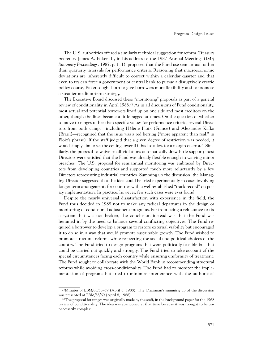The U.S. authorities offered a similarly technical suggestion for reform. Treasury Secretary James A. Baker III, in his address to the 1987 Annual Meetings (IMF, *Summary Proceedings,* 1987, p. 111), proposed that the Fund use semiannual rather than quarterly intervals for performance criteria. Reasoning that macroeconomic deviations are inherently difficult to correct within a calendar quarter and that even to try can force a government or central bank to pursue a disruptively erratic policy course, Baker sought both to give borrowers more flexibility and to promote a steadier medium-term strategy.

The Executive Board discussed these "monitoring" proposals as part of a general review of conditionality in April 1988.27 As in all discussions of Fund conditionality, most actual and potential borrowers lined up on one side and most creditors on the other, though the lines became a little ragged at times. On the question of whether to move to ranges rather than specific values for performance criteria, several Directors from both camps—including Hélène Ploix (France) and Alexandre Kafka (Brazil)—recognized that the issue was a red herring ("more apparent than real," in Ploix's phrase). If the staff judged that a given degree of restriction was needed, it would simply aim to set the ceiling lower if it had to allow for a margin of error.28 Similarly, the proposal to waive small violations automatically drew little support; most Directors were satisfied that the Fund was already flexible enough in waiving minor breaches. The U.S. proposal for semiannual monitoring was embraced by Directors from developing countries and supported much more reluctantly by a few Directors representing industrial countries. Summing up the discussion, the Managing Director suggested that the idea could be tried experimentally in cases involving longer-term arrangements for countries with a well-established "track record" on policy implementation. In practice, however, few such cases were ever found.

Despite the nearly universal dissatisfaction with experience in the field, the Fund thus decided in 1988 not to make any radical departures in the design or monitoring of conditional adjustment programs. Far from being a reluctance to fix a system that was not broken, the conclusion instead was that the Fund was hemmed in by the need to balance several conflicting objectives. The Fund required a borrower to develop a program to restore external viability but encouraged it to do so in a way that would promote sustainable growth. The Fund wished to promote structural reforms while respecting the social and political choices of the country. The Fund tried to design programs that were politically feasible but that could be carried out quickly and strongly. The Fund tried to take account of the special circumstances facing each country while ensuring uniformity of treatment. The Fund sought to collaborate with the World Bank in recommending structural reforms while avoiding cross-conditionality. The Fund had to monitor the implementation of programs but tried to minimize interference with the authorities'

<sup>27</sup>Minutes of EBM/88/58–59 (April 6, 1988). The Chairman's summing up of the discussion was presented at EBM/88/60 (April 8, 1988).

<sup>&</sup>lt;sup>28</sup>The proposal for ranges was originally made by the staff, in the background paper for the 1968 review of conditionality. The idea was abandoned at that time because it was thought to be unnecessarily complex.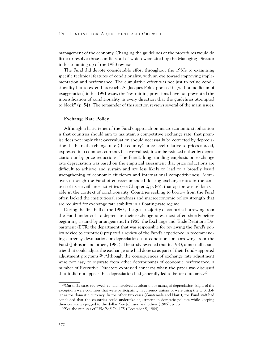management of the economy. Changing the guidelines or the procedures would do little to resolve these conflicts, all of which were cited by the Managing Director in his summing up of the 1988 review.

The Fund did devote considerable effort throughout the 1980s to examining specific technical features of conditionality, with an eye toward improving implementation and performance. The cumulative effect was not just to refine conditionality but to extend its reach. As Jacques Polak phrased it (with a modicum of exaggeration) in his 1991 essay, the "restraining provisions have not prevented the intensification of conditionality in every direction that the guidelines attempted to block" (p. 54). The remainder of this section reviews several of the main issues.

#### **Exchange Rate Policy**

Although a basic tenet of the Fund's approach on macroeconomic stabilization is that countries should aim to maintain a competitive exchange rate, that premise does not imply that overvaluation should necessarily be corrected by depreciation. If the real exchange rate (the country's price level relative to prices abroad, expressed in a common currency) is overvalued, it can be reduced either by depreciation or by price reductions. The Fund's long-standing emphasis on exchange rate depreciation was based on the empirical assessment that price reductions are difficult to achieve and sustain and are less likely to lead to a broadly based strengthening of economic efficiency and international competitiveness. Moreover, although the Fund often recommended floating exchange rates in the context of its surveillance activities (see Chapter 2, p. 86), that option was seldom viable in the context of conditionality. Countries seeking to borrow from the Fund often lacked the institutional soundness and macroeconomic policy strength that are required for exchange rate stability in a floating-rate regime.

During the first half of the 1980s, the great majority of countries borrowing from the Fund undertook to depreciate their exchange rates, most often shortly before beginning a stand-by arrangement. In 1985, the Exchange and Trade Relations Department (ETR: the department that was responsible for reviewing the Fund's policy advice to countries) prepared a review of the Fund's experience in recommending currency devaluation or depreciation as a condition for borrowing from the Fund (Johnson and others, 1985). The study revealed that in 1983, almost all countries that could adjust the exchange rate had done so as part of their Fund-supported adjustment programs.29 Although the consequences of exchange rate adjustment were not easy to separate from other determinants of economic performance, a number of Executive Directors expressed concerns when the paper was discussed that it did not appear that depreciation had generally led to better outcomes.30

<sup>29</sup>Out of 35 cases reviewed, 25 had involved devaluation or managed depreciation. Eight of the exceptions were countries that were participating in currency unions or were using the U.S. dollar as the domestic currency. In the other two cases (Guatemala and Haiti), the Fund staff had concluded that the countries could undertake adjustment in domestic policies while keeping their currencies pegged to the dollar. See Johnson and others (1985), p. 13.

<sup>30</sup>See the minutes of EBM/84/174–175 (December 5, 1984).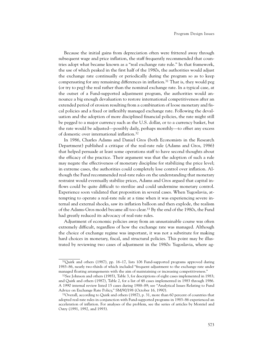Because the initial gains from depreciation often were frittered away through subsequent wage and price inflation, the staff frequently recommended that countries adopt what became known as a "real exchange rate rule." In that framework, the use of which peaked in the first half of the 1980s, the authorities would adjust the exchange rate continually or periodically during the program so as to keep compensating for any remaining differences in inflation.<sup>31</sup> That is, they would peg (or try to peg) the real rather than the nominal exchange rate. In a typical case, at the outset of a Fund-supported adjustment program, the authorities would announce a big enough devaluation to restore international competitiveness after an extended period of erosion resulting from a combination of loose monetary and fiscal policies and a fixed or inflexibly managed exchange rate. Following the devaluation and the adoption of more disciplined financial policies, the rate might still be pegged to a major currency such as the U.S. dollar, or to a currency basket, but the rate would be adjusted—possibly daily, perhaps monthly—to offset any excess of domestic over international inflation.32

In 1986, Charles Adams and Daniel Gros (both Economists in the Research Department) published a critique of the real-rate rule (Adams and Gros, 1986) that helped persuade at least some operations staff to have second thoughts about the efficacy of the practice. Their argument was that the adoption of such a rule may negate the effectiveness of monetary discipline for stabilizing the price level; in extreme cases, the authorities could completely lose control over inflation. Although the Fund recommended real-rate rules on the understanding that monetary restraint would eventually stabilize prices, Adams and Gros argued that capital inflows could be quite difficult to sterilize and could undermine monetary control. Experience soon validated that proposition in several cases. When Yugoslavia, attempting to operate a real-rate rule at a time when it was experiencing severe internal and external shocks, saw its inflation balloon and then explode, the realism of the Adams-Gros model became all too clear.33 By the end of the 1980s, the Fund had greatly reduced its advocacy of real-rate rules.

Adjustment of economic policies away from an unsustainable course was often extremely difficult, regardless of how the exchange rate was managed. Although the choice of exchange regime was important, it was not a substitute for making hard choices in monetary, fiscal, and structural policies. This point may be illustrated by reviewing two cases of adjustment in the 1980s: Yugoslavia, where ag-

<sup>31</sup>Quirk and others (1987), pp. 16–17, lists 106 Fund-supported programs approved during 1983–86, nearly two-thirds of which included "frequent adjustment to the exchange rate under managed floating arrangements with the aim of maintaining or increasing competitiveness."

 $32$ See Johnson and others (1985), Table 3, for descriptions of eight cases implemented in 1983; and Quirk and others (1987), Table 2, for a list of 48 cases implemented in 1983 through 1986. A 1990 internal review listed 15 cases during 1988–89; see "Analytical Issues Relating to Fund Advice on Exchange Rate Policy," SM/90/198 (October 16, 1990).

<sup>33</sup>Overall, according to Quirk and others (1987), p. 31, more than 60 percent of countries that adopted real-rate rules in conjunction with Fund-supported programs in 1983–86 experienced an acceleration of inflation. For analyses of the problem, see the series of articles by Montiel and Ostry (1991, 1992, and 1993).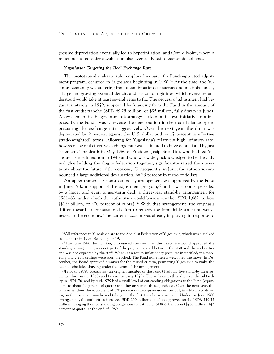gressive depreciation eventually led to hyperinflation, and Côte d'Ivoire, where a reluctance to consider devaluation also eventually led to economic collapse.

#### *Yugoslavia: Targeting the Real Exchange Rate*

The prototypical real-rate rule, employed as part of a Fund-supported adjustment program, occurred in Yugoslavia beginning in 1980.<sup>34</sup> At the time, the Yugoslav economy was suffering from a combination of macroeconomic imbalances, a large and growing external deficit, and structural rigidities, which everyone understood would take at least several years to fix. The process of adjustment had begun tentatively in 1979, supported by financing from the Fund in the amount of the first credit tranche (SDR 69.25 million, or \$95 million, fully drawn in June). A key element in the government's strategy—taken on its own initiative, not imposed by the Fund—was to reverse the deterioration in the trade balance by depreciating the exchange rate aggressively. Over the next year, the dinar was depreciated by 9 percent against the U.S. dollar and by 17 percent in effective (trade-weighted) terms. Allowing for Yugoslavia's relatively high inflation rate, however, the real effective exchange rate was estimated to have depreciated by just 5 percent. The death in May 1980 of President Josip Broz Tito, who had led Yugoslavia since liberation in 1945 and who was widely acknowledged to be the only real glue holding the fragile federation together, significantly raised the uncertainty about the future of the economy. Consequently, in June, the authorities announced a large additional devaluation, by 23 percent in terms of dollars.

An upper-tranche 18-month stand-by arrangement was approved by the Fund in June 1980 in support of this adjustment program,<sup>35</sup> and it was soon superseded by a larger and even longer-term deal: a three-year stand-by arrangement for 1981–83, under which the authorities would borrow another SDR 1,662 million (\$1.9 billion, or 400 percent of quota).36 With that arrangement, the emphasis shifted toward a more sustained effort to remedy the formidable structural weaknesses in the economy. The current account was already improving in response to

<sup>34</sup>All references to Yugoslavia are to the Socialist Federation of Yugoslavia, which was dissolved as a country in 1992. See Chapter 19.

<sup>&</sup>lt;sup>35</sup>The June 1980 devaluation, announced the day after the Executive Board approved the stand-by arrangement, was not part of the program agreed between the staff and the authorities and was not expected by the staff. When, as a result, inflationary pressures intensified, the monetary and credit ceilings were soon breached. The Fund nonetheless welcomed the move. In December, the Board approved a waiver for the missed criteria, permitting Yugoslavia to make the second scheduled drawing under the terms of the arrangement.

<sup>36</sup>Prior to 1979, Yugoslavia (an original member of the Fund) had had five stand-by arrangements: three in the 1960s and two in the early 1970s. The authorities then drew on the oil facility in 1974–76, and by mid-1979 had a small level of outstanding obligations to the Fund (equivalent to about 40 percent of quota) resulting only from those purchases. Over the next year, the authorities drew the equivalent of 100 percent of their quota under the CFF, in addition to drawing on their reserve tranche and taking out the first-tranche arrangement. Under the June 1980 arrangement, the authorities borrowed SDR 200 million out of an approved total of SDR 339.33 million, bringing their outstanding obligations to just under SDR 600 million (\$760 million; 143 percent of quota) at the end of 1980.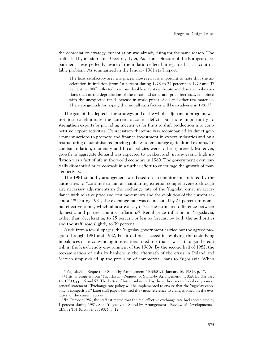the depreciation strategy, but inflation was already rising for the same reason. The staff—led by mission chief Geoffrey Tyler, Assistant Director of the European Department—was perfectly aware of the inflation effect but regarded it as a controllable problem. As summarized in the January 1981 staff report:

The least satisfactory area was prices. However, it is important to note that the acceleration in inflation [from 16 percent during 1978 to 24 percent in 1979 and 37 percent in 1980] reflected to a considerable extent deliberate and desirable policy actions such as the depreciation of the dinar and structural price increases, combined with the unexpected rapid increase in world prices of oil and other raw materials. There are grounds for hoping that not all such factors will be so adverse in 1981.<sup>37</sup>

The goal of the depreciation strategy, and of the whole adjustment program, was not just to eliminate the current account deficit but more importantly to strengthen exports by providing incentives for firms to shift production into competitive export activities. Depreciation therefore was accompanied by direct government actions to promote and finance investment in export industries and by a restructuring of administered pricing policies to encourage agricultural exports. To combat inflation, monetary and fiscal policies were to be tightened. Moreover, growth in aggregate demand was expected to weaken and, in any event, high inflation was a fact of life in the world economy in 1980. The government even partially dismantled price controls in a further effort to encourage the growth of market activity.

The 1981 stand-by arrangement was based on a commitment initiated by the authorities to "continue to aim at maintaining external competitiveness through any necessary adjustments in the exchange rate of the Yugoslav dinar in accordance with relative price and cost movements and the evolution of the current account."38 During 1981, the exchange rate was depreciated by 23 percent in nominal effective terms, which almost exactly offset the estimated difference between domestic and partner-country inflation.<sup>39</sup> Retail price inflation in Yugoslavia, rather than decelerating to 25 percent or less as forecast by both the authorities and the staff, rose slightly to 39 percent.

Aside from a few slippages, the Yugoslav government carried out the agreed program through 1981 and 1982, but it did not succeed in resolving the underlying imbalances or in convincing international creditors that it was still a good credit risk in the less-friendly environment of the 1980s. By the second half of 1982, the reexamination of risks by bankers in the aftermath of the crises in Poland and Mexico simply dried up the provision of commercial loans to Yugoslavia. When

<sup>37&</sup>quot;Yugoslavia—Request for Stand-by Arrangement," EBS/81/5 (January 16, 1981), p. 17.

<sup>38</sup>This language is from "Yugoslavia—Request for Stand-by Arrangement," EBS/81/5 (January 16, 1981), pp. 15 and 57. The Letter of Intent submitted by the authorities included only a more general statement: "Exchange rate policy will be implemented to ensure that the Yugoslav economy is competitive." Later staff papers omitted the vague reference to changes based on the evolution of the current account.

 $39$ In October 1982, the staff estimated that the real effective exchange rate had appreciated by 1 percent during 1981. See "Yugoslavia—Stand-by Arrangement—Review of Developments," EBS/82/181 (October 7, 1982), p. 17.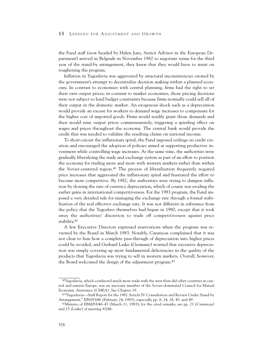the Fund staff (now headed by Helen Junz, Senior Advisor in the European Department) arrived in Belgrade in November 1982 to negotiate terms for the third year of the stand-by arrangement, they knew that they would have to insist on toughening the program.

Inflation in Yugoslavia was aggravated by structural inconsistencies created by the government's attempt to decentralize decision making within a planned economy. In contrast to economies with central planning, firms had the right to set their own output prices; in contrast to market economies, those pricing decisions were not subject to hard budget constraints because firms normally could sell all of their output in the domestic market. An exogenous shock such as a depreciation would provide an excuse for workers to demand wage increases to compensate for the higher cost of imported goods. Firms would readily grant those demands and then would raise output prices commensurately, triggering a spiraling effect on wages and prices throughout the economy. The central bank would provide the credit that was needed to validate the resulting claims on national income.

To short-circuit the inflationary spiral, the Fund imposed ceilings on credit creation and encouraged the adoption of policies aimed at supporting productive investment while controlling wage increases. At the same time, the authorities were gradually liberalizing the trade and exchange system as part of an effort to position the economy for trading more and more with western markets rather than within the Soviet-centered region.40 The process of liberalization frequently required price increases that aggravated the inflationary spiral and frustrated the effort to become more competitive. By 1982, the authorities were trying to dampen inflation by slowing the rate of currency depreciation, which of course was eroding the earlier gains in international competitiveness. For the 1983 program, the Fund imposed a very detailed rule for managing the exchange rate through a formal stabilization of the real effective exchange rate. It was not different in substance from the policy that the Yugoslavs themselves had begun in 1980, except that it took away the authorities' discretion to trade off competitiveness against price stability.41

A few Executive Directors expressed reservations when the program was reviewed by the Board in March 1983. Notably, Caranicas complained that it was not clear to him how a complete pass-through of depreciation into higher prices could be avoided, and Gerhard Laske (Germany) worried that excessive depreciation was simply covering up more fundamental deficiencies in the quality of the products that Yugoslavia was trying to sell in western markets. Overall, however, the Board welcomed the design of the adjustment program.42

<sup>40</sup>Yugoslavia, which conducted much more trade with the west than did other countries in central and eastern Europe, was an associate member of the Soviet-dominated Council for Mutual Economic Assistance (CMEA). See Chapter 19.

<sup>41&</sup>quot;Yugoslavia—Staff Report for the 1982 Article IV Consultation and Review Under Stand-by Arrangement," EBS/83/46 (February 24, 1983), especially pp. 8, 24, 26, 45, and 49.

<sup>42</sup>Minutes of EBM/83/46–47 (March 11, 1983); for the cited remarks, see pp. 21 (Caranicas) and 25 (Laske) of meeting 83/46.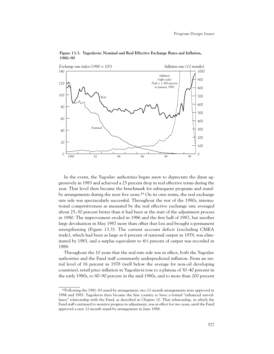

**Figure 13.3. Yugoslavia: Nominal and Real Effective Exchange Rates and Inflation, 1980–90**

In the event, the Yugoslav authorities began anew to depreciate the dinar aggressively in 1983 and achieved a 25 percent drop in real effective terms during the year. That level then became the benchmark for subsequent programs and standby arrangements during the next five years.<sup>43</sup> On its own terms, the real exchange rate rule was spectacularly successful. Throughout the rest of the 1980s, international competitiveness as measured by the real effective exchange rate averaged about 25–30 percent better than it had been at the start of the adjustment process in 1980. The improvement eroded in 1986 and the first half of 1987, but another large devaluation in May 1987 more than offset that loss and brought a permanent strengthening (Figure 13.3). The current account deficit (excluding CMEA trade), which had been as large as 6 percent of national output in 1979, was eliminated by 1983, and a surplus equivalent to  $4\frac{1}{2}$  percent of output was recorded in 1988.

Throughout the 10 years that the real-rate rule was in effect, both the Yugoslav authorities and the Fund staff consistently underpredicted inflation. From an initial level of 16 percent in 1978 (well below the average for non-oil developing countries), retail price inflation in Yugoslavia rose to a plateau of 30–40 percent in the early 1980s, to 80–90 percent in the mid-1980s, and to more than 200 percent

<sup>43</sup>Following the 1981–83 stand-by arrangement, two 12-month arrangements were approved in 1984 and 1985. Yugoslavia then became the first country to have a formal "enhanced surveillance" relationship with the Fund, as described in Chapter 10. That relationship, in which the Fund staff continued to monitor progress in adjustment, was in effect for two years, until the Fund approved a new 12-month stand-by arrangement in June 1988.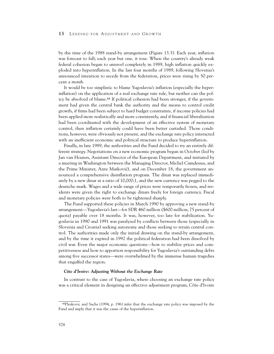by the time of the 1988 stand-by arrangement (Figure 13.3). Each year, inflation was forecast to fall; each year but one, it rose. When the country's already weak federal cohesion began to unravel completely in 1989, high inflation quickly exploded into hyperinflation. In the last four months of 1989, following Slovenia's announced intention to secede from the federation, prices were rising by 50 percent a *month*.

It would be too simplistic to blame Yugoslavia's inflation (especially the hyperinflation) on the application of a real exchange rate rule, but neither can the policy be absolved of blame.<sup>44</sup> If political cohesion had been stronger, if the government had given the central bank the authority and the means to control credit growth, if firms had been subject to hard budget constraints, if income policies had been applied more realistically and more consistently, and if financial liberalization had been coordinated with the development of an effective system of monetary control, then inflation certainly could have been better curtailed. Those conditions, however, were obviously not present, and the exchange rate policy interacted with an inefficient economic and political structure to produce hyperinflation.

Finally, in late 1989, the authorities and the Fund decided to try an entirely different strategy. Negotiations on a new economic program began in October (led by Jan van Houten, Assistant Director of the European Department, and initiated by a meeting in Washington between the Managing Director, Michel Camdessus, and the Prime Minister, Ante Marković), and on December 18, the government announced a comprehensive disinflation program. The dinar was replaced immediately by a new dinar at a ratio of 10,000:1, and the new currency was pegged to the deutsche mark. Wages and a wide range of prices were temporarily frozen, and residents were given the right to exchange dinars freely for foreign currency. Fiscal and monetary policies were both to be tightened sharply.

The Fund supported these policies in March 1990 by approving a new stand-by arrangement—Yugoslavia's last—for SDR 460 million (\$600 million; 75 percent of quota) payable over 18 months. It was, however, too late for stabilization. Yugoslavia in 1990 and 1991 was paralyzed by conflicts between those (especially in Slovenia and Croatia) seeking autonomy and those seeking to retain central control. The authorities made only the initial drawing on the stand-by arrangement, and by the time it expired in 1992 the political federation had been dissolved by civil war. Even the major economic questions—how to stabilize prices and competitiveness and how to apportion responsibility for Yugoslavia's outstanding debts among five successor states—were overwhelmed by the immense human tragedies that engulfed the region.

#### *Côte d'Ivoire: Adjusting Without the Exchange Rate*

In contrast to the case of Yugoslavia, where choosing an exchange rate policy was a critical element in designing an effective adjustment program, Côte d'Ivoire

<sup>44</sup>Pleskovic and Sachs (1994, p. 196) infer that the exchange rate policy was imposed by the Fund and imply that it was the cause of the hyperinflation.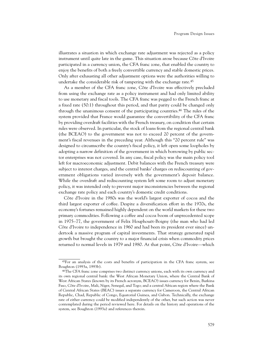illustrates a situation in which exchange rate adjustment was rejected as a policy instrument until quite late in the game. This situation arose because Côte d'Ivoire participated in a currency union, the CFA franc zone, that enabled the country to enjoy the benefits of both a freely convertible currency and stable domestic prices. Only after exhausting all other adjustment options were the authorities willing to undertake the considerable risk of tampering with the exchange rate.45

As a member of the CFA franc zone, Côte d'Ivoire was effectively precluded from using the exchange rate as a policy instrument and had only limited ability to use monetary and fiscal tools. The CFA franc was pegged to the French franc at a fixed rate (50:1) throughout this period, and that parity could be changed only through the unanimous consent of the participating countries.46 The rules of the system provided that France would guarantee the convertibility of the CFA franc by providing overdraft facilities with the French treasury, on condition that certain rules were observed. In particular, the stock of loans from the regional central bank (the BCEAO) to the government was not to exceed 20 percent of the government's fiscal revenues in the preceding year. Although this "20 percent rule" was designed to circumscribe the country's fiscal policy, it left open some loopholes by adopting a narrow definition of the government in which borrowing by public sector enterprises was not covered. In any case, fiscal policy was the main policy tool left for macroeconomic adjustment. Debit balances with the French treasury were subject to interest charges, and the central banks' charges on rediscounting of government obligations varied inversely with the government's deposit balance. While the overdraft and rediscounting system left some room to adjust monetary policy, it was intended only to prevent major inconsistencies between the regional exchange rate policy and each country's domestic credit conditions.

Côte d'Ivoire in the 1980s was the world's largest exporter of cocoa and the third largest exporter of coffee. Despite a diversification effort in the 1970s, the economy's fortunes remained highly dependent on the world markets for these two primary commodities. Following a coffee and cocoa boom of unprecedented scope in 1975–77, the government of Felix Houphouët-Boigny (the man who had led Côte d'Ivoire to independence in 1960 and had been its president ever since) undertook a massive program of capital investments. That strategy generated rapid growth but brought the country to a major financial crisis when commodity prices returned to normal levels in 1979 and 1980. At that point, Côte d'Ivoire—which

<sup>45</sup>For an analysis of the costs and benefits of participation in the CFA franc system, see Boughton (1993a, 1993b).

<sup>46</sup>The CFA franc zone comprises two distinct currency unions, each with its own currency and its own regional central bank: the West African Monetary Union, where the Central Bank of West African States (known by its French acronym, BCEAO) issues currency for Benin, Burkina Faso, Côte d'Ivoire, Mali, Niger, Senegal, and Togo; and a central African region where the Bank of Central African States (BEAC) issues a separate currency for Cameroon, the Central African Republic, Chad, Republic of Congo, Equatorial Guinea, and Gabon. Technically, the exchange rate of either currency could be modified independently of the other, but such action was never contemplated during the period reviewed here. For details on the history and operations of the system, see Boughton (1993a) and references therein.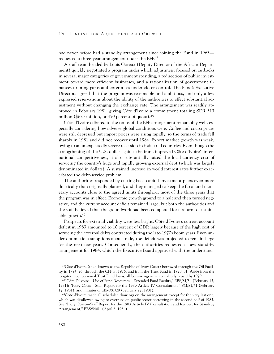had never before had a stand-by arrangement since joining the Fund in 1963 requested a three-year arrangement under the EFF.47

A staff team headed by Louis Goreux (Deputy Director of the African Department) quickly negotiated a program under which adjustment focused on cutbacks in several major categories of government spending, a redirection of public investment toward more efficient businesses, and a rationalization of government finances to bring parastatal enterprises under closer control. The Fund's Executive Directors agreed that the program was reasonable and ambitious, and only a few expressed reservations about the ability of the authorities to effect substantial adjustment without changing the exchange rate. The arrangement was readily approved in February 1981, giving Côte d'Ivoire a commitment totaling SDR 513 million (\$625 million, or 450 percent of quota).<sup>48</sup>

Côte d'Ivoire adhered to the terms of the EFF arrangement remarkably well, especially considering how adverse global conditions were. Coffee and cocoa prices were still depressed but import prices were rising rapidly, so the terms of trade fell sharply in 1981 and did not recover until 1984. Export market growth was weak, owing to an unexpectedly severe recession in industrial countries. Even though the strengthening of the U.S. dollar against the franc improved Côte d'Ivoire's international competitiveness, it also substantially raised the local-currency cost of servicing the country's huge and rapidly growing external debt (which was largely denominated in dollars). A sustained increase in world interest rates further exacerbated the debt-service problem.

The authorities responded by cutting back capital investment plans even more drastically than originally planned, and they managed to keep the fiscal and monetary accounts close to the agreed limits throughout most of the three years that the program was in effect. Economic growth ground to a halt and then turned negative, and the current account deficit remained large, but both the authorities and the staff believed that the groundwork had been completed for a return to sustainable growth.49

Prospects for external viability were less bright. Côte d'Ivoire's current account deficit in 1983 amounted to 10 percent of GDP, largely because of the high cost of servicing the external debts contracted during the late-1970s boom years. Even under optimistic assumptions about trade, the deficit was projected to remain large for the next few years. Consequently, the authorities requested a new stand-by arrangement for 1984, which the Executive Board approved with the understand-

<sup>47</sup>Côte d'Ivoire (then known as the Republic of Ivory Coast) borrowed through the Oil Facility in 1974–76, through the CFF in 1976, and from the Trust Fund in 1978–81. Aside from the long-term concessional Trust Fund loans, all borrowings were completely repaid by 1979.

<sup>48&</sup>quot;Côte D'Ivoire—Use of Fund Resources—Extended Fund Facility," EBS/81/34 (February 13, 1981); "Ivory Coast—Staff Report for the 1980 Article IV Consultation," SM/81/41 (February 17, 1981); and minutes of EBM/81/29 (February 27, 1981).

<sup>49</sup>Côte d'Ivoire made all scheduled drawings on the arrangement except for the very last one, which was disallowed owing to overruns on public sector borrowing in the second half of 1983. See "Ivory Coast—Staff Report for the 1983 Article IV Consultation and Request for Stand-by Arrangement," EBS/84/81 (April 6, 1984).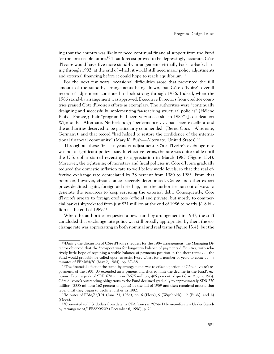ing that the country was likely to need continual financial support from the Fund for the foreseeable future.<sup>50</sup> That forecast proved to be depressingly accurate. Côte d'Ivoire would have five more stand-by arrangements virtually back-to-back, lasting through 1992, at the end of which it would still need major policy adjustments and external financing before it could hope to reach equilibrium.<sup>51</sup>

For the next few years, occasional difficulties arose that prevented the full amount of the stand-by arrangements being drawn, but Côte d'Ivoire's overall record of adjustment continued to look strong through 1986. Indeed, when the 1986 stand-by arrangement was approved, Executive Directors from creditor countries praised Côte d'Ivoire's efforts as exemplary. The authorities were "continually designing and successfully implementing far-reaching structural policies" (Hélène Ploix—France); their "program had been very successful in 1985" (J. de Beaufort Wijnholds—Alternate, Netherlands); "performance . . . had been excellent and the authorities deserved to be particularly commended" (Bernd Goos—Alternate, Germany); and that record "had helped to restore the confidence of the international financial community" (Mary K. Bush—Alternate, United States).52

Throughout those first six years of adjustment, Côte d'Ivoire's exchange rate was not a significant policy issue. In effective terms, the rate was quite stable until the U.S. dollar started reversing its appreciation in March 1985 (Figure 13.4). Moreover, the tightening of monetary and fiscal policies in Côte d'Ivoire gradually reduced the domestic inflation rate to well below world levels, so that the real effective exchange rate depreciated by 28 percent from 1980 to 1985. From that point on, however, circumstances severely deteriorated. Coffee and other export prices declined again, foreign aid dried up, and the authorities ran out of ways to generate the resources to keep servicing the external debt. Consequently, Côte d'Ivoire's arrears to foreign creditors (official and private, but mostly to commercial banks) skyrocketed from just \$21 million at the end of 1986 to nearly \$1.8 billion at the end of 1989.53

When the authorities requested a new stand-by arrangement in 1987, the staff concluded that exchange rate policy was still broadly appropriate. By then, the exchange rate was appreciating in both nominal and real terms (Figure 13.4), but the

<sup>50</sup>During the discussion of Côte d'Ivoire's request for the 1984 arrangement, the Managing Director observed that the "prospect was for long-term balance of payments difficulties, with relatively little hope of regaining a viable balance of payments position in the short term; . . . the Fund would probably be called upon to assist Ivory Coast for a number of years to come . . . "; minutes of EBM/84/70 (May 2, 1984), pp. 37–38.

<sup>51</sup>The financial effect of the stand-by arrangements was to offset a portion of Côte d'Ivoire's repayments of the 1981–83 extended arrangement and thus to limit the decline in the Fund's exposure. From a peak of SDR 670 million (\$675 million; 405 percent of quota) in August 1984, Côte d'Ivoire's outstanding obligations to the Fund declined gradually to approximately SDR 270 million (\$335 million; 160 percent of quota) by the fall of 1989 and then remained around that level until they began to decline further in 1992.

<sup>52</sup>Minutes of EBM/86/101 (June 23, 1986), pp. 6 (Ploix), 9 (Wijnholds), 12 (Bush), and 14 (Goos).

<sup>53</sup>Converted to U.S. dollars from data in CFA francs in "Côte D'Ivoire—Review Under Standby Arrangement," EBS/90/209 (December 6, 1990), p. 21.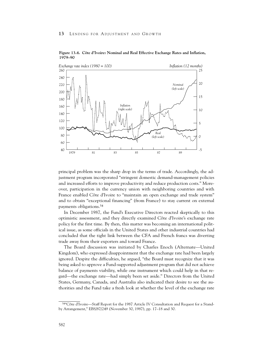

**Figure 13.4. Côte d'Ivoire: Nominal and Real Effective Exchange Rates and Inflation, 1979–90**

principal problem was the sharp drop in the terms of trade. Accordingly, the adjustment program incorporated "stringent domestic demand-management policies and increased efforts to improve productivity and reduce production costs." Moreover, participation in the currency union with neighboring countries and with France enabled Côte d'Ivoire to "maintain an open exchange and trade system" and to obtain "exceptional financing" (from France) to stay current on external payments obligations.54

In December 1987, the Fund's Executive Directors reacted skeptically to this optimistic assessment, and they directly examined Côte d'Ivoire's exchange rate policy for the first time. By then, this matter was becoming an international political issue, as some officials in the United States and other industrial countries had concluded that the tight link between the CFA and French francs was diverting trade away from their exporters and toward France.

The Board discussion was initiated by Charles Enoch (Alternate—United Kingdom), who expressed disappointment that the exchange rate had been largely ignored. Despite the difficulties, he argued, "the Board must recognize that it was being asked to approve a Fund-supported adjustment program that did not achieve balance of payments viability, while one instrument which could help in that regard—the exchange rate—had simply been set aside." Directors from the United States, Germany, Canada, and Australia also indicated their desire to see the authorities and the Fund take a fresh look at whether the level of the exchange rate

<sup>54&</sup>quot;Côte d'Ivoire—Staff Report for the 1987 Article IV Consultation and Request for a Standby Arrangement," EBS/87/249 (November 30, 1987), pp. 17–18 and 30.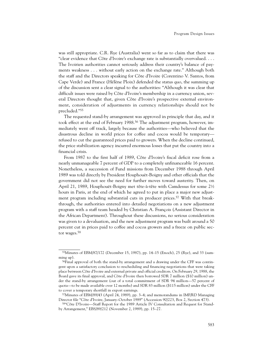was still appropriate. C.R. Rye (Australia) went so far as to claim that there was "clear evidence that Côte d'Ivoire's exchange rate is substantially overvalued. . . . The Ivoirien authorities cannot seriously address their country's balance of payments weakness . . . without early action on the exchange rate." Although both the staff and the Directors speaking for Côte d'Ivoire (Corentino V. Santos, from Cape Verde) and France (Hélène Ploix) defended the status quo, the summing up of the discussion sent a clear signal to the authorities: "Although it was clear that difficult issues were raised by Côte d'Ivoire's membership in a currency union, several Directors thought that, given Côte d'Ivoire's prospective external environment, consideration of adjustments in currency relationships should not be precluded."55

The requested stand-by arrangement was approved in principle that day, and it took effect at the end of February 1988.<sup>56</sup> The adjustment program, however, immediately went off track, largely because the authorities—who believed that the disastrous decline in world prices for coffee and cocoa would be temporary refused to cut the guaranteed prices paid to growers. When the decline continued, the price stabilization agency incurred enormous losses that put the country into a financial crisis.

From 1987 to the first half of 1989, Côte d'Ivoire's fiscal deficit rose from a nearly unmanageable 7 percent of GDP to a completely unfinanceable 16 percent. Nonetheless, a succession of Fund missions from December 1988 through April 1989 was told directly by President Houphouët-Boigny and other officials that the government did not see the need for further moves toward austerity. Then, on April 21, 1989, Houphouët-Boigny met tête-à-tête with Camdessus for some 2!/2 hours in Paris, at the end of which he agreed to put in place a major new adjustment program including substantial cuts in producer prices.57 With that breakthrough, the authorities entered into detailed negotiations on a new adjustment program with a staff team headed by Christian A. François (Assistant Director in the African Department). Throughout these discussions, no serious consideration was given to a devaluation, and the new adjustment program was built around a 50 percent cut in prices paid to coffee and cocoa growers and a freeze on public sector wages.58

<sup>55</sup>Minutes of EBM/87/172 (December 15, 1987), pp. 14–15 (Enoch), 25 (Rye), and 33 (summing up).

<sup>56</sup>Final approval of both the stand-by arrangement and a drawing under the CFF was contingent upon a satisfactory conclusion to rescheduling and financing negotiations that were taking place between Côte d'Ivoire and external private and official creditors. On February 29, 1988, the Board gave its final approval, and Côte d'Ivoire then borrowed SDR 7 million (\$10 million) under the stand-by arrangement (out of a total commitment of SDR 94 million—57 percent of quota—to be made available over 12 months) and SDR 83 million (\$115 million) under the CFF to cover a temporary shortfall in export earnings.

<sup>57</sup>Minutes of EBM/89/43 (April 24, 1989), pp. 3–4; and memorandums in IMF/RD Managing Director file "Côte d'Ivoire, January–October 1989" (Accession 90/223, Box 2, Section 473).

<sup>58&</sup>quot;Côte D'Ivoire—Staff Report for the 1989 Article IV Consultation and Request for Standby Arrangement," EBS/89/212 (November 2, 1989), pp. 15–27.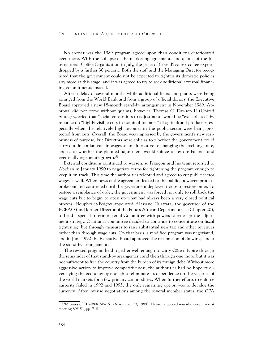No sooner was the 1989 program agreed upon than conditions deteriorated even more. With the collapse of the marketing agreements and quotas of the International Coffee Organization in July, the price of Côte d'Ivoire's coffee exports dropped by a further 30 percent. Both the staff and the Managing Director recognized that the government could not be expected to tighten its domestic policies any more at this stage, and it was agreed to try to seek additional external financing commitments instead.

After a delay of several months while additional loans and grants were being arranged from the World Bank and from a group of official donors, the Executive Board approved a new 18-month stand-by arrangement in November 1989. Approval did not come without qualms, however. Thomas C. Dawson II (United States) worried that "social constraints to adjustment" would be "exacerbated" by reliance on "highly visible cuts in nominal incomes" of agricultural producers, especially when the relatively high incomes in the public sector were being protected from cuts. Overall, the Board was impressed by the government's new seriousness of purpose, but Directors were split as to whether the government could carry out draconian cuts in wages as an alternative to changing the exchange rate, and as to whether the planned adjustment would suffice to restore balance and eventually regenerate growth.59

External conditions continued to worsen, so François and his team returned to Abidjan in January 1990 to negotiate terms for tightening the program enough to keep it on track. This time the authorities relented and agreed to cut public sector wages as well. When news of the agreement leaked to the public, however, protests broke out and continued until the government deployed troops to restore order. To restore a semblance of order, the government was forced not only to roll back the wage cuts but to begin to open up what had always been a very closed political process. Houphouët-Boigny appointed Alassane Ouattara, the governor of the BCEAO (and former Director of the Fund's African Department; see Chapter 20), to head a special Interministerial Committee with powers to redesign the adjustment strategy. Ouattara's committee decided to continue to concentrate on fiscal tightening, but through measures to raise substantial new tax and other revenues rather than through wage cuts. On that basis, a modified program was negotiated, and in June 1990 the Executive Board approved the resumption of drawings under the stand-by arrangement.

The revised program held together well enough to carry Côte d'Ivoire through the remainder of that stand-by arrangement and then through one more, but it was not sufficient to free the country from the burden of its foreign debt. Without more aggressive action to improve competitiveness, the authorities had no hope of diversifying the economy by enough to eliminate its dependence on the vagaries of the world markets for a few primary commodities. When further efforts to enforce austerity failed in 1992 and 1993, the only remaining option was to devalue the currency. After intense negotiations among the several member states, the CFA

<sup>59</sup>Minutes of EBM/89/150–151 (November 20, 1989). Dawson's quoted remarks were made at meeting 89/151, pp. 7–8.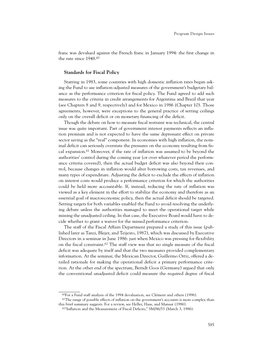franc was devalued against the French franc in January 1994: the first change in the rate since 1948.60

#### **Standards for Fiscal Policy**

Starting in 1983, some countries with high domestic inflation rates began asking the Fund to use inflation-adjusted measures of the government's budgetary balance as the performance criterion for fiscal policy. The Fund agreed to add such measures to the criteria in credit arrangements for Argentina and Brazil that year (see Chapters 8 and 9, respectively) and for Mexico in 1986 (Chapter 10). Those agreements, however, were exceptions to the general practice of setting ceilings only on the overall deficit or on monetary financing of the deficit.

Though the debate on how to measure fiscal restraint was technical, the central issue was quite important. Part of government interest payments reflects an inflation premium and is not expected to have the same depressant effect on private sector saving as the "real" component. In economies with high inflation, the nominal deficit can seriously overstate the pressures on the economy resulting from fiscal expansion.61 Moreover, if the rate of inflation was assumed to be beyond the authorities' control during the coming year (or over whatever period the performance criteria covered), then the actual budget deficit was also beyond their control, because changes in inflation would alter borrowing costs, tax revenues, and many types of expenditure. Adjusting the deficit to exclude the effects of inflation on interest costs would produce a performance criterion for which the authorities could be held more accountable. If, instead, reducing the rate of inflation was viewed as a key element in the effort to stabilize the economy and therefore as an essential goal of macroeconomic policy, then the actual deficit should be targeted. Setting targets for both variables enabled the Fund to avoid resolving the underlying debate unless the authorities managed to meet the operational target while missing the unadjusted ceiling. In that case, the Executive Board would have to decide whether to grant a waiver for the missed performance criterion.

The staff of the Fiscal Affairs Department prepared a study of this issue (published later as Tanzi, Blejer, and Teijeiro, 1987), which was discussed by Executive Directors in a seminar in June 1986: just when Mexico was pressing for flexibility on the fiscal constraint.<sup>62</sup> The staff view was that no single measure of the fiscal deficit was adequate by itself and that the two measures provided complementary information. At the seminar, the Mexican Director, Guillermo Ortiz, offered a detailed rationale for making the operational deficit a primary performance criterion. At the other end of the spectrum, Berndt Goos (Germany) argued that only the conventional unadjusted deficit could measure the required degree of fiscal

<sup>60</sup>For a Fund staff analysis of the 1994 devaluation, see Clément and others (1996).

<sup>&</sup>lt;sup>61</sup>The range of possible effects of inflation on the government's accounts is more complex than this brief summary suggests. For a review, see Heller, Haas, and Mansur (1986).

<sup>62&</sup>quot;Inflation and the Measurement of Fiscal Deficits," SM/86/53 (March 3, 1986).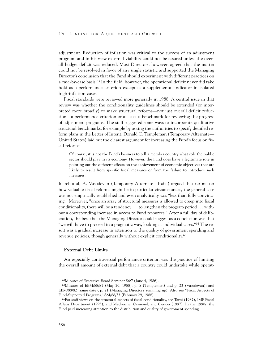adjustment. Reduction of inflation was critical to the success of an adjustment program, and in his view external viability could not be assured unless the overall budget deficit was reduced. Most Directors, however, agreed that the matter could not be resolved in favor of any single statistic and supported the Managing Director's conclusion that the Fund should experiment with different practices on a case-by-case basis.63 In the field, however, the operational deficit never did take hold as a performance criterion except as a supplemental indicator in isolated high-inflation cases.

Fiscal standards were reviewed more generally in 1988. A central issue in that review was whether the conditionality guidelines should be extended (or interpreted more broadly) to make structural reforms—not just overall deficit reduction—a performance criterion or at least a benchmark for reviewing the progress of adjustment programs. The staff suggested some ways to incorporate qualitative structural benchmarks, for example by asking the authorities to specify detailed reform plans in the Letter of Intent. Donald C. Templeman (Temporary Alternate— United States) laid out the clearest argument for increasing the Fund's focus on fiscal reforms:

Of course, it is not the Fund's business to tell a member country what role the public sector should play in its economy. However, the Fund does have a legitimate role in pointing out the different effects on the achievement of economic objectives that are likely to result from specific fiscal measures or from the failure to introduce such measures.

In rebuttal, A. Vasudevan (Temporary Alternate—India) argued that no matter how valuable fiscal reforms might be in particular circumstances, the general case was not empirically established and even analytically was "less than fully convincing." Moreover, "once an array of structural measures is allowed to creep into fiscal conditionality, there will be a tendency  $\dots$  to lengthen the program period  $\dots$  without a corresponding increase in access to Fund resources." After a full day of deliberation, the best that the Managing Director could suggest as a conclusion was that "we will have to proceed in a pragmatic way, looking at individual cases."64 The result was a gradual increase in attention to the quality of government spending and revenue policies, though generally without explicit conditionality.65

#### **External Debt Limits**

An especially controversial performance criterion was the practice of limiting the overall amount of external debt that a country could undertake while operat-

<sup>63</sup>Minutes of Executive Board Seminar 86/7 (June 4, 1986).

<sup>64</sup>Minutes of EBM/88/81 (May 20, 1988), p. 5 (Templeman) and p. 23 (Vasudevan); and EBM/88/82 (same date), p. 21 (Managing Director's summing up). Also see "Fiscal Aspects of Fund-Supported Programs," SM/88/53 (February 29, 1988).

<sup>65</sup>For staff views on the structural aspects of fiscal conditionality, see Tanzi (1987), IMF Fiscal Affairs Department (1995), and Mackenzie, Orsmond, and Gerson (1997). In the 1990s, the Fund paid increasing attention to the distribution and quality of government spending.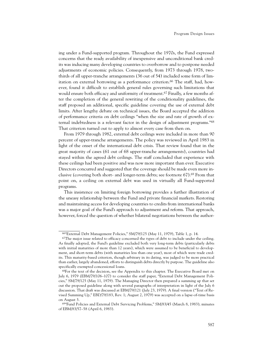ing under a Fund-supported program. Throughout the 1970s, the Fund expressed concerns that the ready availability of inexpensive and unconditional bank credits was inducing many developing countries to overborrow and to postpone needed adjustments of economic policies. Consequently, from 1973 through 1978, twothirds of all upper-tranche arrangements (36 out of 54) included some form of limitation on external borrowing as a performance criterion.<sup>66</sup> The staff, had, however, found it difficult to establish general rules governing such limitations that would ensure both efficacy and uniformity of treatment.<sup>67</sup> Finally, a few months after the completion of the general rewriting of the conditionality guidelines, the staff proposed an additional, specific guideline covering the use of external debt limits. After lengthy debate on technical issues, the Board accepted the addition of performance criteria on debt ceilings "when the size and rate of growth of external indebtedness is a relevant factor in the design of adjustment programs."68 That criterion turned out to apply to almost every case from then on.

From 1979 through 1982, external debt ceilings were included in more than 90 percent of upper-tranche arrangements. The policy was reviewed in April 1983 in light of the onset of the international debt crisis. That review found that in the great majority of cases (61 out of 68 upper-tranche arrangements), countries had stayed within the agreed debt ceilings. The staff concluded that experience with these ceilings had been positive and was now more important than ever. Executive Directors concurred and suggested that the coverage should be made even more inclusive (covering both short- and longer-term debts; see footnote 67).69 From that point on, a ceiling on external debt was used in virtually all Fund-supported programs.

This insistence on limiting foreign borrowing provides a further illustration of the uneasy relationship between the Fund and private financial markets. Restoring and maintaining access for developing countries to credits from international banks was a major goal of the Fund's approach to adjustment and reform. That approach, however, forced the question of whether bilateral negotiations between the author-

<sup>66&</sup>quot;External Debt Management Policies," SM/79/125 (May 11, 1979), Table 1, p. 14.

<sup>&</sup>lt;sup>67</sup>The major issue related to efficacy concerned the types of debt to include under the ceiling. As finally adopted, the Fund's guideline excluded both very long-term debts (particularly debts with initial maturities of more than 12 years), which were assumed to be beneficial to development, and short-term debts (with maturities less than one year), most of which were trade credits. This maturity-based criterion, though arbitrary in its dating, was judged to be more practical than earlier, largely abandoned, efforts to distinguish debts directly by purpose. The guideline also specifically exempted concessional loans.

<sup>68</sup>For the text of the decision, see the Appendix to this chapter. The Executive Board met on July 6, 1979 (EBM/79/106–107) to consider the staff paper, "External Debt Management Policies," SM/79/125 (May 11, 1979). The Managing Director then prepared a summing up that set out the proposed guideline along with several paragraphs of interpretation in light of the July 6 discussion. That draft was discussed at EBM/79/121 (July 23, 1979). A final version ("Text of Revised Summing Up," EBD/79/183, Rev. 1; August 2, 1979) was accepted on a lapse-of-time basis on August 3.

<sup>69&</sup>quot;Fund Policies and External Debt Servicing Problems," SM/83/45 (March 8, 1983); minutes of EBM/83/57–58 (April 6, 1983).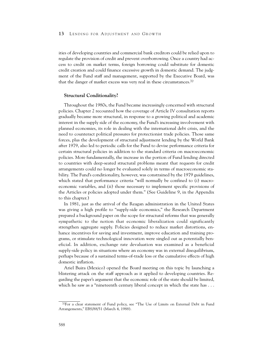ities of developing countries and commercial bank creditors could be relied upon to regulate the provision of credit and prevent overborrowing. Once a country had access to credit on market terms, foreign borrowing could substitute for domestic credit creation and could finance excessive growth in domestic demand. The judgment of the Fund staff and management, supported by the Executive Board, was that the danger of market excess was very real in these circumstances.70

#### **Structural Conditionality?**

Throughout the 1980s, the Fund became increasingly concerned with structural policies. Chapter 2 recounted how the coverage of Article IV consultation reports gradually became more structural, in response to a growing political and academic interest in the supply side of the economy, the Fund's increasing involvement with planned economies, its role in dealing with the international debt crisis, and the need to counteract political pressures for protectionist trade policies. Those same forces, plus the development of structural adjustment lending by the World Bank after 1979, also led to periodic calls for the Fund to devise performance criteria for certain structural policies in addition to the standard criteria on macroeconomic policies. More fundamentally, the increase in the portion of Fund lending directed to countries with deep-seated structural problems meant that requests for credit arrangements could no longer be evaluated solely in terms of macroeconomic stability. The Fund's conditionality, however, was constrained by the 1979 guidelines, which stated that performance criteria "will normally be confined to (i) macroeconomic variables, and (ii) those necessary to implement specific provisions of the Articles or policies adopted under them." (See Guideline 9, in the Appendix to this chapter.)

In 1981, just as the arrival of the Reagan administration in the United States was giving a high profile to "supply-side economics," the Research Department prepared a background paper on the scope for structural reforms that was generally sympathetic to the notion that economic liberalization could significantly strengthen aggregate supply. Policies designed to reduce market distortions, enhance incentives for saving and investment, improve education and training programs, or stimulate technological innovation were singled out as potentially beneficial. In addition, exchange rate devaluation was examined as a beneficial supply-side policy in situations where an economy was in external disequilibrium, perhaps because of a sustained terms-of-trade loss or the cumulative effects of high domestic inflation.

Ariel Buira (Mexico) opened the Board meeting on this topic by launching a blistering attack on the staff approach as it applied to developing countries. Regarding the paper's argument that the economic role of the state should be limited, which he saw as a "nineteenth century liberal concept in which the state has . . .

<sup>70</sup>For a clear statement of Fund policy, see "The Use of Limits on External Debt in Fund Arrangements," EBS/88/51 (March 4, 1988).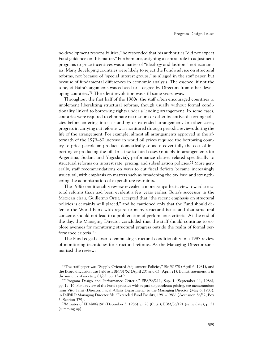no development responsibilities," he responded that his authorities "did not expect Fund guidance on this matter." Furthermore, assigning a central role in adjustment programs to price incentives was a matter of "ideology and fashion," not economics. Many developing countries were likely to reject the Fund's advice on structural reforms, not because of "special interest groups," as alleged in the staff paper, but because of fundamental differences in economic analysis. The essence, if not the tone, of Buira's arguments was echoed to a degree by Directors from other developing countries.71 The silent revolution was still some years away.

Throughout the first half of the 1980s, the staff often encouraged countries to implement liberalizing structural reforms, though usually without formal conditionality linked to borrowing rights under a lending arrangement. In some cases, countries were required to eliminate restrictions or other incentive-distorting policies before entering into a stand-by or extended arrangement. In other cases, progress in carrying out reforms was monitored through periodic reviews during the life of the arrangement. For example, almost all arrangements approved in the aftermath of the 1979–80 increase in world oil prices required the borrowing country to price petroleum products domestically so as to cover fully the cost of importing or producing the oil. In a few isolated cases (notably in arrangements for Argentina, Sudan, and Yugoslavia), performance clauses related specifically to structural reforms on interest rate, pricing, and subsidization policies.<sup>72</sup> More generally, staff recommendations on ways to cut fiscal deficits became increasingly structural, with emphasis on matters such as broadening the tax base and strengthening the administration of expenditure restraints.

The 1986 conditionality review revealed a more sympathetic view toward structural reforms than had been evident a few years earlier. Buira's successor in the Mexican chair, Guillermo Ortiz, accepted that "the recent emphasis on structural policies is certainly well placed," and he cautioned only that the Fund should defer to the World Bank with regard to many structural issues and that structural concerns should not lead to a proliferation of performance criteria. At the end of the day, the Managing Director concluded that the staff should continue to explore avenues for monitoring structural progress outside the realm of formal performance criteria.73

The Fund edged closer to embracing structural conditionality in a 1987 review of monitoring techniques for structural reforms. As the Managing Director summarized the review:

<sup>71</sup>The staff paper was "Supply-Oriented Adjustment Policies," SM/81/78 (April 6, 1981), and the Board discussion was held at EBM/81/62 (April 20) and 63 (April 21). Buira's statement is in the minutes of meeting 81/62, pp. 13–19.

<sup>72&</sup>quot;Program Design and Performance Criteria," EBS/86/211, Sup. 1 (September 11, 1986), pp. 15–16. For a review of the Fund's practice with regard to petroleum pricing, see memorandum from Vito Tanzi (Director, Fiscal Affairs Department) to the Managing Director (May 6, 1983), in IMF/RD Managing Director file "Extended Fund Facility, 1981–1983" (Accession 86/32, Box 3, Section 379).

<sup>73</sup>Minutes of EBM/86/190 (December 3, 1986), p. 20 (Ortiz); EBM/86/191 (same date), p. 51 (summing up).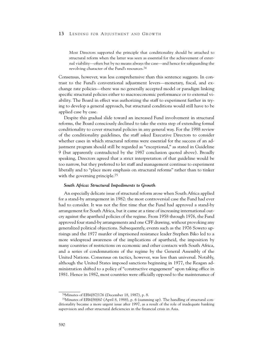Most Directors supported the principle that conditionality should be attached to structural reform when the latter was seen as essential for the achievement of external viability—often but by no means always the case—and hence for safeguarding the revolving character of the Fund's resources.74

Consensus, however, was less comprehensive than this sentence suggests. In contrast to the Fund's conventional adjustment levers—monetary, fiscal, and exchange rate policies—there was no generally accepted model or paradigm linking specific structural policies either to macroeconomic performance or to external viability. The Board in effect was authorizing the staff to experiment further in trying to develop a general approach, but structural conditions would still have to be applied case by case.

Despite this gradual slide toward an increased Fund involvement in structural reforms, the Board consciously declined to take the extra step of extending formal conditionality to cover structural policies in any general way. For the 1988 review of the conditionality guidelines, the staff asked Executive Directors to consider whether cases in which structural reforms were essential for the success of an adjustment program should still be regarded as "exceptional," as stated in Guideline 9 (but apparently contradicted by the 1987 conclusion quoted above). Broadly speaking, Directors agreed that a strict interpretation of that guideline would be too narrow, but they preferred to let staff and management continue to experiment liberally and to "place more emphasis on structural reforms" rather than to tinker with the governing principle.<sup>75</sup>

#### *South Africa: Structural Impediments to Growth*

An especially delicate issue of structural reform arose when South Africa applied for a stand-by arrangement in 1982: the most controversial case the Fund had ever had to consider. It was not the first time that the Fund had approved a stand-by arrangement for South Africa, but it came at a time of increasing international outcry against the apartheid policies of the regime. From 1958 through 1976, the Fund approved four stand-by arrangements and one CFF drawing, without provoking any generalized political objections. Subsequently, events such as the 1976 Soweto uprisings and the 1977 murder of imprisoned resistance leader Stephen Biko led to a more widespread awareness of the implications of apartheid, the imposition by many countries of restrictions on economic and other contacts with South Africa, and a series of condemnations of the regime by the General Assembly of the United Nations. Consensus on tactics, however, was less than universal. Notably, although the United States imposed sanctions beginning in 1977, the Reagan administration shifted to a policy of "constructive engagement" upon taking office in 1981. Hence in 1982, most countries were officially opposed to the maintenance of

<sup>74</sup>Minutes of EBM/87/176 (December 18, 1987), p. 8.

<sup>75</sup>Minutes of EBM/88/60 (April 8, 1988), p. 6 (summing up). The handling of structural conditionality became a more urgent issue after 1997, as a result of the role of inadequate banking supervision and other structural deficiencies in the financial crisis in Asia.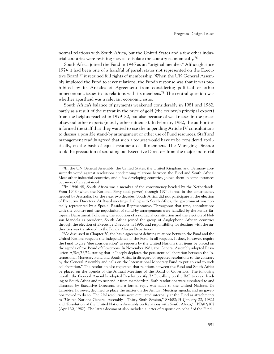normal relations with South Africa, but the United States and a few other industrial countries were resisting moves to isolate the country economically.76

South Africa joined the Fund in 1945 as an "original member." Although since 1974 it had been one of a handful of pariah states not represented on the Executive Board,<sup>77</sup> it retained full rights of membership. When the UN General Assembly implored the Fund to sever relations, the Fund's response was that it was prohibited by its Articles of Agreement from considering political or other noneconomic issues in its relations with its members.78 The central question was whether apartheid was a relevant economic issue.

South Africa's balance of payments weakened considerably in 1981 and 1982, partly as a result of the retreat in the price of gold (the country's principal export) from the heights reached in 1979–80, but also because of weaknesses in the prices of several other exports (mostly other minerals). In February 1982, the authorities informed the staff that they wanted to use the impending Article IV consultations to discuss a possible stand-by arrangement or other use of Fund resources. Staff and management readily agreed that such a request would have to be considered apolitically, on the basis of equal treatment of all members. The Managing Director took the precaution of sounding out Executive Directors from the major industrial

<sup>76</sup>In the UN General Assembly, the United States, the United Kingdom, and Germany consistently voted against resolutions condemning relations between the Fund and South Africa. Most other industrial countries, and a few developing countries, joined them in some instances but more often abstained.

<sup>77</sup>In 1946–48, South Africa was a member of the constituency headed by the Netherlands. From 1948 (when the National Party took power) through 1974, it was in the constituency headed by Australia. For the next two decades, South Africa did not participate in the election of Executive Directors. At Board meetings dealing with South Africa, the government was normally represented by a Special Resident Representative. Throughout that time, consultations with the country and the negotiation of stand-by arrangements were handled by the Fund's European Department. Following the adoption of a nonracial constitution and the election of Nelson Mandela as president, South Africa joined the group of Anglophone African countries through the election of Executive Directors in 1996, and responsibility for dealings with the authorities was transferred to the Fund's African Department.

<sup>78</sup>As discussed in Chapter 20, the basic agreement defining relations between the Fund and the United Nations respects the independence of the Fund in all respects. It does, however, require the Fund to give "due consideration" to requests by the United Nations that items be placed on the agenda of the Board of Governors. In November 1981, the General Assembly adopted Resolution A/Res/36/52, stating that it "deeply deplores the persistent collaboration between the International Monetary Fund and South Africa in disregard of repeated resolutions to the contrary by the General Assembly and calls on the International Monetary Fund to put an end to such collaboration." The resolution also requested that relations between the Fund and South Africa be placed on the agenda of the Annual Meetings of the Board of Governors. The following month, the General Assembly adopted Resolution 36/172 D, calling on the IMF to cease lending to South Africa and to suspend it from membership. Both resolutions were circulated to and discussed by Executive Directors, and a formal reply was made to the United Nations. De Larosière, however, declined to place the matter on the Annual Meetings agenda, and no governor moved to do so. The UN resolutions were circulated internally at the Fund as attachments to "United Nations General Assembly—Thirty-Sixth Session," SM/82/15 (January 22, 1982) and "Resolution of the United Nations Assembly on Relations with South Africa," EBD/82/107 (April 30, 1982). The latter document also included a letter of response on behalf of the Fund.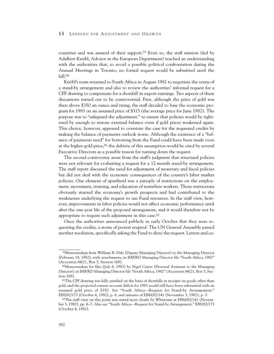countries and was assured of their support.79 Even so, the staff mission (led by Adalbert Knöbl, Advisor in the European Department) reached an understanding with the authorities that, to avoid a possible political confrontation during the Annual Meetings in Toronto, no formal request would be submitted until the fall.80

Knöbl's team returned to South Africa in August 1982 to negotiate the terms of a stand-by arrangement and also to review the authorities' informal request for a CFF drawing to compensate for a shortfall in export earnings. Two aspects of these discussions turned out to be controversial. First, although the price of gold was then above \$350 an ounce and rising, the staff decided to base the economic program for 1983 on an assumed price of \$315 (the average price for June 1982). The purpose was to "safeguard the adjustment," to ensure that policies would be tightened by enough to restore external balance even if gold prices weakened again. This choice, however, appeared to overstate the case for the requested credits by making the balance of payments outlook worse. Although the existence of a "balance of payments need" for borrowing from the Fund could have been made even at the higher gold price, $81$  the dubiety of this assumption would be cited by several Executive Directors as a possible reason for turning down the request.

The second controversy arose from the staff's judgment that structural policies were not relevant for evaluating a request for a 12-month stand-by arrangement. The staff report discussed the need for adjustment of monetary and fiscal policies but did not deal with the economic consequences of the country's labor market policies. One element of apartheid was a panoply of restrictions on the employment, movement, training, and education of nonwhite workers. Those restrictions obviously stunted the economy's growth prospects and had contributed to the weaknesses underlying the request to use Fund resources. In the staff view, however, improvements in labor policies would not affect economic performance until after the one-year life of the proposed arrangement, and it would therefore not be appropriate to require such adjustment in this case.82

Once the authorities announced publicly in early October that they were requesting the credits, a storm of protest erupted. The UN General Assembly passed another resolution, specifically asking the Fund to deny the request. Letters and ca-

<sup>79</sup>Memorandum from William B. Dale (Deputy Managing Director) to the Managing Director (February 18, 1982), with attachments; in IMF/RD Managing Director file "South Africa, 1982" (Accession 84/21, Box 5, Section 168).

<sup>80</sup>Memorandum for files (July 8, 1982) by Nigel Carter (Personal Assistant to the Managing Director); in IMF/RD Managing Director file "South Africa, 1982" (Accession 84/21, Box 5, Section 168).

<sup>81</sup>The CFF drawing was fully justified on the basis of shortfalls in receipts on goods other than gold, and the projected current account deficit for 1983 would still have been substantial with an assumed gold price of \$350. See "South Africa—Request for Stand-by Arrangement," EBS/82/173 (October 4, 1982), p. 6, and minutes of EBM/82/141 (November 3, 1982), p. 3.

<sup>82</sup>The staff view on this point was stated most clearly by Whittome at EBM/82/141 (November 3, 1982), pp. 6–7. Also see "South Africa—Request for Stand-by Arrangement," EBS/82/173 (October 4, 1982).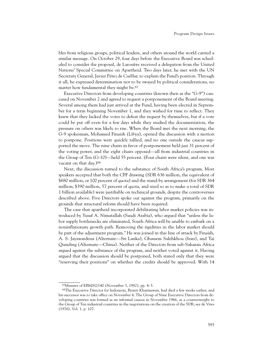bles from religious groups, political leaders, and others around the world carried a similar message. On October 29, four days before the Executive Board was scheduled to consider the proposal, de Larosière received a delegation from the United Nations' Special Committee on Apartheid. Two days later, he met with the UN Secretary General, Javier Pérez de Cuéllar, to explain the Fund's position. Through it all, he expressed determination not to be swayed by political considerations, no matter how fundamental they might be.<sup>83</sup>

Executive Directors from developing countries (known then as the "G-9") caucused on November 2 and agreed to request a postponement of the Board meeting. Several among them had just arrived at the Fund, having been elected in September for a term beginning November 1, and they wished for time to reflect. They knew that they lacked the votes to defeat the request by themselves, but if a vote could be put off even for a few days while they studied the documentation, the pressure on others was likely to rise. When the Board met the next morning, the G-9 spokesman, Mohamed Finaish (Libya), opened the discussion with a motion to postpone. Positions were quickly tallied, and no one outside the caucus supported the move. The nine chairs in favor of postponement held just 31 percent of the voting power, and the eight chairs opposed—all from industrial countries in the Group of Ten (G-10)—held 55 percent. (Four chairs were silent, and one was vacant on that day.)84

Next, the discussion turned to the substance of South Africa's program. Most speakers accepted that both the CFF drawing (SDR 636 million, the equivalent of \$680 million, or 100 percent of quota) and the stand-by arrangement (for SDR 364 million; \$390 million, 57 percent of quota, and sized so as to make a total of SDR 1 billion available) were justifiable on technical grounds, despite the controversies described above. Five Directors spoke out against the program, primarily on the grounds that structural reform should have been required.

The case that apartheid incorporated debilitating labor market policies was introduced by Yusuf A. Nimatallah (Saudi Arabia), who argued that "unless the labor supply bottlenecks are eliminated, South Africa will be unable to embark on a noninflationary growth path. Removing the rigidities in the labor market should be part of the adjustment program." He was joined in this line of attack by Finaish, A. S. Jayawardena (Alternate—Sri Lanka), Ghassem Salehkhou (Iran), and Tai Qianding (Alternate—China). Neither of the Directors from sub-Saharan Africa argued against the substance of the program, and neither voted against it. Having argued that the discussion should be postponed, both stated only that they were "reserving their positions" on whether the credits should be approved. With 14

<sup>83</sup>Minutes of EBM/82/140 (November 3, 1982), pp. 4–5.

<sup>84</sup>The Executive Director for Indonesia, Byanti Kharmawan, had died a few weeks earlier, and his successor was to take office on November 4. The Group of Nine Executive Directors from developing countries was formed as an informal caucus in November 1966, as a counterweight to the Group of Ten industrial countries in the negotiations on the creation of the SDR; see de Vries (1976), Vol. 1, p. 107.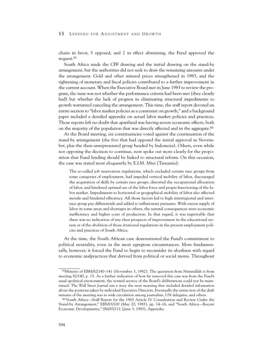chairs in favor, 5 opposed, and 2 in effect abstaining, the Fund approved the request.85

South Africa made the CFF drawing and the initial drawing on the stand-by arrangement, but the authorities did not seek to draw the remaining amounts under the arrangement. Gold and other mineral prices strengthened in 1983, and the tightening of monetary and fiscal policies contributed to a further improvement in the current account. When the Executive Board met in June 1983 to review the program, the issue was not whether the performance criteria had been met (they clearly had) but whether the lack of progress in eliminating structural impediments to growth warranted canceling the arrangement. This time, the staff report devoted an entire section to "labor market policies as a constraint on growth," and a background paper included a detailed appendix on actual labor market policies and practices. Those reports left no doubt that apartheid was having severe economic effects, both on the majority of the population that was directly affected and in the aggregate.<sup>86</sup>

At the Board meeting, six constituencies voted against the continuation of the stand-by arrangement (the five that had opposed the initial approval in November, plus the then-unrepresented group headed by Indonesia). Others, even while not opposing the decision to continue, now spoke out more clearly for the proposition that Fund lending should be linked to structural reform. On this occasion, the case was stated most eloquently by E.I.M. Mtei (Tanzania):

The so-called job reservation regulations, which excluded certain race groups from some categories of employment, had impeded vertical mobility of labor, discouraged the acquisition of skills by certain race groups, distorted the occupational allocation of labor, and hindered optimal use of the labor force and proper functioning of the labor market. Impediments to horizontal or geographical mobility of labor also affected morale and hindered efficiency. All those factors led to high interregional and interrace group pay differentials and added to inflationary pressures. With excess supply of labor in some areas and shortages in others, the natural consequences were economic inefficiency and higher costs of production. In that regard, it was regrettable that there was no indication of any clear prospects of improvement in the educational system or of the abolition of those irrational regulations in the present employment policies and practices of South Africa.

At the time, the South African case demonstrated the Fund's commitment to political neutrality, even in the most egregious circumstances. More fundamentally, however, it forced the Fund to begin to reconsider its aloofness with regard to economic malpractices that derived from political or social mores. Throughout

<sup>85</sup>Minutes of EBM/82/140–141 (November 3, 1982). The quotation from Nimatallah is from meeting 82/140, p. 15. As a further indication of how far removed this case was from the Fund's usual apolitical environment, the normal secrecy of the Board's deliberations could not be maintained. The *Wall Street Journal* ran a story the next morning that included detailed information about the positions taken by individual Executive Directors. Eventually the entire text of the draft minutes of the meeting was in wide circulation among journalists, UN delegates, and others.

<sup>86&</sup>quot;South Africa—Staff Report for the 1983 Article IV Consultation and Review Under the Stand-by Arrangement," EBS/83/100 (May 20, 1983), pp. 14–16, and "South Africa—Recent Economic Developments," SM/83/111 (June 3, 1983), Appendix.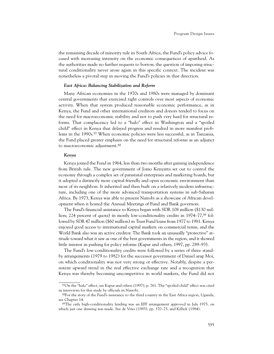the remaining decade of minority rule in South Africa, the Fund's policy advice focused with increasing intensity on the economic consequences of apartheid. As the authorities made no further requests to borrow, the question of imposing structural conditionality never arose again in this specific context. The incident was nonetheless a pivotal step in moving the Fund's policies in that direction.

## *East Africa: Balancing Stabilization and Reform*

Many African economies in the 1970s and 1980s were managed by dominant central governments that exercised tight controls over most aspects of economic activity. When that system produced reasonable economic performance, as in Kenya, the Fund and other international creditors and donors tended to focus on the need for macroeconomic stability and not to push very hard for structural reforms. That complacency led to a "halo" effect in Washington and a "spoiled child" effect in Kenya that delayed progress and resulted in more manifest problems in the 1990s.87 When economic policies were less successful, as in Tanzania, the Fund placed greater emphasis on the need for structural reforms as an adjunct to macroeconomic adjustment.88

## *Kenya*

Kenya joined the Fund in 1964, less than two months after gaining independence from British rule. The new government of Jomo Kenyatta set out to control the economy through a complex set of parastatal enterprises and marketing boards, but it adopted a distinctly more capital-friendly and open economic environment than most of its neighbors. It inherited and then built on a relatively modern infrastructure, including one of the more advanced transportation systems in sub-Saharan Africa. By 1973, Kenya was able to present Nairobi as a showcase of African development when it hosted the Annual Meetings of Fund and Bank governors.

The Fund's financial assistance to Kenya began with SDR 108 million (\$130 million; 224 percent of quota) in mostly low-conditionality credits in 1974–77,<sup>89</sup> followed by SDR 47 million (\$60 million) in Trust Fund loans from 1977 to 1981. Kenya enjoyed good access to international capital markets on commercial terms, and the World Bank also was an active creditor. The Bank took an unusually "protective" attitude toward what it saw as one of the best governments in the region, and it showed little interest in pushing for policy reforms (Kapur and others, 1997, pp. 289–93).

The Fund's low-conditionality credits were followed by a series of three standby arrangements (1979 to 1982) for the successor government of Daniel arap Moi, on which conditionality was not very strong or effective. Notably, despite a persistent upward trend in the real effective exchange rate and a recognition that Kenya was thereby becoming uncompetitive in world markets, the Fund did not

<sup>87</sup>On the "halo" effect, see Kapur and others (1997), p. 761. The "spoiled child" effect was cited in interviews for this study by officials in Nairobi.

<sup>88</sup>For the story of the Fund's assistance to the third country in the East Africa region, Uganda, see Chapter 14.

<sup>89</sup>The only high-conditionality lending was an EFF arrangement approved in July 1975, on which just one drawing was made. See de Vries (1985), pp. 370–73, and Killick (1984).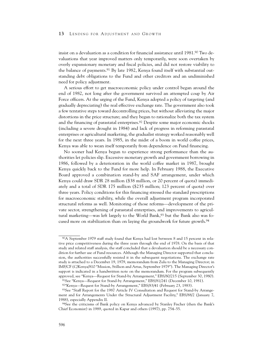insist on a devaluation as a condition for financial assistance until 1981.<sup>90</sup> Two devaluations that year improved matters only temporarily, were soon overtaken by overly expansionary monetary and fiscal policies, and did not restore viability to the balance of payments.<sup>91</sup> By late 1982, Kenya found itself with substantial outstanding debt obligations to the Fund and other creditors and an undiminished need for policy adjustment.

A serious effort to get macroeconomic policy under control began around the end of 1982, not long after the government survived an attempted coup by Air Force officers. At the urging of the Fund, Kenya adopted a policy of targeting (and gradually depreciating) the real effective exchange rate. The government also took a few tentative steps toward decontrolling prices, but without alleviating the major distortions in the price structure; and they began to rationalize both the tax system and the financing of parastatal enterprises.<sup>92</sup> Despite some major economic shocks (including a severe drought in 1984) and lack of progress in reforming parastatal enterprises or agricultural marketing, the gradualist strategy worked reasonably well for the next three years. In 1985, in the midst of a boom in world coffee prices, Kenya was able to wean itself temporarily from dependence on Fund financing.

No sooner had Kenya begun to experience strong performance than the authorities let policies slip. Excessive monetary growth and government borrowing in 1986, followed by a deterioration in the world coffee market in 1987, brought Kenya quickly back to the Fund for more help. In February 1988, the Executive Board approved a combination stand-by and SAF arrangement, under which Kenya could draw SDR 28 million (\$38 million, or 20 percent of quota) immediately and a total of SDR 175 million (\$235 million; 123 percent of quota) over three years. Policy conditions for this financing stressed the standard prescriptions for macroeconomic stability, while the overall adjustment program incorporated structural reforms as well. Monitoring of those reforms—development of the private sector, strengthening of parastatal enterprises, and improvements to agricultural marketing—was left largely to the World Bank,<sup>93</sup> but the Bank also was focused more on stabilization than on laying the groundwork for future growth.<sup>94</sup>

<sup>90</sup>A September 1979 staff study found that Kenya had lost between 8 and 15 percent in relative price competitiveness during the three years through the end of 1978. On the basis of that study and related staff analysis, the staff concluded that a devaluation should be a necessary condition for further use of Fund resources. Although the Managing Director supported that conclusion, the authorities successfully resisted it in the subsequent negotiations. The exchange rate study is attached to a December 19, 1979, memorandum from Zulu to the Managing Director; in IMF/CF (C/Kenya/810 "Mission, Stillson and Artus, September 1979"). The Managing Director's support is indicated in a handwritten note on the memorandum. For the program subsequently approved, see "Kenya—Request for Stand-by Arrangement," EBS/80/215 (September 30, 1980).

<sup>91</sup>See "Kenya—Request for Stand-by Arrangement," EBS/81/241 (December 10, 1981). 92"Kenya—Request for Stand-by Arrangement," EBS/83/41 (February 23, 1983).

<sup>93</sup>See "Staff Report for the 1987 Article IV Consultation and Request for Stand-by Arrangement and for Arrangements Under the Structural Adjustment Facility," EBS/88/2 (January 7, 1988), especially Appendix II.

<sup>94</sup>See the criticisms of Bank policy on Kenya advanced by Stanley Fischer (then the Bank's Chief Economist) in 1989, quoted in Kapur and others (1997), pp. 754–55.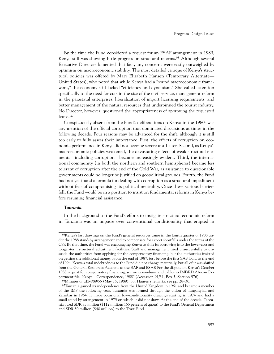By the time the Fund considered a request for an ESAF arrangement in 1989, Kenya still was showing little progress on structural reforms.95 Although several Executive Directors lamented that fact, any concerns were easily outweighed by optimism on macroeconomic stability. The most detailed critique of Kenya's structural policies was offered by Mary Elizabeth Hansen (Temporary Alternate— United States), who noted that while Kenya had a "sound macroeconomic framework," the economy still lacked "efficiency and dynamism." She called attention specifically to the need for cuts in the size of the civil service, management reform in the parastatal enterprises, liberalization of import licensing requirements, and better management of the natural resources that underpinned the tourist industry. No Director, however, questioned the appropriateness of approving the requested loans.96

Conspicuously absent from the Fund's deliberations on Kenya in the 1980s was any mention of the official corruption that dominated discussions at times in the following decade. Four reasons may be advanced for the shift, although it is still too early to fully assess their importance. First, the effects of corruption on economic performance in Kenya did not become severe until later. Second, as Kenya's macroeconomic policies weakened, the devastating effects of weak structural elements—including corruption—became increasingly evident. Third, the international community (in both the northern and southern hemispheres) became less tolerant of corruption after the end of the Cold War, as assistance to questionable governments could no longer be justified on geopolitical grounds. Fourth, the Fund had not yet found a formula for dealing with corruption as a structural impediment without fear of compromising its political neutrality. Once these various barriers fell, the Fund would be in a position to insist on fundamental reforms in Kenya before resuming financial assistance.

#### *Tanzania*

In the background to the Fund's efforts to instigate structural economic reform in Tanzania was an impasse over conventional conditionality that erupted in

<sup>95</sup> Kenya's last drawings on the Fund's general resources came in the fourth quarter of 1988 under the 1988 stand-by arrangement and to compensate for export shortfalls under the terms of the CFF. By that time, the Fund was encouraging Kenya to shift its borrowing into the lower-cost and longer-term structural adjustment facilities. Staff and management tried unsuccessfully to dissuade the authorities from applying for the compensatory financing, but the authorities insisted on getting the additional money. From the end of 1987, just before the first SAF loan, to the end of 1994, Kenya's total indebtedness to the Fund did not change materially, but all of it was shifted from the General Resources Account to the SAF and ESAF. For the dispute on Kenya's October 1988 request for compensatory financing, see memorandums and cables in IMF/RD African Department file "Kenya—Correspondence, 1988" (Accession 91/31, Box 3, Section 576).

<sup>96</sup>Minutes of EBM/89/55 (May 15, 1989). For Hansen's remarks, see pp. 28–30.

<sup>97</sup>Tanzania gained its independence from the United Kingdom in 1961 and became a member of the IMF the following year. Tanzania was formed through the union of Tanganyika and Zanzibar in 1964. It made occasional low-conditionality drawings starting in 1974 and had a small stand-by arrangement in 1975 on which it did not draw. At the end of the decade, Tanzania owed SDR 85 million (\$112 million; 155 percent of quota) to the Fund's General Department and SDR 30 million (\$40 million) to the Trust Fund.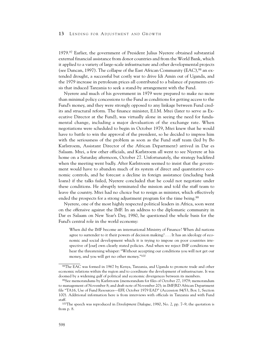1979.97 Earlier, the government of President Julius Nyerere obtained substantial external financial assistance from donor countries and from the World Bank, which it applied to a variety of large-scale infrastructure and other developmental projects (see Duncan, 1997). The collapse of the East African Community (EAC), <sup>98</sup> an extended drought, a successful but costly war to drive Idi Amin out of Uganda, and the 1979 increase in petroleum prices all contributed to a balance of payments crisis that induced Tanzania to seek a stand-by arrangement with the Fund.

Nyerere and much of his government in 1979 were prepared to make no more than minimal policy concessions to the Fund as conditions for getting access to the Fund's money, and they were strongly opposed to any linkage between Fund credits and structural reform. The finance minister, E.I.M. Mtei (later to serve as Executive Director at the Fund), was virtually alone in seeing the need for fundamental change, including a major devaluation of the exchange rate. When negotiations were scheduled to begin in October 1979, Mtei knew that he would have to battle to win the approval of the president, so he decided to impress him with the seriousness of the problem as soon as the Fund staff team (led by Bo Karlstroem, Assistant Director of the African Department) arrived in Dar es Salaam. Mtei, a few other officials, and Karlstroem all went to see Nyerere at his home on a Saturday afternoon, October 27. Unfortunately, the strategy backfired when the meeting went badly. After Karlstroem seemed to insist that the government would have to abandon much of its system of direct and quantitative economic controls, and he forecast a decline in foreign assistance (including bank loans) if the talks failed, Nyerere concluded that he could not negotiate under these conditions. He abruptly terminated the mission and told the staff team to leave the country. Mtei had no choice but to resign as minister, which effectively ended the prospects for a strong adjustment program for the time being.<sup>99</sup>

Nyerere, one of the most highly respected political leaders in Africa, soon went on the offensive against the IMF. In an address to the diplomatic community in Dar es Salaam on New Year's Day, 1980, he questioned the whole basis for the Fund's central role in the world economy:

When did the IMF become an international Ministry of Finance? When did nations agree to surrender to it their powers of decision making? . . . It has an ideology of economic and social development which it is trying to impose on poor countries irrespective of [our] own clearly stated policies. And when we reject IMF conditions we hear the threatening whisper: "Without accepting our conditions you will not get our money, and you will get no other money."100

<sup>98</sup>The EAC was formed in 1967 by Kenya, Tanzania, and Uganda to promote trade and other economic relations within the region and to coordinate the development of infrastructure. It was doomed by a widening gulf of political and economic divergences between its members.

<sup>99</sup>See memorandums by Karlstroem (memorandum for files of October 27, 1979; memorandum to management of November 8; and draft note of November 20); in IMF/RD African Department file "TA16, Use of Fund Resources—EFF, October 1979 EAD" (Accession 84/53, Box 1, Section 100). Additional information here is from interviews with officials in Tanzania and with Fund staff.

<sup>100</sup>The speech was reproduced in *Development Dialogue*, 1980, No. 2, pp. 7–9; the quotation is from p. 8.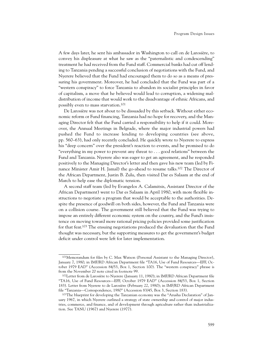A few days later, he sent his ambassador in Washington to call on de Larosière, to convey his displeasure at what he saw as the "paternalistic and condescending" treatment he had received from the Fund staff. Commercial banks had cut off lending to Tanzania pending a successful conclusion of negotiations with the Fund, and Nyerere believed that the Fund had encouraged them to do so as a means of pressuring his government. Moreover, he had concluded that the Fund was part of a "western conspiracy" to force Tanzania to abandon its socialist principles in favor of capitalism, a move that he believed would lead to corruption, a widening maldistribution of income that would work to the disadvantage of ethnic Africans, and possibly even to mass starvation.101

De Larosière was not about to be dissuaded by this setback. Without either economic reform or Fund financing, Tanzania had no hope for recovery, and the Managing Director felt that the Fund carried a responsibility to help if it could. Moreover, the Annual Meetings in Belgrade, where the major industrial powers had pushed the Fund to increase lending to developing countries (see above, pp. 560–63), had only recently concluded. He quickly wrote to Nyerere to express his "deep concern" over the president's reaction to events, and he promised to do "everything in my power to prevent any threat to . . . good relations" between the Fund and Tanzania. Nyerere also was eager to get an agreement, and he responded positively to the Managing Director's letter and then gave his new team (led by Finance Minister Amir H. Jamal) the go-ahead to resume talks.102 The Director of the African Department, Justin B. Zulu, then visited Dar es Salaam at the end of March to help ease the diplomatic tension.

A second staff team (led by Evangelos A. Calamitsis, Assistant Director of the African Department) went to Dar es Salaam in April 1980, with more flexible instructions to negotiate a program that would be acceptable to the authorities. Despite the presence of goodwill on both sides, however, the Fund and Tanzania were on a collision course. The government still believed that the Fund was trying to impose an entirely different economic system on the country, and the Fund's insistence on moving toward more rational pricing policies provided some justification for that fear.103 The ensuing negotiations produced the devaluation that the Fund thought was necessary, but the supporting measures to get the government's budget deficit under control were left for later implementation.

<sup>101</sup>Memorandum for files by C. Max Watson (Personal Assistant to the Managing Director), January 7, 1980; in IMF/RD African Department file "TA16, Use of Fund Resources—EFF, October 1979 EAD" (Accession 84/53, Box 1, Section 100). The "western conspiracy" phrase is from the November 20 note cited in footnote 99.

<sup>&</sup>lt;sup>102</sup>Letter from de Larosière to Nyerere (January 11, 1980); in IMF/RD African Department file "TA16, Use of Fund Resources—EFF, October 1979 EAD" (Accession 84/53, Box 1, Section 183). Letter from Nyerere to de Larosière (February 22, 1980); in IMF/RD African Department file "Tanzania—Correspondence, 1980" (Accession 83/45, Box 3, Section 183).

<sup>103</sup>The blueprint for developing the Tanzanian economy was the "Arusha Declaration" of January 1967, in which Nyerere outlined a strategy of state ownership and control of major industries, commerce, and finance, and of development through agriculture rather than industrialization. See TANU (1967) and Nyerere (1977).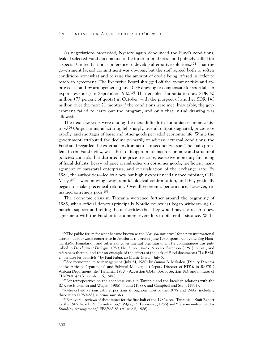As negotiations proceeded, Nyerere again denounced the Fund's conditions, leaked selected Fund documents to the international press, and publicly called for a special United Nations conference to develop alternative solutions.104 That the government lacked commitment was obvious, but the staff agreed both to soften conditions somewhat and to raise the amount of credit being offered in order to reach an agreement. The Executive Board shrugged off the apparent risks and approved a stand-by arrangement (plus a CFF drawing to compensate for shortfalls in export revenues) in September 1980.105 That enabled Tanzania to draw SDR 40 million (73 percent of quota) in October, with the prospect of another SDR 140 million over the next 21 months if the conditions were met. Inevitably, the government failed to carry out the program, and only that initial drawing was allowed.

The next few years were among the most difficult in Tanzanian economic history.106 Output in manufacturing fell sharply, overall output stagnated, prices rose rapidly, and shortages of basic and other goods pervaded economic life. While the government attributed the decline primarily to adverse external conditions, the Fund staff regarded the external environment as a secondary issue. The main problem, in the Fund's view, was a host of inappropriate macroeconomic and structural policies: controls that distorted the price structure, excessive monetary financing of fiscal deficits, heavy reliance on subsidies on consumer goods, inefficient management of parastatal enterprises, and overvaluation of the exchange rate. By 1984, the authorities—led by a new but highly experienced finance minister, C.D. Msuya107—were moving away from ideological confrontation, and they gradually began to make piecemeal reforms. Overall economic performance, however, remained extremely poor.108

The economic crisis in Tanzania worsened further around the beginning of 1985, when official donors (principally Nordic countries) began withdrawing financial support and telling the authorities that they would have to reach a new agreement with the Fund or face a more severe loss in bilateral assistance. With-

<sup>104</sup>The public forum for what became known as the "Arusha initiative" for a new international economic order was a conference in Arusha at the end of June 1980, sponsored by the Dag Hammarskjöld Foundation and other nongovernmental organizations. The communiqué was published in *Development Dialogue*, 1980, No. 2, pp. 10–23. Also see Sampson (1981), p. 301, and references therein; and (for an example of the effects of the leak of Fund documents) "Le F.M.I. embarrasse les autorités," by Paul Fabra, *Le Monde* (Paris), July 5.

<sup>105</sup>See memorandum to management (July 24, 1980) by Oumar B. Makalou (Deputy Director of the African Department) and Subimal Mookerjee (Deputy Director of ETR), in IMF/RD African Department file "Tanzania, 1980" (Accession 83/45, Box 3, Section 183; and minutes of EBM/80/142 (September 15, 1980).

<sup>106</sup>For retrospectives on the economic crisis in Tanzania and the break in relations with the IMF, see Biermann and Wagao (1986), Ndulu (1987), and Campbell and Stein (1992).

<sup>107</sup>Msuya held various cabinet positions throughout most of the 1970s and 1980s, including three years (1980–83) as prime minister.

<sup>108</sup>For overall reviews of these issues for the first half of the 1980s, see "Tanzania—Staff Report for the 1985 Article IV Consultation," SM/86/23 (February 7, 1986) and "Tanzania—Request for Stand-by Arrangement," EBS/86/183 (August 8, 1986).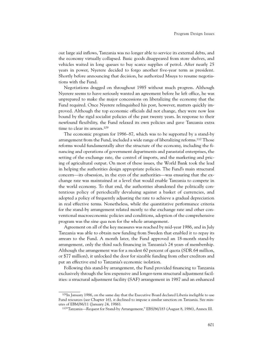out large aid inflows, Tanzania was no longer able to service its external debts, and the economy virtually collapsed. Basic goods disappeared from store shelves, and vehicles waited in long queues to buy scarce supplies of petrol. After nearly 25 years in power, Nyerere decided to forgo another five-year term as president. Shortly before announcing that decision, he authorized Msuya to resume negotiations with the Fund.

Negotiations dragged on throughout 1985 without much progress. Although Nyerere seems to have seriously wanted an agreement before he left office, he was unprepared to make the major concessions on liberalizing the economy that the Fund required. Once Nyerere relinquished his post, however, matters quickly improved. Although the top economic officials did not change, they were now less bound by the rigid socialist policies of the past twenty years. In response to their newfound flexibility, the Fund relaxed its own policies and gave Tanzania extra time to clear its arrears.109

The economic program for 1986–87, which was to be supported by a stand-by arrangement from the Fund, included a wide range of liberalizing reforms.110 Those reforms would fundamentally alter the structure of the economy, including the financing and operations of government departments and parastatal enterprises, the setting of the exchange rate, the control of imports, and the marketing and pricing of agricultural output. On most of these issues, the World Bank took the lead in helping the authorities design appropriate policies. The Fund's main structural concern—its obsession, in the eyes of the authorities—was ensuring that the exchange rate was maintained at a level that would enable Tanzania to compete in the world economy. To that end, the authorities abandoned the politically contentious policy of periodically devaluing against a basket of currencies, and adopted a policy of frequently adjusting the rate to achieve a gradual depreciation in real effective terms. Nonetheless, while the quantitative performance criteria for the stand-by arrangement related mostly to the exchange rate and other conventional macroeconomic policies and conditions, adoption of the comprehensive program was the sine qua non for the whole arrangement.

Agreement on all of the key measures was reached by mid-year 1986, and in July Tanzania was able to obtain new funding from Sweden that enabled it to repay its arrears to the Fund. A month later, the Fund approved an 18-month stand-by arrangement, only the third such financing in Tanzania's 24 years of membership. Although the arrangement was for a modest 60 percent of quota (SDR 64 million, or \$77 million), it unlocked the door for sizeable funding from other creditors and put an effective end to Tanzania's economic isolation.

Following this stand-by arrangement, the Fund provided financing to Tanzania exclusively through the less expensive and longer-term structural adjustment facilities: a structural adjustment facility (SAF) arrangement in 1987 and an enhanced

<sup>109</sup>In January 1986, on the same day that the Executive Board declared Liberia ineligible to use Fund resources (see Chapter 16), it declined to impose a similar sanction on Tanzania. See minutes of EBM/86/11 (January 24, 1986).

<sup>110&</sup>quot;Tanzania—Request for Stand-by Arrangement," EBS/86/183 (August 8, 1986), Annex III.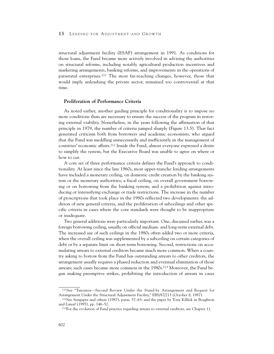structural adjustment facility (ESAF) arrangement in 1991. As conditions for those loans, the Fund became more actively involved in advising the authorities on structural reforms, including notably agricultural production incentives and marketing arrangements, banking reforms, and improvements in the operations of parastatal enterprises.111 The most far-reaching changes, however, those that would imply unleashing the private sector, remained too controversial at that time.

## **Proliferation of Performance Criteria**

As noted earlier, another guiding principle for conditionality is to impose no more conditions than are necessary to ensure the success of the program in restoring external viability. Nonetheless, in the years following the affirmation of that principle in 1979, the number of criteria jumped sharply (Figure 13.5). That fact generated criticism both from borrowers and academic economists, who argued that the Fund was meddling unnecessarily and inefficiently in the management of countries' economic affairs.112 Inside the Fund, almost everyone expressed a desire to simplify the system, but the Executive Board was unable to agree on where or how to cut.

A core set of three performance criteria defines the Fund's approach to conditionality. At least since the late 1960s, most upper-tranche lending arrangements have included a monetary ceiling, on domestic credit creation by the banking system or the monetary authorities; a fiscal ceiling, on overall government borrowing or on borrowing from the banking system; and a prohibition against introducing or intensifying exchange or trade restrictions. The increase in the number of proscriptions that took place in the 1980s reflected two developments: the addition of new general criteria, and the proliferation of subceilings and other specific criteria in cases where the core standards were thought to be inappropriate or inadequate.

Two general additions were particularly important. One, discussed earlier, was a foreign borrowing ceiling, usually on official medium- and long-term external debt. The increased use of such ceilings in the 1980s often added two or more criteria, when the overall ceiling was supplemented by a subceiling on certain categories of debt or by a separate limit on short-term borrowing. Second, restrictions on accumulating arrears to external creditors became much more common. When a country asking to borrow from the Fund has outstanding arrears to other creditors, the arrangement usually requires a phased reduction and eventual elimination of those arrears; such cases became more common in the 1980s.113 Moreover, the Fund began making preemptive strikes, prohibiting the introduction of arrears in cases

<sup>111</sup>See "Tanzania—Second Review Under the Stand-by Arrangement and Request for Arrangement Under the Structural Adjustment Facility," EBS/87/213 (October 8, 1987).

<sup>112</sup>See Sengupta and others (1987), paras. 57–63; and the paper by Tony Killick in Boughton and Lateef (1995), pp. 146–52.

<sup>113</sup>For the evolution of Fund practice regarding arrears to external creditors, see Chapter 11.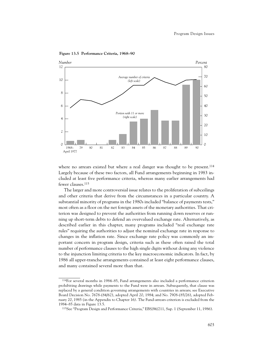

**Figure 13.5 Performance Criteria, 1968–90**

where no arrears existed but where a real danger was thought to be present.<sup>114</sup> Largely because of these two factors, all Fund arrangements beginning in 1983 included at least five performance criteria, whereas many earlier arrangements had fewer clauses.115

The larger and more controversial issue relates to the proliferation of subceilings and other criteria that derive from the circumstances in a particular country. A substantial minority of programs in the 1980s included "balance of payments tests," most often as a floor on the net foreign assets of the monetary authorities. That criterion was designed to prevent the authorities from running down reserves or running up short-term debts to defend an overvalued exchange rate. Alternatively, as described earlier in this chapter, many programs included "real exchange rate rules" requiring the authorities to adjust the nominal exchange rate in response to changes in the inflation rate. Since exchange rate policy was commonly an important concern in program design, criteria such as these often raised the total number of performance clauses to the high single digits without doing any violence to the injunction limiting criteria to the key macroeconomic indicators. In fact, by 1986 all upper-tranche arrangements contained at least eight performance clauses, and many contained several more than that.

<sup>114</sup>For several months in 1984–85, Fund arrangements also included a performance criterion prohibiting drawings while payments to the Fund were in arrears. Subsequently, that clause was replaced by a general condition governing arrangements with countries in arrears; see Executive Board Decision No. 7678-(84/62), adopted April 20, 1984; and No. 7908-(85/26), adopted February 20, 1985 (in the Appendix to Chapter 16*)*. The Fund-arrears criterion is excluded from the 1984–85 data in Figure 13.5.

<sup>115</sup>See "Program Design and Performance Criteria," EBS/86/211, Sup. 1 (September 11, 1986).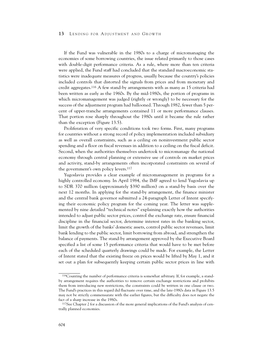If the Fund was vulnerable in the 1980s to a charge of micromanaging the economies of some borrowing countries, the issue related primarily to those cases with double-digit performance criteria. As a rule, where more than ten criteria were applied, the Fund staff had concluded that the standard macroeconomic statistics were inadequate measures of progress, usually because the country's policies included controls that distorted the signals from prices and from monetary and credit aggregates.116 A few stand-by arrangements with as many as 15 criteria had been written as early as the 1960s. By the mid-1980s, the portion of programs in which micromanagement was judged (rightly or wrongly) to be necessary for the success of the adjustment program had ballooned. Through 1982, fewer than 5 percent of upper-tranche arrangements contained 11 or more performance clauses. That portion rose sharply throughout the 1980s until it became the rule rather than the exception (Figure 13.5).

Proliferation of very specific conditions took two forms. First, many programs for countries without a strong record of policy implementation included subsidiary as well as overall constraints, such as a ceiling on noninvestment public sector spending and a floor on fiscal revenues in addition to a ceiling on the fiscal deficit. Second, when the authorities themselves undertook to micromanage the national economy through central planning or extensive use of controls on market prices and activity, stand-by arrangements often incorporated constraints on several of the government's own policy levers.117

Yugoslavia provides a clear example of micromanagement in programs for a highly controlled economy. In April 1984, the IMF agreed to lend Yugoslavia up to SDR 370 million (approximately \$390 million) on a stand-by basis over the next 12 months. In applying for the stand-by arrangement, the finance minister and the central bank governor submitted a 24-paragraph Letter of Intent specifying their economic policy program for the coming year. The letter was supplemented by nine detailed "technical notes" explaining exactly how the authorities intended to adjust public sector prices, control the exchange rate, ensure financial discipline in the financial sector, determine interest rates in the banking sector, limit the growth of the banks' domestic assets, control public sector revenues, limit bank lending to the public sector, limit borrowing from abroad, and strengthen the balance of payments. The stand-by arrangement approved by the Executive Board specified a list of some 15 performance criteria that would have to be met before each of the scheduled quarterly drawings could be made. For example, the Letter of Intent stated that the existing freeze on prices would be lifted by May 1, and it set out a plan for subsequently keeping certain public sector prices in line with

<sup>116</sup>Counting the number of performance criteria is somewhat arbitrary. If, for example, a standby arrangement requires the authorities to remove certain exchange restrictions and prohibits them from introducing new restrictions, the constraints could be written in one clause or two. The Fund's practices in this regard did fluctuate over time, and the late-1980s data in Figure 13.5 may not be strictly commensurate with the earlier figures, but the difficulty does not negate the fact of a sharp increase in the 1980s.

<sup>117</sup>See Chapter 2 for a discussion of the more general implications of the Fund's analysis of centrally planned economies.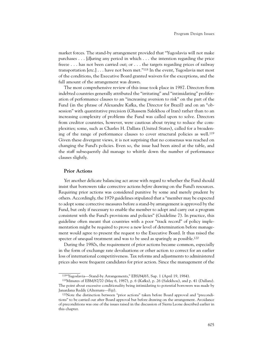market forces. The stand-by arrangement provided that "Yugoslavia will not make purchases . . . [d]uring any period in which . . . the intention regarding the price freeze . . . has not been carried out; or . . . the targets regarding prices of railway transportation [etc.] . . . have not been met."118 In the event, Yugoslavia met most of the conditions, the Executive Board granted waivers for the exceptions, and the full amount of the arrangement was drawn.

The most comprehensive review of this issue took place in 1987. Directors from indebted countries generally attributed the "irritating" and "intimidating" proliferation of performance clauses to an "increasing aversion to risk" on the part of the Fund (in the phrase of Alexandre Kafka, the Director for Brazil) and on an "obsession" with quantitative precision (Ghassem Salekhou of Iran) rather than to an increasing complexity of problems the Fund was called upon to solve. Directors from creditor countries, however, were cautious about trying to reduce the complexities; some, such as Charles H. Dallara (United States), called for a broadening of the range of performance clauses to cover structural policies as well.119 Given these divergent views, it is not surprising that no consensus was reached on changing the Fund's policies. Even so, the issue had been aired at the table, and the staff subsequently did manage to whittle down the number of performance clauses slightly.

## **Prior Actions**

Yet another delicate balancing act arose with regard to whether the Fund should insist that borrowers take corrective actions *before* drawing on the Fund's resources. Requiring prior actions was considered punitive by some and merely prudent by others. Accordingly, the 1979 guidelines stipulated that a "member may be expected to adopt some corrective measures before a stand-by arrangement is approved by the Fund, but only if necessary to enable the member to adopt and carry out a program consistent with the Fund's provisions and policies" (Guideline 7). In practice, this guideline often meant that countries with a poor "track record" of policy implementation might be required to prove a new level of determination before management would agree to present the request to the Executive Board. It thus raised the specter of unequal treatment and was to be used as sparingly as possible.<sup>120</sup>

During the 1980s, the requirement of prior actions became common, especially in the form of exchange rate devaluations or other action to correct for an earlier loss of international competitiveness. Tax reforms and adjustments to administered prices also were frequent candidates for prior action. Since the management of the

<sup>118&</sup>quot;Yugoslavia—Stand-by Arrangements," EBS/84/65, Sup. 1 (April 19, 1984).

<sup>119</sup>Minutes of EBM/87/70 (May 6, 1987), p. 6 (Kafka), p. 26 (Salekhou), and p. 41 (Dallara). The point about excessive conditionality being intimidating to potential borrowers was made by Janardana Reddy (Alternate—Fiji).

<sup>120</sup>Note the distinction between "prior actions" taken before Board approval and "preconditions" to be carried out after Board approval but before drawing on the arrangement. Avoidance of preconditions was one of the issues raised in the discussion of Sierra Leone described earlier in this chapter.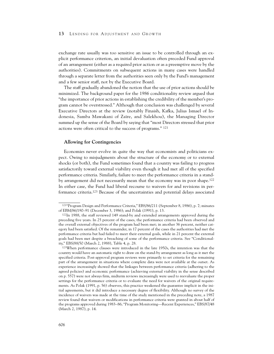exchange rate usually was too sensitive an issue to be controlled through an explicit performance criterion, an initial devaluation often preceded Fund approval of an arrangement (either as a required prior action or as a preemptive move by the authorities). Commitments on subsequent actions in many cases were handled through a separate letter from the authorities seen only by the Fund's management and a few senior staff, not by the Executive Board.

The staff gradually abandoned the notion that the use of prior actions should be minimized. The background paper for the 1986 conditionality review argued that "the importance of prior actions in establishing the credibility of the member's program cannot be overstressed." Although that conclusion was challenged by several Executive Directors at the review (notably Finaish, Kafka, Julius Ismael of Indonesia, Samba Mawakani of Zaïre, and Salekhou), the Managing Director summed up the sense of the Board by saying that "most Directors stressed that prior actions were often critical to the success of programs." <sup>121</sup>

## **Allowing for Contingencies**

Economies never evolve in quite the way that economists and politicians expect. Owing to misjudgments about the structure of the economy or to external shocks (or both), the Fund sometimes found that a country was failing to progress satisfactorily toward external viability even though it had met all of the specified performance criteria. Similarly, failure to meet the performance criteria in a standby arrangement did not necessarily mean that the economy was in poor shape.122 In either case, the Fund had liberal recourse to waivers for and revisions in performance criteria.123 Because of the uncertainties and potential delays associated

<sup>121&</sup>quot;Program Design and Performance Criteria," EBS/86/211 (September 8, 1986), p. 7; minutes of EBM/86/190–91 (December 3, 1986); and Polak (1991), p. 13.

<sup>122</sup>In 1988, the staff reviewed 149 stand-by and extended arrangements approved during the preceding five years. In 25 percent of the cases, the performance criteria had been observed and the overall external objectives of the program had been met; in another 36 percent, neither category had been satisfied. Of the remainder, in 17 percent of the cases the authorities had met the performance criteria but had failed to meet their external goals, while in 21 percent the external goals had been met despite a breaching of some of the performance criteria. See "Conditionality," EBS/88/50 (March 2, 1988), Table 4, p. 28.

<sup>123</sup>When performance clauses were introduced in the late 1950s, the intention was that the country would have an automatic right to draw on the stand-by arrangement as long as it met the specified criteria. Post-approval program reviews were primarily to set criteria for the remaining part of the arrangement in situations where complete data were not available at the outset. As experience increasingly showed that the linkages between performance criteria (adhering to the agreed policies) and economic performance (achieving external viability in the sense described on p. 557) were not always firm, midterm reviews increasingly were used to reevaluate the proper settings for the performance criteria or to evaluate the need for waivers of the original requirements. As Polak (1991, p. 56) observes, this practice weakened the guarantee implicit in the initial agreements, but it did introduce a necessary degree of flexibility. Although no survey of the incidence of waivers was made at the time of the study mentioned in the preceding note, a 1987 review found that waivers or modifications in performance criteria were granted in about half of the programs approved during 1983–86; "Program Monitoring—Recent Experiences," EBS/87/48 (March 2, 1987), p. 14.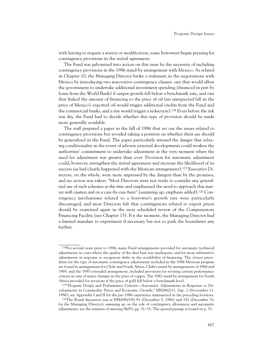with having to request a waiver or modification, some borrowers began pressing for contingency provisions in the initial agreement.

The Fund was galvanized into action on this issue by the necessity of including contingency provisions in the 1986 stand-by arrangement with Mexico. As related in Chapter 10, the Managing Director broke a stalemate in the negotiations with Mexico by introducing two innovative contingency clauses: one that would allow the government to undertake additional investment spending (financed in part by loans from the World Bank) if output growth fell below a benchmark rate, and one that linked the amount of financing to the price of oil (an unexpected fall in the price of Mexico's exported oil would trigger additional credits from the Fund and the commercial banks, and a rise would trigger a reduction).124 Even before the ink was dry, the Fund had to decide whether this type of provision should be made more generally available.

The staff prepared a paper in the fall of 1986 that set out the issues related to contingency provisions but avoided taking a position on whether their use should be generalized in the Fund. The paper particularly stressed the danger that relaxing conditionality in the event of adverse external developments could weaken the authorities' commitment to undertake adjustment at the very moment when the need for adjustment was greater than ever. Provision for automatic adjustment could, however, strengthen the initial agreement and increase the likelihood of its success (as had clearly happened with the Mexican arrangement).125 Executive Directors, on the whole, were more impressed by the dangers than by the promises, and no action was taken: "Most Directors were not ready to consider any *generalized* use of such schemes *at this time* and emphasized the need to approach this matter *with caution and on a case-by-case basis*" (summing up; emphasis added).126 Contingency mechanisms related to a borrower's growth rate were particularly discouraged, and most Directors felt that contingencies related to export prices should be examined again in the next scheduled review of the Compensatory Financing Facility (see Chapter 15). For the moment, the Managing Director had a limited mandate to experiment if necessary but not to push the boundaries any further.

<sup>124</sup>For several years prior to 1986, many Fund arrangements provided for automatic technical adjustments in cases where the quality of the data base was inadequate, and for more substantive adjustments in response to exogenous shifts in the availability of financing. The closest precedents for the type of automatic contingency adjustments included in the 1986 Mexican program are found in arrangements for Chile and South Africa. Chile's stand-by arrangements of 1968 and 1969, and the 1985 extended arrangement, included provisions for revising certain performance criteria in case of major changes in the price of copper. The 1982 stand-by arrangement for South Africa provided for revisions if the price of gold fell below a benchmark level.

<sup>125&</sup>quot;Program Design and Performance Criteria—Automatic Adjustments in Response to Developments in Commodity Prices and Economic Growth," EBS/86/211, Sup. 2 (November 11, 1986); see Appendix I and II for the pre-1986 experience summarized in the preceding footnote.

<sup>126</sup>The Board discussion was at EBM/86/190–91 (December 3, 1986) and 192 (December 5); for the Managing Director's summing up on the role of contingency allowances and automatic adjustments, see the minutes of meeting 86/91, pp. 51–53. The quoted passage is found on p. 52.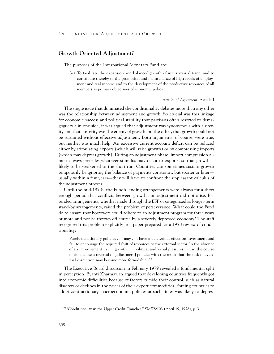# **Growth-Oriented Adjustment?**

The purposes of the International Monetary Fund are: . . .

(ii) To facilitate the expansion and balanced growth of international trade, and to contribute thereby to the promotion and maintenance of high levels of employment and real income and to the development of the productive resources of all members as primary objectives of economic policy.

#### *Articles of Agreement*, Article I

The single issue that dominated the conditionality debates more than any other was the relationship between adjustment and growth. So crucial was this linkage for economic success and political stability that partisans often resorted to demagoguery. On one side, it was argued that adjustment was synonymous with austerity and that austerity was the enemy of growth; on the other, that growth could not be sustained without effective adjustment. Both arguments, of course, were true, but neither was much help. An excessive current account deficit can be reduced either by stimulating exports (which will raise growth) or by compressing imports (which may depress growth). During an adjustment phase, import compression almost always precedes whatever stimulus may occur to exports, so that growth is likely to be weakened in the short run. Countries can sometimes sustain growth temporarily by ignoring the balance of payments constraint, but sooner or later usually within a few years—they will have to confront the unpleasant calculus of the adjustment process.

Until the mid-1970s, the Fund's lending arrangements were always for a short enough period that conflicts between growth and adjustment did not arise. Extended arrangements, whether made through the EFF or categorized as longer-term stand-by arrangements, raised the problem of perseverance: What could the Fund do to ensure that borrowers could adhere to an adjustment program for three years or more and not be thrown off course by a severely depressed economy? The staff recognized this problem explicitly in a paper prepared for a 1978 review of conditionality:

Purely deflationary policies . . . may . . . have a deleterious effect on investment and fail to encourage the required shift of resources to the external sector. In the absence of an improvement in . . . growth . . . political and social pressures will in the course of time cause a reversal of [adjustment] policies with the result that the task of eventual correction may become more formidable.127

The Executive Board discussion in February 1979 revealed a fundamental split in perception. Byanti Kharmawan argued that developing countries frequently got into economic difficulties because of factors outside their control, such as natural disasters or declines in the prices of their export commodities. Forcing countries to adopt contractionary macroeconomic policies at such times was likely to depress

<sup>127&</sup>quot;Conditionality in the Upper Credit Tranches," SM/78/103 (April 19, 1978), p. 3.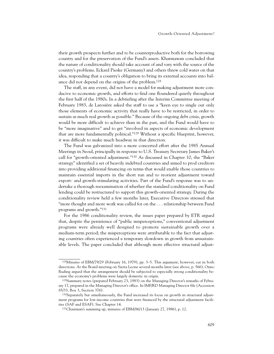their growth prospects further and to be counterproductive both for the borrowing country and for the preservation of the Fund's assets. Kharmawan concluded that the nature of conditionality should take account of and vary with the source of the country's problems. Eckard Pieske (Germany) and others threw cold water on that idea, responding that a country's obligation to bring its external accounts into balance did not depend on the origins of the problem.128

The staff, in any event, did not have a model for making adjustment more conducive to economic growth, and efforts to find one floundered quietly throughout the first half of the 1980s. In a debriefing after the Interim Committee meeting of February 1983, de Larosière asked the staff to use a "keen eye to single out only those elements of economic activity that really have to be restricted, in order to sustain as much real growth as possible." Because of the ongoing debt crisis, growth would be more difficult to achieve than in the past, and the Fund would have to be "more imaginative" and to get "involved in aspects of economic development that are more fundamentally political."129 Without a specific blueprint, however, it was difficult to make much headway in that direction.

The Fund was galvanized into a more concerted effort after the 1985 Annual Meetings in Seoul, principally in response to U.S. Treasury Secretary James Baker's call for "growth-oriented adjustment."130 As discussed in Chapter 10, the "Baker strategy" identified a set of heavily indebted countries and aimed to prod creditors into providing additional financing on terms that would enable those countries to maintain essential imports in the short run and to reorient adjustment toward export- and growth-stimulating activities. Part of the Fund's response was to undertake a thorough reexamination of whether the standard conditionality on Fund lending could be restructured to support this growth-oriented strategy. During the conditionality review held a few months later, Executive Directors stressed that "more thought and more work was called for on the . . . relationship between Fund programs and growth."131

For the 1986 conditionality review, the issues paper prepared by ETR argued that, despite the persistence of "public misperceptions," conventional adjustment programs were already well designed to promote sustainable growth over a medium-term period; the misperceptions were attributable to the fact that adjusting countries often experienced a temporary slowdown in growth from *un*sustainable levels. The paper concluded that although more effective structural adjust-

<sup>128</sup>Minutes of EBM/79/29 (February 16, 1979), pp. 3–5. This argument, however, cut in both directions. At the Board meeting on Sierra Leone several months later (see above, p. 566), Onno Ruding argued that the arrangement should be subjected to especially strong conditionality because the economy's problems were largely domestic in origin.

<sup>129</sup>Summary notes (prepared February 23, 1983) on the Managing Director's remarks of February 17, prepared in the Managing Director's office. In IMF/RD Managing Director file (Accession 85/33, Box 3, Section 376).

<sup>130</sup>Separately but simultaneously, the Fund increased its focus on growth in structural adjustment programs for low-income countries that were financed by the structural adjustment facilities (SAF and ESAF). See Chapter 14.

<sup>131</sup>Chairman's summing up, minutes of EBM/86/13 (January 27, 1986), p. 12.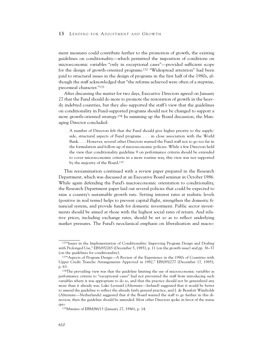ment measures could contribute further to the promotion of growth, the existing guidelines on conditionality—which permitted the imposition of conditions on microeconomic variables "only in exceptional cases"—provided sufficient scope for the design of growth-oriented programs.132 "Widespread attention" had been paid to structural issues in the design of programs in the first half of the 1980s, although the staff acknowledged that "the reforms achieved were often of a stepwise, piecemeal character."133

After discussing the matter for two days, Executive Directors agreed on January 27 that the Fund should do more to promote the restoration of growth in the heavily indebted countries, but they also supported the staff's view that the guidelines on conditionality in Fund-supported programs should not be changed to support a more growth-oriented strategy.134 In summing up the Board discussion, the Managing Director concluded:

A number of Directors felt that the Fund should give higher priority to the supplyside, structural aspects of Fund programs . . . in close association with the World Bank. . . . However, several other Directors warned the Fund staff not to go too far in the formulation and follow-up of microeconomic policies. While a few Directors held the view that conditionality guideline 9 on performance criteria should be extended to cover microeconomic criteria in a more routine way, this view was not supported by the majority of the Board.135

This reexamination continued with a review paper prepared in the Research Department, which was discussed at an Executive Board seminar in October 1986. While again defending the Fund's macroeconomic orientation to conditionality, the Research Department paper laid out several policies that could be expected to raise a country's sustainable growth rate. Setting interest rates at realistic levels (positive in real terms) helps to prevent capital flight, strengthen the domestic financial system, and provide funds for domestic investment. Public sector investments should be aimed at those with the highest social rates of return. And relative prices, including exchange rates, should be set so as to reflect underlying market pressures. The Fund's neoclassical emphasis on liberalization and macro-

<sup>132&</sup>quot;Issues in the Implementation of Conditionality: Improving Program Design and Dealing with Prolonged Use," EBS/85/265 (December 5, 1985), p. 11 (on the growth issue) and pp. 36–37 (on the guidelines for conditionality).

<sup>133&</sup>quot;Aspects of Program Design—A Review of the Experience in the 1980s of Countries with Upper Credit Tranche Arrangements Approved in 1982," EBS/85/277 (December 17, 1985), p. 63.

<sup>134</sup>The prevailing view was that the guideline limiting the use of microeconomic variables as performance criteria to "exceptional cases" had not prevented the staff from introducing such variables where it was appropriate to do so, and that the practice should not be generalized any more than it already was. Luke Leonard (Alternate—Ireland) suggested that it would be better to amend the guideline to reflect the already fairly general practice, and J. de Beaufort Wijnholds (Alternate—Netherlands) suggested that if the Board wanted the staff to go further in this direction, then the guideline should be amended. Most other Directors spoke in favor of the status quo.

<sup>135</sup>Minutes of EBM/86/13 (January 27, 1986), p. 14.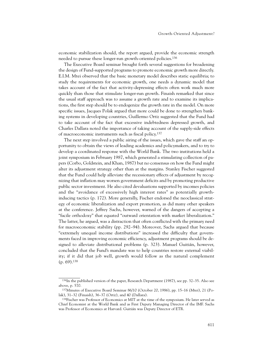economic stabilization should, the report argued, provide the economic strength needed to pursue these longer-run growth-oriented policies.136

The Executive Board seminar brought forth several suggestions for broadening the design of Fund-supported programs to promote economic growth more directly. E.I.M. Mtei observed that the basic monetary model describes static equilibria; to study the requirements for economic growth, one needs a dynamic model that takes account of the fact that activity-depressing effects often work much more quickly than those that stimulate longer-run growth. Finaish remarked that since the usual staff approach was to assume a growth rate and to examine its implications, the first step should be to endogenize the growth rate in the model. On more specific issues, Jacques Polak argued that more could be done to strengthen banking systems in developing countries, Guillermo Ortiz suggested that the Fund had to take account of the fact that excessive indebtedness depressed growth, and Charles Dallara noted the importance of taking account of the supply-side effects of macroeconomic instruments such as fiscal policy.137

The next step involved a public airing of the issues, which gave the staff an opportunity to obtain the views of leading academics and policymakers, and to try to develop a coordinated response with the World Bank. The two institutions held a joint symposium in February 1987, which generated a stimulating collection of papers (Corbo, Goldstein, and Khan, 1987) but no consensus on how the Fund might alter its adjustment strategy other than at the margins. Stanley Fischer suggested that the Fund could help alleviate the recessionary effects of adjustment by recognizing that inflation may worsen government deficits and by promoting productive public sector investment. He also cited devaluations supported by incomes policies and the "avoidance of excessively high interest rates" as potentially growthinducing tactics (p. 172). More generally, Fischer endorsed the neoclassical strategy of economic liberalization and export promotion, as did many other speakers at the conference. Jeffrey Sachs, however, warned of the dangers of accepting a "facile orthodoxy" that equated "outward orientation with market liberalization." The latter, he argued, was a distraction that often conflicted with the primary need for macroeconomic stability (pp. 292–94). Moreover, Sachs argued that because "extremely unequal income distributions" increased the difficulty that governments faced in improving economic efficiency, adjustment programs should be designed to alleviate distributional problems (p. 323). Manuel Guitián, however, concluded that the Fund's mandate was to help countries restore external viability; if it did that job well, growth would follow as the natural complement  $(p. 69).138$ 

<sup>136</sup>In the published version of the paper, Research Department (1987), see pp. 32–35. Also see above, p. 570.

<sup>137</sup>Minutes of Executive Board Seminar 86/10 (October 20, 1986), pp. 15–16 (Mtei), 21 (Polak), 31–32 (Finaish), 36–37 (Ortiz), and 40 (Dallara).

<sup>138</sup>Fischer was Professor of Economics at MIT at the time of the symposium. He later served as Chief Economist at the World Bank and as First Deputy Managing Director of the IMF. Sachs was Professor of Economics at Harvard. Guitián was Deputy Director of ETR.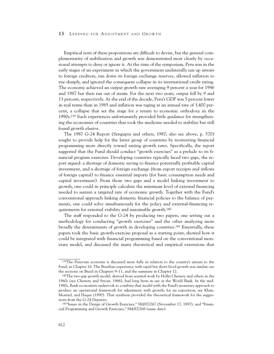Empirical tests of these propositions are difficult to devise, but the general complementarity of stabilization and growth was demonstrated most clearly by occasional attempts to deny or ignore it. At the time of the symposium, Peru was in the early stages of an experiment in which the government unilaterally ran up arrears to foreign creditors, ran down its foreign exchange reserves, allowed inflation to rise sharply, and ignored the consequent collapse in its international credit rating. The economy achieved an output growth rate averaging 9 percent a year for 1986 and 1987 but then ran out of steam. For the next two years, output fell by 9 and 13 percent, respectively. At the end of the decade, Peru's GDP was 5 percent lower in real terms than in 1985 and inflation was raging at an annual rate of 3,400 percent, a collapse that set the stage for a return to economic orthodoxy in the 1990s.139 Such experiences unfortunately provided little guidance for strengthening the economies of countries that took the medicine needed to stabilize but still found growth elusive.

The 1987 G-24 Report (Sengupta and others, 1987; also see above, p. 570) sought to provide help for the latter group of countries by reorienting financial programming more directly toward raising growth rates. Specifically, the report suggested that the Fund should conduct "growth exercises" as a prelude to its financial program exercises. Developing countries typically faced two gaps, the report argued: a shortage of domestic saving to finance potentially profitable capital investment, and a shortage of foreign exchange (from export receipts and inflows of foreign capital) to finance essential imports (for basic consumption needs and capital investment). From those two gaps and a model linking investment to growth, one could in principle calculate the minimum level of external financing needed to sustain a targeted rate of economic growth. Together with the Fund's conventional approach linking domestic financial policies to the balance of payments, one could solve simultaneously for the policy and external-financing requirements for external viability and sustainable growth.140

The staff responded to the G-24 by producing two papers, one setting out a methodology for conducting "growth exercises" and the other analyzing more broadly the determinants of growth in developing countries.141 Essentially, these papers took the basic growth-exercise proposal as a starting point, showed how it could be integrated with financial programming based on the conventional monetary model, and discussed the many theoretical and empirical extensions that

<sup>139</sup>The Peruvian economy is discussed more fully in relation to the country's arrears to the Fund, in Chapter 16. The Brazilian experience with rapid but short-lived growth was similar; see the sections on Brazil in Chapters 9–11, and the summary in Chapter 12.

<sup>140</sup>The two-gap growth model, derived from seminal work by Hollis Chenery and others in the 1960s (see Chenery and Strout, 1966), had long been in use at the World Bank. In the mid-1980s, Bank economists undertook to combine that model with the Fund's monetary approach to produce an operational framework for adjustment with growth; for an exposition, see Khan, Montiel, and Haque (1990). That synthesis provided the theoretical framework for the suggestions from the G-24 Deputies.

<sup>141&</sup>quot;Issues in the Design of Growth Exercises," SM/87/267 (November 17, 1987), and "Financial Programming and Growth Exercises," SM/87/268 (same date).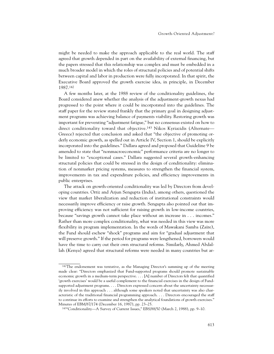might be needed to make the approach applicable to the real world. The staff agreed that growth depended in part on the availability of external financing, but the papers stressed that this relationship was complex and must be embedded in a much broader model in which the roles of structural policies and of potential shifts between capital and labor in production were fully incorporated. In that spirit, the Executive Board approved the growth exercise idea, in principle, in December 1987.142

A few months later, at the 1988 review of the conditionality guidelines, the Board considered anew whether the analysis of the adjustment-growth nexus had progressed to the point where it could be incorporated into the guidelines. The staff paper for the review stated frankly that the primary goal in designing adjustment programs was achieving balance of payments viability. Restoring growth was important for preventing "adjustment fatigue," but no consensus existed on how to direct conditionality toward that objective.<sup>143</sup> Nikos Kyriazidis (Alternate— Greece) rejected that conclusion and asked that "the objective of promoting orderly economic growth, as spelled out in Article IV, Section 1, should be explicitly incorporated into the guidelines." Dallara agreed and proposed that Guideline 9 be amended to state that "nonmacroeconomic" performance criteria are no longer to be limited to "exceptional cases." Dallara suggested several growth-enhancing structural policies that could be stressed in the design of conditionality: elimination of nonmarket pricing systems, measures to strengthen the financial system, improvements in tax and expenditure policies, and efficiency improvements in public enterprises.

The attack on growth-oriented conditionality was led by Directors from developing countries. Ortiz and Arjun Sengupta (India), among others, questioned the view that market liberalization and reduction of institutional constraints would necessarily improve efficiency or raise growth. Sengupta also pointed out that improving efficiency was not sufficient for raising growth in low-income countries, because "savings growth cannot take place without an increase in . . . incomes." Rather than more complex conditionality, what was needed in this view was more flexibility in program implementation. In the words of Mawakani Samba (Zaïre), the Fund should eschew "shock" programs and aim for "gradual adjustment that will preserve growth." If the period for programs were lengthened, borrowers would have the time to carry out their own structural reforms. Similarly, Ahmed Abdallah (Kenya) agreed that structural reforms were needed in many countries but ar-

<sup>142</sup>The endorsement was tentative, as the Managing Director's summing up of the meeting made clear: "Directors emphasized that Fund-supported programs should promote sustainable economic growth in a medium-term perspective. . . . [A] number of Directors felt that quantified 'growth exercises' would be a useful complement to the financial exercises in the design of Fundsupported adjustment programs. . . . Directors expressed concern about the uncertainty necessarily involved in this approach . . . although some speakers noted that uncertainty was also characteristic of the traditional financial programming approach. . . . Directors encouraged the staff to continue its efforts to examine and strengthen the analytical foundations of growth exercises." Minutes of EBM/87/174 (December 16, 1987), pp. 23–25.

<sup>143&</sup>quot;Conditionality—A Survey of Current Issues," EBS/88/50 (March 2, 1988), pp. 9–10.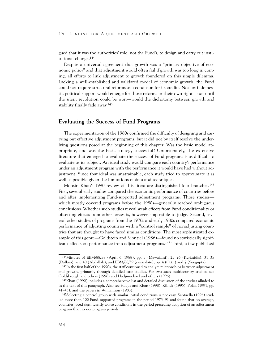gued that it was the authorities' role, not the Fund's, to design and carry out institutional change.144

Despite a universal agreement that growth was a "primary objective of economic policy" and that adjustment would often fail if growth was too long in coming, all efforts to link adjustment to growth foundered on this simple dilemma. Lacking a well-established and validated model of economic growth, the Fund could not require structural reforms as a condition for its credits. Not until domestic political support would emerge for those reforms in their own right—not until the silent revolution could be won—would the dichotomy between growth and stability finally fade away.145

# **Evaluating the Success of Fund Programs**

The experimentation of the 1980s confirmed the difficulty of designing and carrying out effective adjustment programs, but it did not by itself resolve the underlying questions posed at the beginning of this chapter: Was the basic model appropriate, and was the basic strategy successful? Unfortunately, the extensive literature that emerged to evaluate the success of Fund programs is as difficult to evaluate as its subject. An ideal study would compare each country's performance under an adjustment program with the performance it would have had without adjustment. Since that ideal was unattainable, each study tried to approximate it as well as possible given the limitations of data and techniques.

Mohsin Khan's 1990 review of this literature distinguished four branches.146 First, several early studies compared the economic performance of countries before and after implementing Fund-supported adjustment programs. Those studies which mostly covered programs before the 1980s—generally reached ambiguous conclusions. Whether such studies reveal weak effects from Fund conditionality or offsetting effects from other forces is, however, impossible to judge. Second, several other studies of programs from the 1970s and early 1980s compared economic performance of adjusting countries with a "control sample" of nonadjusting countries that are thought to have faced similar conditions. The most sophisticated example of this genre—Goldstein and Montiel (1986)—found no statistically significant effects on performance from adjustment programs.147 Third, a few published

<sup>144</sup>Minutes of EBM/88/58 (April 6, 1988), pp. 5 (Mawakani), 25–26 (Kyriazidis), 31–35 (Dallara), and 40 (Abdallah); and EBM/88/59 (same date), pp. 4 (Ortiz) and 7 (Sengupta).

<sup>&</sup>lt;sup>145</sup>In the first half of the 1990s, the staff continued to analyze relationships between adjustment and growth, primarily through detailed case studies. For two such multicountry studies, see Goldsbrough and others (1996) and Hadjimichael and others (1996).

<sup>146</sup>Khan (1990) includes a comprehensive list and detailed discussion of the studies alluded to in the text of this paragraph. Also see Haque and Khan (1998), Killick (1995), Polak (1991, pp. 41–45), and the papers in Williamson (1983).

<sup>147</sup>Selecting a control group with similar initial conditions is not easy. Santaella (1996) studied more than 100 Fund-supported programs in the period 1973–91 and found that on average, countries faced significantly worse conditions in the period preceding adoption of an adjustment program than in nonprogram periods.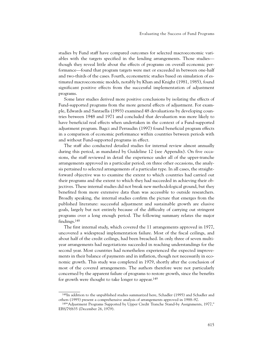studies by Fund staff have compared outcomes for selected macroeconomic variables with the targets specified in the lending arrangements. Those studies though they reveal little about the effects of programs on overall economic performance—found that program targets were met or exceeded in between one-half and two-thirds of the cases. Fourth, econometric studies based on simulation of estimated macroeconomic models, notably by Khan and Knight (1981, 1985), found significant positive effects from the successful implementation of adjustment programs.

Some later studies derived more positive conclusions by isolating the effects of Fund-supported programs from the more general effects of adjustment. For example, Edwards and Santaella (1993) examined 48 devaluations by developing countries between 1948 and 1971 and concluded that devaluation was more likely to have beneficial real effects when undertaken in the context of a Fund-supported adjustment program. Bagci and Perraudin (1997) found beneficial program effects in a comparison of economic performance within countries between periods with and without Fund-supported programs in effect.

The staff also conducted detailed studies for internal review almost annually during this period, as mandated by Guideline 12 (see Appendix). On five occasions, the staff reviewed in detail the experience under all of the upper-tranche arrangements approved in a particular period; on three other occasions, the analysis pertained to selected arrangements of a particular type. In all cases, the straightforward objective was to examine the extent to which countries had carried out their programs and the extent to which they had succeeded in achieving their objectives. These internal studies did not break new methodological ground, but they benefited from more extensive data than was accessible to outside researchers. Broadly speaking, the internal studies confirm the picture that emerges from the published literature: successful adjustment and sustainable growth are elusive goals, largely but not entirely because of the difficulty of carrying out stringent programs over a long enough period. The following summary relates the major findings.148

The first internal study, which covered the 11 arrangements approved in 1977, uncovered a widespread implementation failure. Most of the fiscal ceilings, and about half of the credit ceilings, had been breached. In only three of seven multiyear arrangements had negotiations succeeded in reaching understandings for the second year. Most countries had nonetheless experienced the expected improvements in their balance of payments and in inflation, though not necessarily in economic growth. This study was completed in 1979, shortly after the conclusion of most of the covered arrangements. The authors therefore were not particularly concerned by the apparent failure of programs to restore growth, since the benefits for growth were thought to take longer to appear.<sup>149</sup>

<sup>148</sup>In addition to the unpublished studies summarized here, Schadler (1995) and Schadler and others (1995) present a comprehensive analysis of arrangements approved in 1988–92.

<sup>149&</sup>quot;Adjustment Programs Supported by Upper Credit Tranche Stand-by Assignments, 1977," EBS/79/635 (December 26, 1979).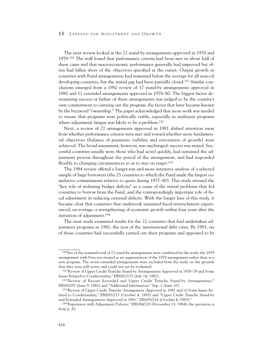The next review looked at the 22 stand-by arrangements approved in 1978 and 1979.150 The staff found that performance criteria had been met in about half of these cases and that macroeconomic performance generally had improved but often had fallen short of the objectives specified at the outset. Output growth in countries with Fund arrangements had remained below the average for all non-oil developing countries, but the initial gap had been partially closed.151 Similar conclusions emerged from a 1982 review of 17 stand-by arrangements approved in 1980 and 12 extended arrangements approved in 1978–80. The biggest factor determining success or failure of these arrangements was judged to be the country's own commitment to carrying out the program, the factor that later became known by the buzzword "ownership." The paper acknowledged that more work was needed to ensure that programs were politically viable, especially in multiyear programs where adjustment fatigue was likely to be a problem.<sup>152</sup>

Next, a review of 27 arrangements approved in 1981 shifted attention away from whether performance criteria were met and toward whether more fundamental objectives (balance of payments viability and restoration of growth) were achieved. The broad assessment, however, was unchanged: success was mixed. Successful countries usually were those who had acted quickly, had sustained the adjustment process throughout the period of the arrangement, and had responded flexibly to changing circumstances so as to stay on target.<sup>153</sup>

The 1984 review offered a longer-run and more intensive analysis of a selected sample of large borrowers (the 25 countries to which the Fund made the largest cumulative commitments relative to quota during 1977–80). This study stressed the "key role of widening budget deficits" as a cause of the initial problems that led countries to borrow from the Fund, and the correspondingly important role of fiscal adjustment in reducing external deficits. With the longer lens of this study, it became clear that countries that undertook sustained fiscal retrenchment experienced, on average, a strengthening of economic growth within four years after the initiation of adjustment.154

The next study examined results for the 22 countries that had undertaken adjustment programs in 1982: the year of the international debt crisis. By 1985, six of those countries had successfully carried out their programs and appeared to be

<sup>150</sup>Two of the nominal total of 23 stand-by arrangements were combined for the study: the 1979 arrangement with Peru was treated as an augmentation of the 1978 arrangement rather than as a new program. The seven extended arrangements were excluded from the study on the grounds that they were still active and could not yet be evaluated.

<sup>151&</sup>quot;Review of Upper Credit Tranche Stand-by Arrangements Approved in 1978–79 and Some Issues Related to Conditionality," EBS/81/152 (July 14, 1981).

<sup>152&</sup>quot;Review of Recent Extended and Upper Credit Tranche Stand-by Arrangements," EBS/82/97 (June 9, 1982) and "Additional Information," Sup. 1 (June 10).

<sup>153&</sup>quot;Review of Upper Credit Tranche Arrangement Approved in 1981 and of Some Issues Related to Conditionality," EBS/83/215 (October 4, 1983) and "Upper Credit Tranche Stand-by and Extended Arrangements Approved in 1981," EBS/83/216 (October 4, 1983)."

<sup>154&</sup>quot;Experience with Adjustment Policies," EBS/84/228 (November 13, 1984); the quotation is from p. 50.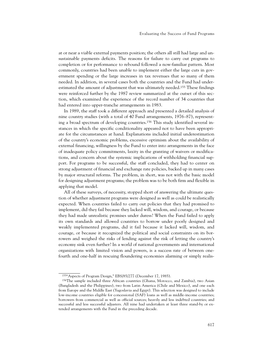at or near a viable external payments position; the others all still had large and unsustainable payments deficits. The reasons for failure to carry out programs to completion or for performance to rebound followed a now-familiar pattern. Most commonly, countries had been unable to implement either the large cuts in government spending or the large increases in tax revenues that so many of them needed. In addition, in several cases both the countries and the Fund had underestimated the amount of adjustment that was ultimately needed.<sup>155</sup> These findings were reinforced further by the 1987 review summarized at the outset of this section, which examined the experience of the record number of 34 countries that had entered into upper-tranche arrangements in 1983.

In 1989, the staff took a different approach and presented a detailed analysis of nine country studies (with a total of 40 Fund arrangements, 1976–87), representing a broad spectrum of developing countries.156 This study identified several instances in which the specific conditionality appeared not to have been appropriate for the circumstances at hand. Explanations included initial underestimation of the country's economic problems, excessive optimism about the availability of external financing, willingness by the Fund to enter into arrangements in the face of inadequate policy commitments, laxity in the granting of waivers or modifications, and concern about the systemic implications of withholding financial support. For programs to be successful, the staff concluded, they had to center on strong adjustment of financial and exchange rate policies, backed up in many cases by major structural reforms. The problem, in short, was not with the basic model for designing adjustment programs; the problem was to be both firm and flexible in applying that model.

All of these surveys, of necessity, stopped short of answering the ultimate question of whether adjustment programs were designed as well as could be realistically expected. When countries failed to carry out policies that they had promised to implement, did they fail because they lacked will, wisdom, and courage, or because they had made unrealistic promises under duress? When the Fund failed to apply its own standards and allowed countries to borrow under poorly designed and weakly implemented programs, did it fail because it lacked will, wisdom, and courage, or because it recognized the political and social constraints on its borrowers and weighed the risks of lending against the risk of letting the country's economy sink even further? In a world of national governments and international organizations with limited vision and powers, is a success rate of between onefourth and one-half in rescuing floundering economies alarming or simply realis-

<sup>155&</sup>quot;Aspects of Program Design," EBS/85/277 (December 17, 1985).

<sup>156</sup>The sample included three African countries (Ghana, Morocco, and Zambia), two Asian (Bangladesh and the Philippines), two from Latin America (Chile and Mexico), and one each from Europe and the Middle East (Yugoslavia and Egypt). This selection was designed to include low-income countries eligible for concessional (SAF) loans as well as middle-income countries; borrowers from commercial as well as official sources; heavily and less indebted countries; and successful and less successful adjusters. All nine had undertaken at least three stand-by or extended arrangements with the Fund in the preceding decade.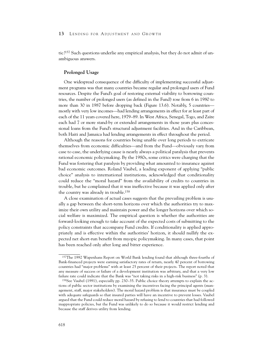tic?157 Such questions underlie any empirical analysis, but they do not admit of unambiguous answers.

## **Prolonged Usage**

One widespread consequence of the difficulty of implementing successful adjustment programs was that many countries became regular and prolonged users of Fund resources. Despite the Fund's goal of restoring external viability to borrowing countries, the number of prolonged users (as defined in the Fund) rose from 6 in 1980 to more than 30 in 1987 before dropping back (Figure 13.6). Notably, 5 countries mostly with very low incomes—had lending arrangements in effect for at least part of each of the 11 years covered here, 1979–89. In West Africa, Senegal, Togo, and Zaïre each had 7 or more stand-by or extended arrangements in those years plus concessional loans from the Fund's structural adjustment facilities. And in the Caribbean, both Haiti and Jamaica had lending arrangements in effect throughout the period.

Although the reasons for countries being unable over long periods to extricate themselves from economic difficulties—and from the Fund—obviously vary from case to case, the underlying cause is nearly always a political paralysis that prevents rational economic policymaking. By the 1980s, some critics were charging that the Fund was fostering that paralysis by providing what amounted to insurance against bad economic outcomes. Roland Vaubel, a leading exponent of applying "public choice" analysis to international institutions, acknowledged that conditionality could reduce the "moral hazard" from the availability of credits to countries in trouble, but he complained that it was ineffective because it was applied only after the country was already in trouble.158

A close examination of actual cases suggests that the prevailing problem is usually a gap between the short-term horizons over which the authorities try to maximize their own utility and maintain power and the longer horizons over which social welfare is maximized. The empirical question is whether the authorities are forward-looking enough to take account of the expected costs of submitting to the policy constraints that accompany Fund credits. If conditionality is applied appropriately and is effective within the authorities' horizon, it should nullify the expected net short-run benefit from myopic policymaking. In many cases, that point has been reached only after long and bitter experience.

<sup>157</sup>The 1992 Wapenhans Report on World Bank lending found that although three-fourths of Bank-financed projects were earning satisfactory rates of return, nearly 40 percent of borrowing countries had "major problems" with at least 25 percent of their projects. The report noted that any measure of success or failure of a development institution was arbitrary, and that a very low failure rate could indicate that the Bank was "not taking risks in a high-risk business" (p. 3).

<sup>158</sup>See Vaubel (1991), especially pp. 230–35. Public choice theory attempts to explain the actions of public sector institutions by examining the incentives facing the principal agents (management, staff, major stakeholders). The moral hazard problem is that insurance must be coupled with adequate safeguards so that insured parties will have an incentive to prevent losses. Vaubel argued that the Fund could reduce moral hazard by refusing to lend to countries that had followed inappropriate policies, but the Fund was unlikely to do so because it would restrict lending and because the staff derives utility from lending.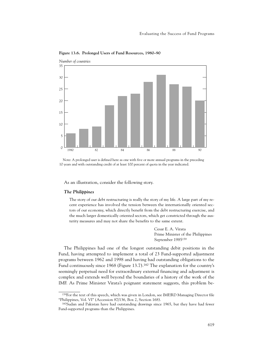

**Figure 13.6. Prolonged Users of Fund Resources, 1980–90**

Note: A prolonged user is defined here as one with five or more annual programs in the preceding 10 years and with outstanding credit of at least 100 percent of quota in the year indicated.

As an illustration, consider the following story.

## *The Philippines*

The story of our debt restructuring is really the story of my life. A large part of my recent experience has involved the tension between the internationally oriented sectors of our economy, which directly benefit from the debt restructuring exercise, and the much larger domestically oriented sectors, which get constricted through the austerity measures and may not share the benefits to the same extent.

> Cesar E. A. Virata Prime Minister of the Philippines September 1985159

The Philippines had one of the longest outstanding debit positions in the Fund, having attempted to implement a total of 23 Fund-supported adjustment programs between 1962 and 1998 and having had outstanding obligations to the Fund continuously since 1968 (Figure 13.7).<sup>160</sup> The explanation for the country's seemingly perpetual need for extraordinary external financing and adjustment is complex and extends well beyond the boundaries of a history of the work of the IMF. As Prime Minister Virata's poignant statement suggests, this problem be-

<sup>159</sup>For the text of this speech, which was given in London, see IMF/RD Managing Director file "Philippines, Vol. VI" (Accession 87/136, Box 2, Section 168).

<sup>160</sup>Sudan and Pakistan have had outstanding drawings since 1965, but they have had fewer Fund-supported programs than the Philippines.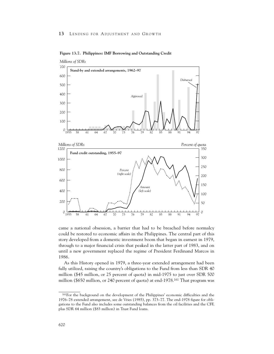

**Figure 13.7. Philippines: IMF Borrowing and Outstanding Credit**

came a national obsession, a barrier that had to be breached before normalcy could be restored to economic affairs in the Philippines. The central part of this story developed from a domestic investment boom that began in earnest in 1979, through to a major financial crisis that peaked in the latter part of 1983, and on until a new government replaced the regime of President Ferdinand Marcos in 1986.

As this History opened in 1979, a three-year extended arrangement had been fully utilized, raising the country's obligations to the Fund from less than SDR 40 million (\$45 million, or 25 percent of quota) in mid-1975 to just over SDR 500 million (\$650 million, or 240 percent of quota) at end-1978.161 That program was

<sup>161</sup>For the background on the development of the Philippines' economic difficulties and the 1976–78 extended arrangement, see de Vries (1985), pp. 373–77. The end-1978 figure for obligations to the Fund also includes some outstanding balances from the oil facilities and the CFF, plus SDR 64 million (\$83 million) in Trust Fund loans.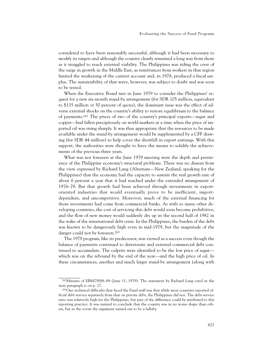considered to have been reasonably successful, although it had been necessary to modify its targets and although the country clearly remained a long way from shore as it struggled to reach external viability. The Philippines was riding the crest of the surge in growth in the Middle East, as remittances from workers in that region limited the weakening of the current account and, in 1978, produced a fiscal surplus. The sustainability of that wave, however, was subject to doubt and was soon to be tested.

When the Executive Board met in June 1979 to consider the Philippines' request for a new six-month stand-by arrangement (for SDR 105 million, equivalent to \$135 million or 50 percent of quota), the dominant issue was the effect of adverse external shocks on the country's ability to restore equilibrium to the balance of payments.162 The prices of two of the country's principal exports—sugar and copper—had fallen precipitously on world markets at a time when the price of imported oil was rising sharply. It was thus appropriate that the resources to be made available under the stand-by arrangement would be supplemented by a CFF drawing (for SDR 44 million) to help cover the shortfall in export earnings. With this support, the authorities were thought to have the means to solidify the achievements of the previous three years.

What was not foreseen at the June 1979 meeting were the depth and persistence of the Philippine economy's structural problems. There was no dissent from the view expressed by Richard Lang (Alternate—New Zealand, speaking for the Philippines) that the economy had the capacity to sustain the real growth rate of about 6 percent a year that it had reached under the extended arrangement of 1976–78. But that growth had been achieved through investments in exportoriented industries that would eventually prove to be inefficient, importdependent, and uncompetitive. Moreover, much of the external financing for those investments had come from commercial banks. As with so many other developing countries, the cost of servicing this debt would soon become prohibitive, and the flow of new money would suddenly dry up in the second half of 1982 in the wake of the international debt crisis. In the Philippines, the burden of the debt was known to be dangerously high even in mid-1979, but the magnitude of the danger could not be foreseen.<sup>163</sup>

The 1979 program, like its predecessor, was viewed as a success even though the balance of payments continued to deteriorate and external commercial debt continued to accumulate. The culprits were identified to be the low price of sugar which was on the rebound by the end of the year—and the high price of oil. In these circumstances, another and much larger stand-by arrangement (along with

<sup>162</sup>Minutes of EBM/79/88–89 (June 11, 1979). The statement by Richard Lang cited in the next paragraph is on p. 27.

<sup>163</sup>One technical difficulty that faced the Fund staff was that while most countries reported official debt service separately from that on private debt, the Philippines did not. The debt-service ratio was relatively high for the Philippines, but part of the difference could be attributed to this reporting practice. It was natural to conclude that the country was in no worse shape than others, but in the event the argument turned out to be a lullaby.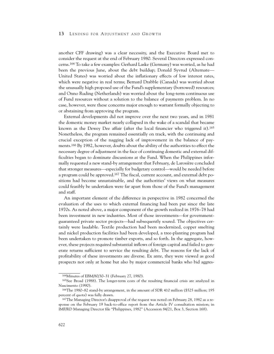another CFF drawing) was a clear necessity, and the Executive Board met to consider the request at the end of February 1980. Several Directors expressed concerns.164 To take a few examples: Gerhard Laske (Germany) was worried, as he had been the previous June, about the debt buildup; Donald Syvrud (Alternate— United States) was worried about the inflationary effects of low interest rates, which were negative in real terms; Bernard Drabble (Canada) was worried about the unusually high proposed use of the Fund's supplementary (borrowed) resources; and Onno Ruding (Netherlands) was worried about the long-term continuous use of Fund resources without a solution to the balance of payments problem. In no case, however, were these concerns major enough to warrant formally objecting to or abstaining from approving the program.

External developments did not improve over the next two years, and in 1981 the domestic money market nearly collapsed in the wake of a scandal that became known as the Dewey Dee affair (after the local financier who triggered it).165 Nonetheless, the program remained essentially on track, with the continuing and crucial exception of the nagging lack of improvement in the balance of payments.166 By 1982, however, doubts about the ability of the authorities to effect the necessary degree of adjustment in the face of continuing domestic and external difficulties began to dominate discussions at the Fund. When the Philippines informally requested a new stand-by arrangement that February, de Larosière concluded that stronger measures—especially for budgetary control—would be needed before a program could be approved.167 The fiscal, current account, and external debt positions had become unsustainable, and the authorities' views on what measures could feasibly be undertaken were far apart from those of the Fund's management and staff.

An important element of the difference in perspective in 1982 concerned the evaluation of the uses to which external financing had been put since the late 1970s. As noted above, a major component of the growth realized in 1976–78 had been investment in new industries. Most of those investments—for governmentguaranteed private sector projects—had subsequently soured. The objectives certainly were laudable. Textile production had been modernized, copper smelting and nickel production facilities had been developed, a tree-planting program had been undertaken to promote timber exports, and so forth. In the aggregate, however, these projects required substantial inflows of foreign capital and failed to generate returns sufficient to service the resulting debt. The reasons for the lack of profitability of these investments are diverse. Ex ante, they were viewed as good prospects not only at home but also by major commercial banks who bid aggres-

<sup>164</sup>Minutes of EBM/80/30–31 (February 27, 1980).

<sup>165</sup>See Broad (1988). The longer-term costs of the resulting financial crisis are analyzed in Nascimento (1990).

<sup>166</sup>The 1980–82 stand-by arrangement, in the amount of SDR 410 million (\$525 million; 195 percent of quota) was fully drawn.

<sup>167</sup>The Managing Director's disapproval of the request was noted on February 28, 1982 as a response on the February 19 back-to-office report from the Article IV consultation mission; in IMF/RD Managing Director file "Philippines, 1982" (Accession 84/21, Box 3, Section 168).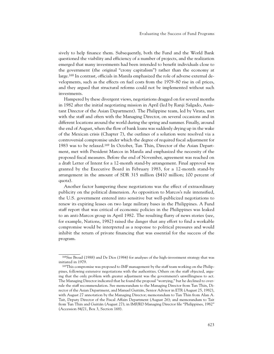sively to help finance them. Subsequently, both the Fund and the World Bank questioned the viability and efficiency of a number of projects, and the realization emerged that many investments had been intended to benefit individuals close to the government (the original "crony capitalism") rather than the economy at large.168 In contrast, officials in Manila emphasized the role of adverse external developments, such as the effects on fuel costs from the 1979–80 rise in oil prices, and they argued that structural reforms could not be implemented without such investments.

Hampered by these divergent views, negotiations dragged on for several months in 1982 after the initial negotiating mission in April (led by Ranji Salgado, Assistant Director of the Asian Department). The Philippine team, led by Virata, met with the staff and often with the Managing Director, on several occasions and in different locations around the world during the spring and summer. Finally, around the end of August, when the flow of bank loans was suddenly drying up in the wake of the Mexican crisis (Chapter 7), the outlines of a solution were resolved via a controversial compromise under which the degree of required fiscal adjustment for 1983 was to be relaxed.169 In October, Tun Thin, Director of the Asian Department, met with President Marcos in Manila and emphasized the necessity of the proposed fiscal measures. Before the end of November, agreement was reached on a draft Letter of Intent for a 12-month stand-by arrangement. Final approval was granted by the Executive Board in February 1983, for a 12-month stand-by arrangement in the amount of SDR 315 million (\$410 million; 100 percent of quota).

Another factor hampering these negotiations was the effect of extraordinary publicity on the political dimension. As opposition to Marcos's rule intensified, the U.S. government entered into sensitive but well-publicized negotiations to renew its expiring leases on two large military bases in the Philippines. A Fund staff report that was critical of economic policies in the Philippines was leaked to an anti-Marcos group in April 1982. The resulting flurry of news stories (see, for example, Nations, 1982) raised the danger that any effort to find a workable compromise would be interpreted as a response to political pressures and would inhibit the return of private financing that was essential for the success of the program.

<sup>168</sup>See Broad (1988) and De Dios (1984) for analyses of the high-investment strategy that was initiated in 1979.

<sup>169</sup>This compromise was proposed to IMF management by the staff team working on the Philippines, following extensive negotiations with the authorities. Others on the staff objected, arguing that the only problem with greater adjustment was the government's unwillingness to act. The Managing Director indicated that he found the proposal "worrying," but he declined to overrule the staff recommendation. See memorandum to the Managing Director from Tun Thin, Director of the Asian Department, and Manuel Guitián, Senior Advisor in ETR (August 25, 1982), with August 27 annotation by the Managing Director; memorandum to Tun Thin from Alan A. Tait, Deputy Director of the Fiscal Affairs Department (August 26); and memorandum to Tait from Tun Thin and Guitián (August 27); in IMF/RD Managing Director file "Philippines, 1982" (Accession 84/21, Box 3, Section 168).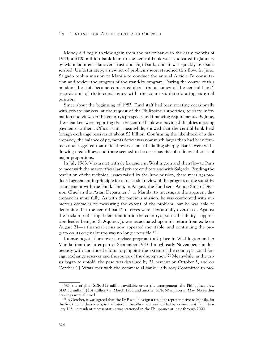Money did begin to flow again from the major banks in the early months of 1983; a \$300 million bank loan to the central bank was syndicated in January by Manufacturers Hanover Trust and Fuji Bank, and it was quickly oversubscribed. Unfortunately, a new set of problems soon stanched this flow. In June, Salgado took a mission to Manila to conduct the annual Article IV consultation and review the progress of the stand-by program. During the course of this mission, the staff became concerned about the accuracy of the central bank's records and of their consistency with the country's deteriorating external position.

Since about the beginning of 1983, Fund staff had been meeting occasionally with private bankers, at the request of the Philippine authorities, to share information and views on the country's prospects and financing requirements. By June, these bankers were reporting that the central bank was having difficulties meeting payments to them. Official data, meanwhile, showed that the central bank held foreign exchange reserves of about \$2 billion. Confirming the likelihood of a discrepancy, the balance of payments deficit was now much larger than had been foreseen and suggested that official reserves must be falling sharply. Banks were withdrawing credit lines, and there seemed to be a serious risk of a financial crisis of major proportions.

In July 1983, Virata met with de Larosière in Washington and then flew to Paris to meet with the major official and private creditors and with Salgado. Pending the resolution of the technical issues raised by the June mission, these meetings produced agreement in principle for a successful review of the progress of the stand-by arrangement with the Fund. Then, in August, the Fund sent Anoop Singh (Division Chief in the Asian Department) to Manila, to investigate the apparent discrepancies more fully. As with the previous mission, he was confronted with numerous obstacles to measuring the extent of the problem, but he was able to determine that the central bank's reserves were substantially overstated. Against the backdrop of a rapid deterioration in the country's political stability—opposition leader Benigno S. Aquino, Jr. was assassinated upon his return from exile on August 21—a financial crisis now appeared inevitable, and continuing the program on its original terms was no longer possible.170

Intense negotiations over a revised program took place in Washington and in Manila from the latter part of September 1983 through early November, simultaneously with continued efforts to pinpoint the extent of the country's actual foreign exchange reserves and the source of the discrepancy.171 Meanwhile, as the crisis began to unfold, the peso was devalued by 21 percent on October 5, and on October 14 Virata met with the commercial banks' Advisory Committee to pro-

<sup>170</sup>Of the original SDR 315 million available under the arrangement, the Philippines drew SDR 50 million (\$54 million) in March 1983 and another SDR 50 million in May. No further drawings were allowed.

<sup>171</sup>In October, it was agreed that the IMF would assign a resident representative to Manila, for the first time in three years; in the interim, the office had been staffed by a consultant. From January 1984, a resident representative was stationed in the Philippines at least through 2000.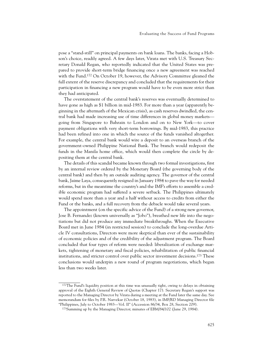pose a "stand-still" on principal payments on bank loans. The banks, facing a Hobson's choice, readily agreed. A few days later, Virata met with U.S. Treasury Secretary Donald Regan, who reportedly indicated that the United States was prepared to provide short-term bridge financing once a new agreement was reached with the Fund.172 On October 19, however, the Advisory Committee gleaned the full extent of the reserve discrepancy and concluded that the requirements for their participation in financing a new program would have to be even more strict than they had anticipated.

The overstatement of the central bank's reserves was eventually determined to have gone as high as \$1 billion in mid-1983. For more than a year (apparently beginning in the aftermath of the Mexican crisis), as cash reserves dwindled, the central bank had made increasing use of time differences in global money markets going from Singapore to Bahrain to London and on to New York—to cover payment obligations with very short-term borrowings. By mid-1983, this practice had been refined into one in which the source of the funds vanished altogether. For example, the central bank would wire a deposit to an overseas branch of the government-owned Philippine National Bank. The branch would redeposit the funds in the Manila home office, which would then complete the circle by depositing them at the central bank.

The details of this scandal became known through two formal investigations, first by an internal review ordered by the Monetary Board (the governing body of the central bank) and then by an outside auditing agency. The governor of the central bank, Jaime Laya, consequently resigned in January 1984 to pave the way for needed reforms, but in the meantime the country's and the IMF's efforts to assemble a credible economic program had suffered a severe setback. The Philippines ultimately would spend more than a year and a half without access to credits from either the Fund or the banks, and a full recovery from the debacle would take several years.

The appointment (on the specific advice of the Fund) of a strong new governor, Jose B. Fernandez (known universally as "Jobo"), breathed new life into the negotiations but did not produce any immediate breakthroughs. When the Executive Board met in June 1984 (in restricted session) to conclude the long-overdue Article IV consultations, Directors were more skeptical than ever of the sustainability of economic policies and of the credibility of the adjustment program. The Board concluded that four types of reform were needed: liberalization of exchange markets, tightening of monetary and fiscal policies, rehabilitation of public financial institutions, and stricter control over public sector investment decisions.173 These conclusions would underpin a new round of program negotiations, which began less than two weeks later.

<sup>&</sup>lt;sup>172</sup>The Fund's liquidity position at this time was unusually tight, owing to delays in obtaining approval of the Eighth General Review of Quotas (Chapter 17). Secretary Regan's support was reported to the Managing Director by Virata during a meeting at the Fund later the same day. See memorandum for files by P.R. Narvekar (October 18, 1983), in IMF/RD Managing Director file "Philippines, July to October 1983—Vol. II" (Accession 86/34, Box 28, Section 209).

<sup>173</sup>Summing up by the Managing Director; minutes of EBM/84/102 (June 29, 1984).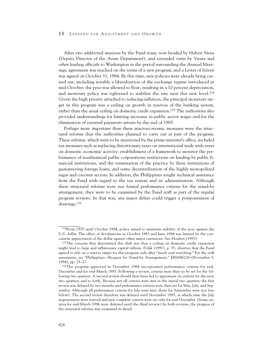After two additional missions by the Fund team, now headed by Hubert Neiss (Deputy Director of the Asian Department), and extended visits by Virata and other leading officials to Washington in the period surrounding the Annual Meetings, agreement was reached on the terms of a new program, and a Letter of Intent was signed on October 31, 1984. By this time, new policies were already being carried out, including notably a liberalization of the exchange regime introduced in mid-October: the peso was allowed to float, resulting in a 10 percent depreciation, and monetary policy was tightened to stabilize the rate near this new level.<sup>174</sup> Given the high priority attached to reducing inflation, the principal monetary target in this program was a ceiling on growth in reserves of the banking system, rather than the usual ceiling on domestic credit expansion.175 The authorities also provided understandings for limiting increases in public sector wages and for the elimination of external payments arrears by the end of 1985.

Perhaps more important than these macroeconomic measures were the structural reforms that the authorities planned to carry out as part of the program. These reforms, which were to be monitored by the prime minister's office, included tax measures such as replacing distortionary taxes on international trade with taxes on domestic economic activity; establishment of a framework to monitor the performance of nonfinancial public corporations; restrictions on lending by public financial institutions, and the termination of the practice by these institutions of guaranteeing foreign loans; and some decentralization of the highly monopolized sugar and coconut sectors. In addition, the Philippines sought technical assistance from the Fund with regard to the tax system and its administration. Although these structural reforms were not formal performance criteria for the stand-by arrangement, they were to be examined by the Fund staff as part of the regular program reviews. In that way, any major delays could trigger a postponement of drawings.176

<sup>174</sup>From 1970 until October 1984, policy aimed to maintain stability of the peso against the U.S. dollar. The effect of devaluations in October 1983 and June 1984 was limited by the concurrent appreciation of the dollar against other major currencies. See Houben (1997).

<sup>175</sup>The concern that determined this shift was that a ceiling on domestic credit expansion might lead to large and inflationary capital inflows. Polak (1991), p. 35, observes that the Fund agreed to rely on a reserve target for this program only after "much soul searching." For the staff assessment, see "Philippines—Request for Stand-by Arrangement," EBS/84/226 (November 5, 1984), pp. 25–27.

<sup>176</sup>The program approved in December 1984 incorporated performance criteria for end-December and for end-March 1985. Following a review, criteria were then to be set for the following two quarters. A second review should then have led to agreement on criteria for the next two quarters, and so forth. Because not all criteria were met in the initial two quarters, the first review was delayed by two months and performance criteria were then set for May, July, and September. Although all performance criteria for July were met, those for September were not (see below). The second review therefore was delayed until November 1985, at which time the July requirements were waived and new complete criteria were set only for end-December. (Some criteria for end-March 1986 were deferred until the third review.) In both reviews, the progress of the structural reforms was examined in detail.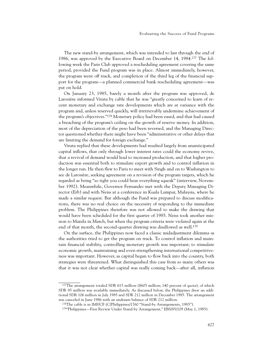The new stand-by arrangement, which was intended to last through the end of 1986, was approved by the Executive Board on December 14, 1984.177 The following week the Paris Club approved a rescheduling agreement covering the same period, provided the Fund program was in place. Almost immediately, however, the program went off track, and completion of the third leg of the financial support for the program—a planned commercial bank rescheduling agreement—was put on hold.

On January 23, 1985, barely a month after the program was approved, de Larosière informed Virata by cable that he was "greatly concerned to learn of recent monetary and exchange rate developments which are at variance with the program and, unless reserved quickly, will irretrievably undermine achievement of the program's objectives."178 Monetary policy had been eased, and that had caused a breaching of the program's ceiling on the growth of reserve money. In addition, most of the depreciation of the peso had been reversed, and the Managing Director questioned whether there might have been "administrative or other delays that are limiting the demand for foreign exchange."

Virata replied that these developments had resulted largely from unanticipated capital inflows, that only through lower interest rates could the economy revive, that a revival of demand would lead to increased production, and that higher production was essential both to stimulate export growth and to control inflation in the longer run. He then flew to Paris to meet with Singh and on to Washington to see de Larosière, seeking agreement on a revision of the program targets, which he regarded as being "so tight you could hear everything squeak" (interview, November 1992). Meanwhile, Governor Fernandez met with the Deputy Managing Director (Erb) and with Neiss at a conference in Kuala Lumpur, Malaysia, where he made a similar request. But although the Fund was prepared to discuss modifications, there was no real choice on the necessity of responding to the immediate problem. The Philippines therefore was not allowed to make the drawing that would have been scheduled for the first quarter of 1985. Neiss took another mission to Manila in March, but when the program criteria were violated again at the end of that month, the second-quarter drawing was disallowed as well.<sup>179</sup>

On the surface, the Philippines now faced a classic midadjustment dilemma as the authorities tried to get the program on track. To control inflation and maintain financial stability, controlling monetary growth was important; to stimulate economic growth, maintaining and even strengthening international competitiveness was important. However, as capital began to flow back into the country, both strategies were threatened. What distinguished this case from so many others was that it was not clear whether capital was really coming back—after all, inflation

<sup>177</sup>The arrangement totaled SDR 615 million (\$605 million; 140 percent of quota), of which SDR 85 million was available immediately. As discussed below, the Philippines drew an additional SDR 106 million in July 1985 and SDR 212 million in December 1985. The arrangement was canceled in June 1986 with an undrawn balance of SDR 212 million.

<sup>178</sup>The cable is in IMF/CF (C/Philippines/1760 "Stand-by Arrangements, 1985").

<sup>179&</sup>quot;Philippines—First Review Under Stand-by Arrangement," EBS/85/109 (May 1, 1985).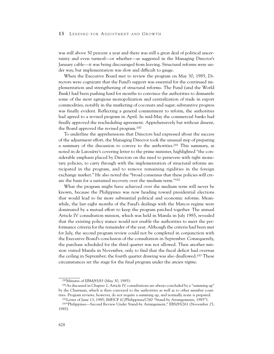was still above 50 percent a year and there was still a great deal of political uncertainty and even turmoil—or whether—as suggested in the Managing Director's January cable—it was being discouraged from leaving. Structural reforms were under way, but implementation was slow and difficult to gauge.

When the Executive Board met to review the program on May 30, 1985, Directors were cognizant that the Fund's support was essential for the continued implementation and strengthening of structural reforms. The Fund (and the World Bank) had been pushing hard for months to convince the authorities to dismantle some of the most egregious monopolization and centralization of trade in export commodities, notably in the marketing of coconuts and sugar; substantive progress was finally evident. Reflecting a general commitment to reform, the authorities had agreed to a revised program in April. In mid-May the commercial banks had finally approved the rescheduling agreement. Apprehensively but without dissent, the Board approved the revised program.180

To underline the apprehensions that Directors had expressed about the success of the adjustment effort, the Managing Director took the unusual step of preparing a summary of the discussion to convey to the authorities.181 This summary, as noted in de Larosière's covering letter to the prime minister, highlighted "the considerable emphasis placed by Directors on the need to persevere with tight monetary policies, to carry through with the implementation of structural reforms anticipated in the program, and to remove remaining rigidities in the foreign exchange market." He also noted the "broad consensus that these policies will create the basis for a sustained recovery over the medium term."182

What the program might have achieved over the medium term will never be known, because the Philippines was now heading toward presidential elections that would lead to far more substantial political and economic reforms. Meanwhile, the last eight months of the Fund's dealings with the Marcos regime were dominated by a mutual effort to keep the program patched together. The annual Article IV consultation mission, which was held in Manila in July 1985, revealed that the existing policy stance would not enable the authorities to meet the performance criteria for the remainder of the year. Although the criteria had been met for July, the second program review could not be completed in conjunction with the Executive Board's conclusion of the consultation in September. Consequently, the purchase scheduled for the third quarter was not allowed. Then another mission visited Manila in November, only to find that the fiscal deficit had overrun the ceiling in September; the fourth quarter drawing was also disallowed.183 These circumstances set the stage for the final program under the *ancien régime*.

<sup>180</sup>Minutes of EBM/85/83 (May 30, 1985).

<sup>181</sup>As discussed in Chapter 2, Article IV consultations are always concluded by a "summing up" by the Chairman, which is then conveyed to the authorities as well as to other member countries. Program reviews, however, do not require a summing up, and normally none is prepared.

<sup>182</sup>Letter of June 13, 1985; IMF/CF (C/Philippines/1760 "Stand-by Arrangements, 1985"). 183"Philippines—Second Review Under Stand-by Arrangement," EBS/85/261 (November 25,

<sup>1985).</sup>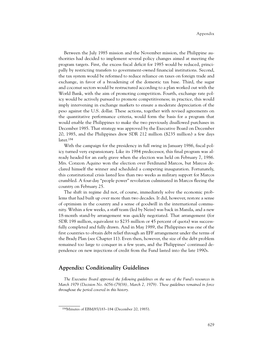Between the July 1985 mission and the November mission, the Philippine authorities had decided to implement several policy changes aimed at meeting the program targets. First, the excess fiscal deficit for 1985 would be reduced, principally by restricting transfers to government-owned financial institutions. Second, the tax system would be reformed to reduce reliance on taxes on foreign trade and exchange, in favor of a broadening of the domestic tax base. Third, the sugar and coconut sectors would be restructured according to a plan worked out with the World Bank, with the aim of promoting competition. Fourth, exchange rate policy would be actively pursued to promote competitiveness; in practice, this would imply intervening in exchange markets to ensure a moderate depreciation of the peso against the U.S. dollar. These actions, together with revised agreements on the quantitative performance criteria, would form the basis for a program that would enable the Philippines to make the two previously disallowed purchases in December 1985. That strategy was approved by the Executive Board on December 20, 1985, and the Philippines drew SDR 212 million (\$235 million) a few days later.184

With the campaign for the presidency in full swing in January 1986, fiscal policy turned very expansionary. Like its 1984 predecessor, this final program was already headed for an early grave when the election was held on February 7, 1986. Mrs. Corazon Aquino won the election over Ferdinand Marcos, but Marcos declared himself the winner and scheduled a competing inauguration. Fortunately, this constitutional crisis lasted less than two weeks as military support for Marcos crumbled. A four-day "people power" revolution culminated in Marcos fleeing the country on February 25.

The shift in regime did not, of course, immediately solve the economic problems that had built up over more than two decades. It did, however, restore a sense of optimism in the country and a sense of goodwill in the international community. Within a few weeks, a staff team (led by Neiss) was back in Manila, and a new 18-month stand-by arrangement was quickly negotiated. That arrangement (for SDR 198 million, equivalent to \$235 million or 45 percent of quota) was successfully completed and fully drawn. And in May 1989, the Philippines was one of the first countries to obtain debt relief through an EFF arrangement under the terms of the Brady Plan (see Chapter 11). Even then, however, the size of the debt problem remained too large to conquer in a few years, and the Philippines' continued dependence on new injections of credit from the Fund lasted into the late 1990s.

# **Appendix: Conditionality Guidelines**

*The Executive Board approved the following guidelines on the use of the Fund's resources in March 1979 (Decision No. 6056-(79/38), March 2, 1979). These guidelines remained in force throughout the period covered in this history.*

<sup>184</sup>Minutes of EBM/85/183–184 (December 20, 1985).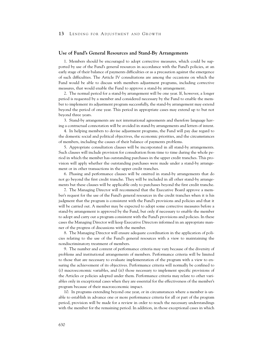### **Use of Fund's General Resources and Stand-By Arrangements**

1. Members should be encouraged to adopt corrective measures, which could be supported by use of the Fund's general resources in accordance with the Fund's policies, at an early stage of their balance of payments difficulties or as a precaution against the emergence of such difficulties. The Article IV consultations are among the occasions on which the Fund would be able to discuss with members adjustment programs, including corrective measures, that would enable the Fund to approve a stand-by arrangement.

2. The normal period for a stand-by arrangement will be one year. If, however, a longer period is requested by a member and considered necessary by the Fund to enable the member to implement its adjustment program successfully, the stand-by arrangement may extend beyond the period of one year. This period in appropriate cases may extend up to but not beyond three years.

3. Stand-by arrangements are not international agreements and therefore language having a contractual connotation will be avoided in stand-by arrangements and letters of intent.

4. In helping members to devise adjustment programs, the Fund will pay due regard to the domestic social and political objectives, the economic priorities, and the circumstances of members, including the causes of their balance of payments problems.

5. Appropriate consultation clauses will be incorporated in all stand-by arrangements. Such clauses will include provision for consultation from time to time during the whole period in which the member has outstanding purchases in the upper credit tranches. This provision will apply whether the outstanding purchases were made under a stand-by arrangement or in other transactions in the upper credit tranches.

6. Phasing and performance clauses will be omitted in stand-by arrangements that do not go beyond the first credit tranche. They will be included in all other stand-by arrangements but these clauses will be applicable only to purchases beyond the first credit tranche.

7. The Managing Director will recommend that the Executive Board approve a member's request for the use of the Fund's general resources in the credit tranches when it is his judgment that the program is consistent with the Fund's provisions and policies and that it will be carried out. A member may be expected to adopt some corrective measures before a stand-by arrangement is approved by the Fund, but only if necessary to enable the member to adopt and carry out a program consistent with the Fund's provisions and policies. In these cases the Managing Director will keep Executive Directors informed in an appropriate manner of the progress of discussions with the member.

8. The Managing Director will ensure adequate coordination in the application of policies relating to the use of the Fund's general resources with a view to maintaining the nondiscriminatory treatment of members.

9. The number and content of performance criteria may vary because of the diversity of problems and institutional arrangements of members. Performance criteria will be limited to those that are necessary to evaluate implementation of the program with a view to ensuring the achievement of its objectives. Performance criteria will normally be confined to (i) macroeconomic variables, and (ii) those necessary to implement specific provisions of the Articles or policies adopted under them. Performance criteria may relate to other variables only in exceptional cases when they are essential for the effectiveness of the member's program because of their macroeconomic impact.

10. In programs extending beyond one year, or in circumstances where a member is unable to establish in advance one or more performance criteria for all or part of the program period, provision will be made for a review in order to reach the necessary understandings with the member for the remaining period. In addition, in those exceptional cases in which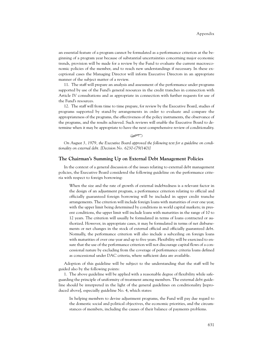an essential feature of a program cannot be formulated as a performance criterion at the beginning of a program year because of substantial uncertainties concerning major economic trends, provision will be made for a review by the Fund to evaluate the current macroeconomic policies of the member, and to reach new understandings if necessary. In these exceptional cases the Managing Director will inform Executive Directors in an appropriate manner of the subject matter of a review.

11. The staff will prepare an analysis and assessment of the performance under programs supported by use of the Fund's general resources in the credit tranches in connection with Article IV consultations and as appropriate in connection with further requests for use of the Fund's resources.

12. The staff will from time to time prepare, for review by the Executive Board, studies of programs supported by stand-by arrangements in order to evaluate and compare the appropriateness of the programs, the effectiveness of the policy instruments, the observance of the programs, and the results achieved. Such reviews will enable the Executive Board to determine when it may be appropriate to have the next comprehensive review of conditionality.

 $\infty$ 

*On August 3, 1979, the Executive Board approved the following text for a guideline on conditionality on external debt. [Decision No. 6230-(79/140)]*

## **The Chairman's Summing Up on External Debt Management Policies**

In the context of a general discussion of the issues relating to external debt management policies, the Executive Board considered the following guideline on the performance criteria with respect to foreign borrowing:

When the size and the rate of growth of external indebtedness is a relevant factor in the design of an adjustment program, a performance criterion relating to official and officially guaranteed foreign borrowing will be included in upper credit tranche arrangements. The criterion will include foreign loans with maturities of over one year, with the upper limit being determined by conditions in world capital markets; in present conditions, the upper limit will include loans with maturities in the range of 10 to 12 years. The criterion will usually be formulated in terms of loans contracted or authorized. However, in appropriate cases, it may be formulated in terms of net disbursements or net changes in the stock of external official and officially guaranteed debt. Normally, the performance criterion will also include a subceiling on foreign loans with maturities of over one year and up to five years. Flexibility will be exercised to ensure that the use of the performance criterion will not discourage capital flows of a concessional nature by excluding from the coverage of performance criteria loans defined as concessional under DAC criteria, where sufficient data are available.

Adoption of this guideline will be subject to the understanding that the staff will be guided also by the following points:

1. The above guideline will be applied with a reasonable degree of flexibility while safeguarding the principle of uniformity of treatment among members. The external debt guideline should be interpreted in the light of the general guidelines on conditionality [reproduced above], especially guideline No. 4, which states:

In helping members to devise adjustment programs, the Fund will pay due regard to the domestic social and political objectives, the economic priorities, and the circumstances of members, including the causes of their balance of payments problems.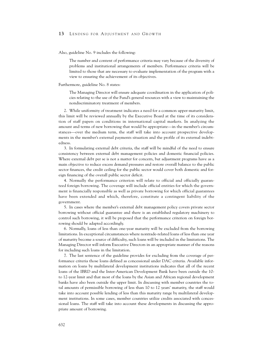Also, guideline No. 9 includes the following:

The number and content of performance criteria may vary because of the diversity of problems and institutional arrangements of members. Performance criteria will be limited to those that are necessary to evaluate implementation of the program with a view to ensuring the achievement of its objectives.

Furthermore, guideline No. 8 states:

The Managing Director will ensure adequate coordination in the application of policies relating to the use of the Fund's general resources with a view to maintaining the nondiscriminatory treatment of members.

2. While uniformity of treatment indicates a need for a common upper-maturity limit, this limit will be reviewed annually by the Executive Board at the time of its consideration of staff papers on conditions in international capital markets. In analyzing the amount and terms of new borrowing that would be appropriate—in the member's circumstances—over the medium term, the staff will take into account prospective developments in the member's external payments situation and the profile of its external indebtedness.

3. In formulating external debt criteria, the staff will be mindful of the need to ensure consistency between external debt management policies and domestic financial policies. Where external debt per se is not a matter for concern, but adjustment programs have as a main objective to reduce excess demand pressures and restore overall balance to the public sector finances, the credit ceiling for the public sector would cover both domestic and foreign financing of the overall public sector deficit.

4. Normally the performance criterion will relate to official and officially guaranteed foreign borrowing. The coverage will include official entities for which the government is financially responsible as well as private borrowing for which official guarantees have been extended and which, therefore, constitute a contingent liability of the government.

5. In cases where the member's external debt management policy covers private sector borrowing without official guarantee and there is an established regulatory machinery to control such borrowing, it will be proposed that the performance criterion on foreign borrowing should be adapted accordingly.

6. Normally, loans of less than one-year maturity will be excluded from the borrowing limitations. In exceptional circumstances where nontrade-related loans of less than one year of maturity become a source of difficulty, such loans will be included in the limitations. The Managing Director will inform Executive Directors in an appropriate manner of the reasons for including such loans in the limitation.

7. The last sentence of the guideline provides for excluding from the coverage of performance criteria those loans defined as concessional under DAC criteria. Available information on loans by multilateral development institutions indicates that all of the recent loans of the IBRD and the Inter-American Development Bank have been outside the 10 to 12-year limit and that most of the loans by the Asian and African regional development banks have also been outside the upper limit. In discussing with member countries the total amounts of permissible borrowing of less than 10 to 12 years' maturity, the staff would take into account possible lending of less than this maturity range by multilateral development institutions. In some cases, member countries utilize credits associated with concessional loans. The staff will take into account these developments in discussing the appropriate amount of borrowing.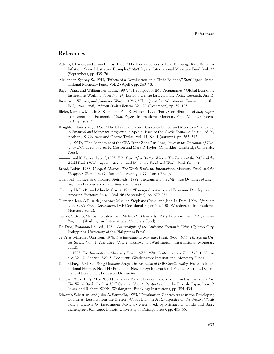# **References**

- Adams, Charles, and Daniel Gros, 1986, "The Consequences of Real Exchange Rate Rules for Inflation: Some Illustrative Examples," *Staff Papers*, International Monetary Fund, Vol. 33 (September), pp. 439–76.
- Alexander, Sydney S., 1952, "Effects of a Devaluation on a Trade Balance," *Staff Papers,* International Monetary Fund, Vol. 2 (April), pp. 263–78.
- Bagci, Pinar, and William Perraudin, 1997, "The Impact of IMF Programmes," Global Economic Institutions Working Paper No. 24 (London: Centre for Economic Policy Research, April).
- Biermann, Werner, and Jumanne Wagao, 1986, "The Quest for Adjustment: Tanzania and the IMF, 1980–1986," *African Studies Review*, Vol. 29 (December), pp. 89–103.
- Blejer, Mario I., Mohsin S. Khan, and Paul R. Masson, 1995, "Early Contributions of *Staff Papers* to International Economics," *Staff Papers*, International Monetary Fund, Vol. 42 (December), pp. 707–33.
- Boughton, James M., 1993a, "The CFA Franc Zone: Currency Union and Monetary Standard," in *Financial and Monetary Integration*, a Special Issue of the *Greek Economic Review*, ed. by Anthony S. Courakis and George Tavlas, Vol. 15, No. 1 (autumn), pp. 267–312.
- ———, 1993b, "The Economics of the CFA Franc Zone," in *Policy Issues in the Operation of Currency Unions*, ed. by Paul R. Masson and Mark P. Taylor (Cambridge: Cambridge University Press).
- ———, and K. Sarwar Lateef, 1995, *Fifty Years After Bretton Woods: The Future of the IMF and the World Bank* (Washington: International Monetary Fund and World Bank Group).
- Broad, Robin, 1988, *Unequal Alliance: The World Bank, the International Monetary Fund, and the Philippines* (Berkeley, California: University of California Press).
- Campbell, Horace, and Howard Stein, eds., 1992, *Tanzania and the IMF: The Dynamics of Liberalization* (Boulder, Colorado: Westview Press).
- Chenery, Hollis B., and Alan M. Strout, 1966, "Foreign Assistance and Economic Development," *American Economic Review*, Vol. 56 (September), pp. 679–733.
- Clément, Jean A.P., with Johannes Mueller, Stéphane Cossé, and Jean Le Dem, 1996, *Aftermath of the CFA Franc Devaluation*, IMF Occasional Paper No. 138 (Washington: International Monetary Fund).
- Corbo, Vittorio, Morris Goldstein, and Mohsin S. Khan, eds., 1987, *Growth-Oriented Adjustment Programs* (Washington: International Monetary Fund).
- De Dios, Emmanuel S., ed., 1984, *An Analysis of the Philippine Economic Crisis* (Quezon City, Philippines: University of the Philippines Press).
- de Vries, Margaret Garritsen, 1976, *The International Monetary Fund, 1966–1971: The System Under Stress*, Vol. 1: *Narrative*; Vol. 2: *Documents* (Washington: International Monetary Fund).
	- ———, 1985, *The International Monetary Fund, 1972–1978: Cooperation on Trial*, Vol. 1: *Narrative*; Vol. 2: *Analysis*; Vol. 3: *Documents* (Washington: International Monetary Fund).
- Dell, Sidney, 1981, *On Being Grandmotherly: The Evolution of IMF Conditionality*, Essays in International Finance, No. 144 (Princeton, New Jersey: International Finance Section, Department of Economics, Princeton University).
- Duncan, Alex, 1997, "The World Bank as a Project Lender: Experience from Eastern Africa," in *The World Bank: Its First Half Century,* Vol. 2: *Perspectives*, ed. by Devesh Kapur, John P. Lewis, and Richard Webb (Washington: Brookings Institution), pp. 385–434.
- Edwards, Sebastian, and Julio A. Santaella, 1993, "Devaluation Controversies in the Developing Countries: Lessons from the Bretton Woods Era," in *A Retrospective on the Bretton Woods System: Lessons for International Monetary Reform*, ed. by Michael D. Bordo and Barry Eichengreen (Chicago, Illinois: University of Chicago Press), pp. 405–55.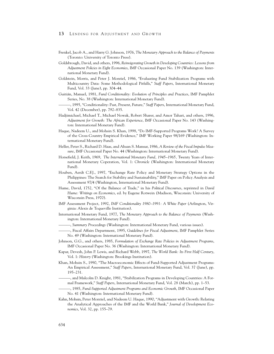- Frenkel, Jacob A., and Harry G. Johnson, 1976, *The Monetary Approach to the Balance of Payments* (Toronto: University of Toronto Press).
- Goldsbrough, David, and others, 1996, *Reinvigorating Growth in Developing Countries: Lessons from Adjustment Policies in Eight Economies*, IMF Occasional Paper No. 139 (Washington: International Monetary Fund).
- Goldstein, Morris, and Peter J. Montiel, 1986, "Evaluating Fund Stabilization Programs with Multicountry Data: Some Methodological Pitfalls," *Staff Papers*, International Monetary Fund, Vol. 33 (June), pp. 304–44.
- Guitián, Manuel, 1981, *Fund Conditionality: Evolution of Principles and Practices*, IMF Pamphlet Series, No. 38 (Washington: International Monetary Fund).
- ———, 1995, "Conditionality: Past, Present, Future," *Staff Papers*, International Monetary Fund, Vol. 42 (December), pp. 792–835.
- Hadjimichael, Michael T., Michael Nowak, Robert Sharer, and Amor Tahari, and others, 1996, *Adjustment for Growth: The African Experience*, IMF Occasional Paper No. 143 (Washington: International Monetary Fund).
- Haque, Nadeem U., and Mohsin S. Khan, 1998, "Do IMF-Supported Programs Work? A Survey of the Cross-Country Empirical Evidence," IMF Working Paper 98/169 (Washington: International Monetary Fund).
- Heller, Peter S., Richard D. Haas, and Ahsan S. Mansur, 1986, *A Review of the Fiscal Impulse Measure*, IMF Occasional Paper No. 44 (Washington: International Monetary Fund).
- Horsefield, J. Keith, 1969, *The International Monetary Fund, 1945–1965,* Twenty Years of International Monetary Coperation, Vol. 1: *Chronicle* (Washington: International Monetary Fund).
- Houben, Aerdt C.F.J., 1997, "Exchange Rate Policy and Monetary Strategy Options in the Philippines: The Search for Stability and Sustainability," IMF Paper on Policy Analysis and Assessment 97/4 (Washington, International Monetary Fund).
- Hume, David, 1752, "Of the Balance of Trade," in his *Political Discourses*, reprinted in *David Hume: Writings on Economics*, ed. by Eugene Rotwein (Madison, Wisconsin: University of Wisconsin Press, 1970).
- IMF Assessment Project, 1992, *IMF Conditionality 1980–1991: A White Paper* (Arlington, Virginia: Alexis de Toqueville Institution).
- International Monetary Fund, 1977, *The Monetary Approach to the Balance of Payments* (Washington: International Monetary Fund).
	- ———, *Summary Proceedings* (Washington: International Monetary Fund, various issues).
- ———, Fiscal Affairs Department, 1995, *Guidelines for Fiscal Adjustment*, IMF Pamphlet Series No. 49 (Washington: International Monetary Fund).
- Johnson, G.G., and others, 1985, *Formulation of Exchange Rate Policies in Adjustment Programs*, IMF Occasional Paper No. 36 (Washington: International Monetary Fund).
- Kapur, Devesh, John P. Lewis, and Richard Webb, 1997, *The World Bank: Its First Half Century*, Vol. 1: *History* (Washington: Brookings Institution).
- Khan, Mohsin S., 1990, "The Macroeconomic Effects of Fund-Supported Adjustment Programs: An Empirical Assessment," *Staff Papers*, International Monetary Fund, Vol. 37 (June), pp. 195–231.
	- ———, and Malcolm D. Knight, 1981, "Stabilization Programs in Developing Countries: A Formal Framework," *Staff Papers*, International Monetary Fund, Vol. 28 (March), pp. 1–53.
	- ———, 1985, *Fund-Supported Adjustment Programs and Economic Growth*, IMF Occasional Paper No. 41 (Washington: International Monetary Fund).
- Kahn, Mohsin, Peter Montiel, and Nadeem U. Haque, 1990, "Adjustment with Growth: Relating the Analytical Approaches of the IMF and the World Bank," *Journal of Development Economics*, Vol. 32, pp. 155–79.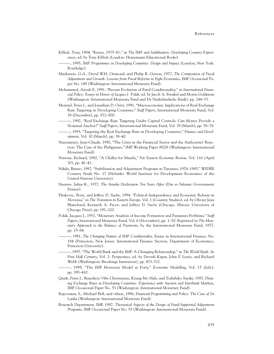- Killick, Tony, 1984, "Kenya, 1975–81," in *The IMF and Stabilisation: Developing Country Experiences*, ed. by Tony Killick (London: Heinemann Educational Books).
	- ———, 1995, *IMF Programmes in Developing Countries: Design and Impact* (London; New York: Routledge).
- Mackenzie, G.A., David W.H. Orsmond, and Philip R. Gerson, 1977, *The Composition of Fiscal Adjustment and Growth: Lessons from Fiscal Reforms in Eight Economies*, IMF Occasional Paper No. 149 (Washington: International Monetary Fund).
- Mohammed, Azizali F., 1991, "Recent Evolution of Fund Conditionality," in *International Financial Policy: Essays in Honor of Jacques J. Polak*, ed. by Jacob A. Frenkel and Morris Goldstein (Washington: International Monetary Fund and De Nederlandsche Bank), pp. 244–53.
- Montiel, Peter J., and Jonathan D. Ostry, 1991, "Macroeconomic Implications of Real Exchange Rate Targeting in Developing Countries," *Staff Papers*, International Monetary Fund, Vol. 38 (December), pp. 872–900.
- ———, 1992, "Real Exchange Rate Targeting Under Capital Controls: Can Money Provide a Nominal Anchor?" *Staff Papers*, International Monetary Fund, Vol. 39 (March), pp. 58–78.
- ———, 1993, "Targeting the Real Exchange Rate in Developing Countries," *Finance and Development*, Vol. 30 (March), pp. 38–40.
- Nascimento, Jean-Claude, 1990, "The Crisis in the Financial Sector and the Authorities' Reaction: The Case of the Philippines," IMF Working Paper 90/26 (Washington: International Monetary Fund).
- Nations, Richard, 1982, "A Chiller for Manila," *Far Eastern Economic Review*, Vol. 116 (April 30), pp. 40–41.
- Ndulu, Benno, 1987, "Stabilization and Adjustment Programs in Tanzania, 1978–1985," WIDER Country Study No. 17 (Helsinki: World Institute for Development Economics of the United Nations University).
- Nyerere, Julius K., 1977, *The Arusha Declaration Ten Years After* (Dar es Salaam: Government Printer).
- Pleskovic, Boris, and Jeffrey D. Sachs, 1994, "Political Independence and Economic Reform in Slovenia," in *The Transition in Eastern Europe*, Vol. 1 (Country Studies), ed. by Olivier Jean Blanchard, Kenneth A. Froot, and Jeffrey D. Sachs (Chicago, Illinois: University of Chicago Press), pp. 191–220.
- Polak, Jacques J., 1957, "Monetary Analysis of Income Formation and Payments Problems," *Staff Papers*, International Monetary Fund, Vol. 6 (November), pp. 1–50. Reprinted in *The Monetary Approach to the Balance of Payments*, by the International Monetary Fund, 1977, pp. 15–64.
- ———, 1991, *The Changing Nature of IMF Conditionality*, Essays in International Finance, No. 184 (Princeton, New Jersey: International Finance Section, Department of Economics, Princeton University).
- ———, 1997, "The World Bank and the IMF: A Changing Relationship," in *The World Bank: Its First Half Century*, Vol. 2: *Perspectives*, ed. by Devesh Kapur, John P. Lewis, and Richard Webb (Washington: Brookings Institution), pp. 473–522.
- ———, 1998, "The IMF Monetary Model at Forty," *Economic Modelling*, Vol. 15 (July), pp. 395–410 .
- Quirk, Peter J., Benedicte Vibe Christensen, Kyung-Mo Huh, and Toshihiko Sasaki, 1987, *Floating Exchange Rates in Developing Countries: Experience with Auction and Interbank Markets*, IMF Occasional Paper No. 53 (Washington: International Monetary Fund).
- Rajcoomar, S., Michael Bell, and others, 1996, *Financial Programming and Policy: The Case of Sri Lanka* (Washington: International Monetary Fund).
- Research Department, IMF, 1987, *Theoretical Aspects of the Design of Fund-Supported Adjustment Programs*, IMF Occasional Paper No. 55 (Washington: International Monetary Fund).